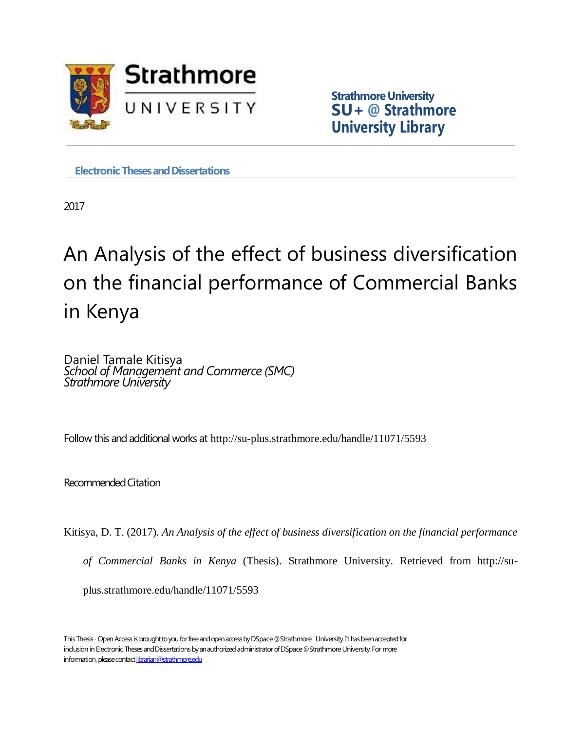

**Strathmore University SU+ @ Strathmore University Library**

**Electronic Theses and Dissertations** 

2017

# An Analysis of the effect of business diversification on the financial performance of Commercial Banks in Kenya

Daniel Tamale Kitisya *School of Management and Commerce (SMC) Strathmore University*

Follow this and additional works at http://su-plus.strathmore.edu/handle/11071/5593

RecommendedCitation

Kitisya, D. T. (2017). *An Analysis of the effect of business diversification on the financial performance* 

*of Commercial Banks in Kenya* (Thesis). Strathmore University. Retrieved from http://su-

plus.strathmore.edu/handle/11071/5593

This Thesis - Open Access is brought to you for free and open access by DSpace @Strathmore University. It has been accepted for inclusion in Electronic Theses and Dissertations by an authorized administrator of DSpace @Strathmore University. For more information, please contact librarian@strathmore.edu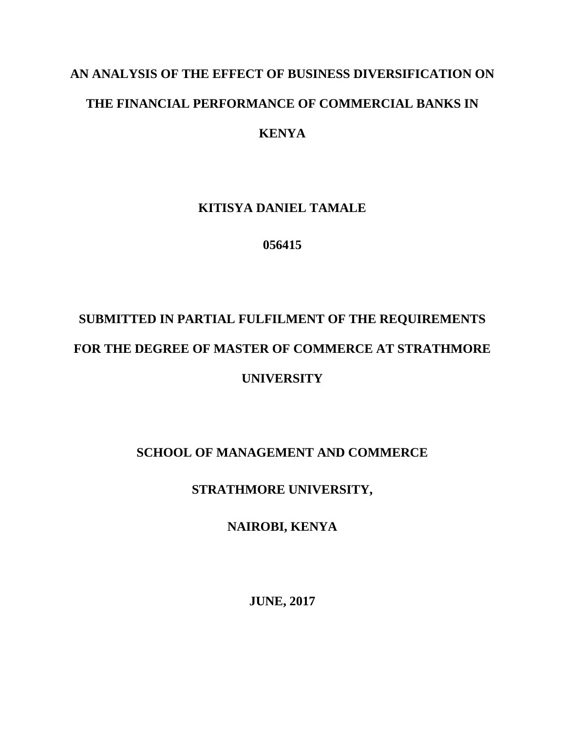# **AN ANALYSIS OF THE EFFECT OF BUSINESS DIVERSIFICATION ON THE FINANCIAL PERFORMANCE OF COMMERCIAL BANKS IN KENYA**

# **KITISYA DANIEL TAMALE**

**056415**

# **SUBMITTED IN PARTIAL FULFILMENT OF THE REQUIREMENTS FOR THE DEGREE OF MASTER OF COMMERCE AT STRATHMORE UNIVERSITY**

## **SCHOOL OF MANAGEMENT AND COMMERCE**

## **STRATHMORE UNIVERSITY,**

## **NAIROBI, KENYA**

**JUNE, 2017**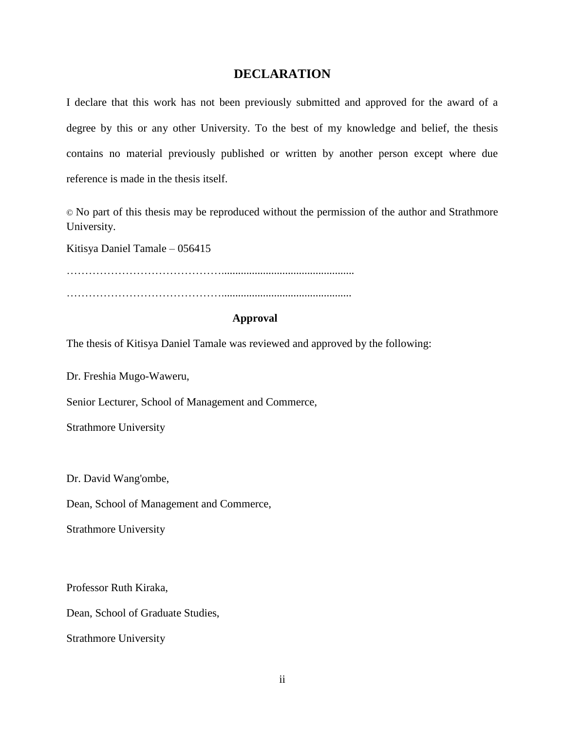#### **DECLARATION**

<span id="page-2-0"></span>I declare that this work has not been previously submitted and approved for the award of a degree by this or any other University. To the best of my knowledge and belief, the thesis contains no material previously published or written by another person except where due reference is made in the thesis itself.

© No part of this thesis may be reproduced without the permission of the author and Strathmore University.

Kitisya Daniel Tamale – 056415

……………………………………................................................

### ……………………………………...............................................

#### **Approval**

The thesis of Kitisya Daniel Tamale was reviewed and approved by the following:

Dr. Freshia Mugo-Waweru,

Senior Lecturer, School of Management and Commerce,

Strathmore University

Dr. David Wang'ombe,

Dean, School of Management and Commerce,

Strathmore University

Professor Ruth Kiraka,

Dean, School of Graduate Studies,

Strathmore University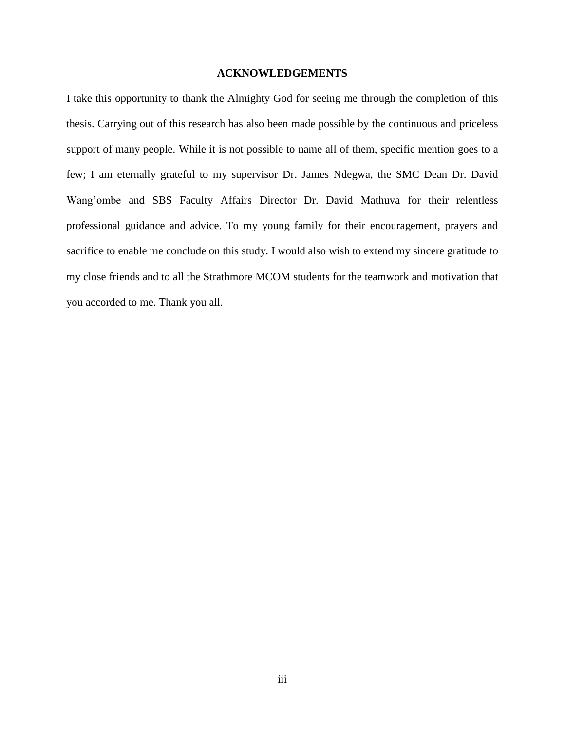#### **ACKNOWLEDGEMENTS**

<span id="page-3-0"></span>I take this opportunity to thank the Almighty God for seeing me through the completion of this thesis. Carrying out of this research has also been made possible by the continuous and priceless support of many people. While it is not possible to name all of them, specific mention goes to a few; I am eternally grateful to my supervisor Dr. James Ndegwa, the SMC Dean Dr. David Wang'ombe and SBS Faculty Affairs Director Dr. David Mathuva for their relentless professional guidance and advice. To my young family for their encouragement, prayers and sacrifice to enable me conclude on this study. I would also wish to extend my sincere gratitude to my close friends and to all the Strathmore MCOM students for the teamwork and motivation that you accorded to me. Thank you all.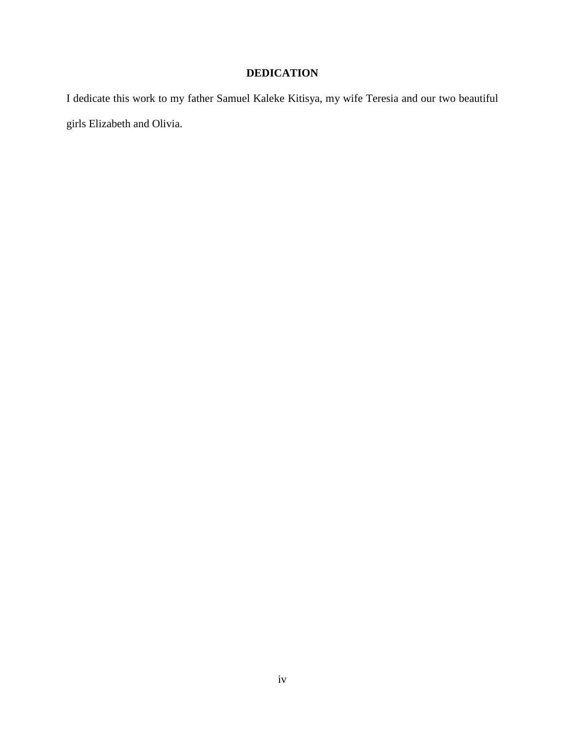# **DEDICATION**

<span id="page-4-0"></span>I dedicate this work to my father Samuel Kaleke Kitisya, my wife Teresia and our two beautiful girls Elizabeth and Olivia.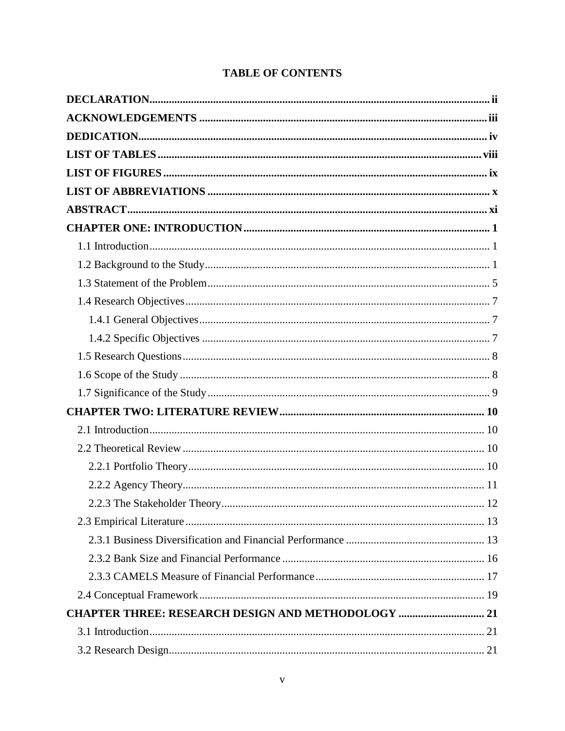## **TABLE OF CONTENTS**

| <b>CHAPTER THREE: RESEARCH DESIGN AND METHODOLOGY  21</b> |  |
|-----------------------------------------------------------|--|
|                                                           |  |
|                                                           |  |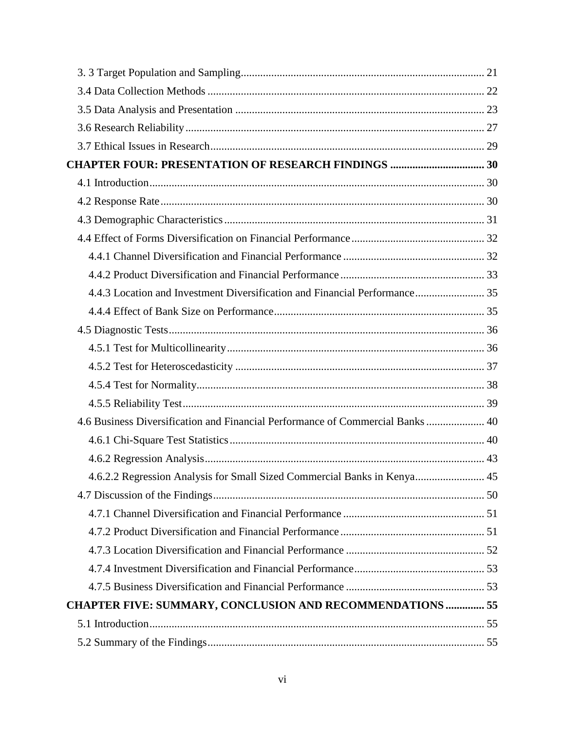| 4.4.3 Location and Investment Diversification and Financial Performance 35     |  |
|--------------------------------------------------------------------------------|--|
|                                                                                |  |
|                                                                                |  |
|                                                                                |  |
|                                                                                |  |
|                                                                                |  |
|                                                                                |  |
| 4.6 Business Diversification and Financial Performance of Commercial Banks  40 |  |
|                                                                                |  |
|                                                                                |  |
| 4.6.2.2 Regression Analysis for Small Sized Commercial Banks in Kenya 45       |  |
|                                                                                |  |
|                                                                                |  |
|                                                                                |  |
|                                                                                |  |
|                                                                                |  |
|                                                                                |  |
| <b>CHAPTER FIVE: SUMMARY, CONCLUSION AND RECOMMENDATIONS  55</b>               |  |
|                                                                                |  |
|                                                                                |  |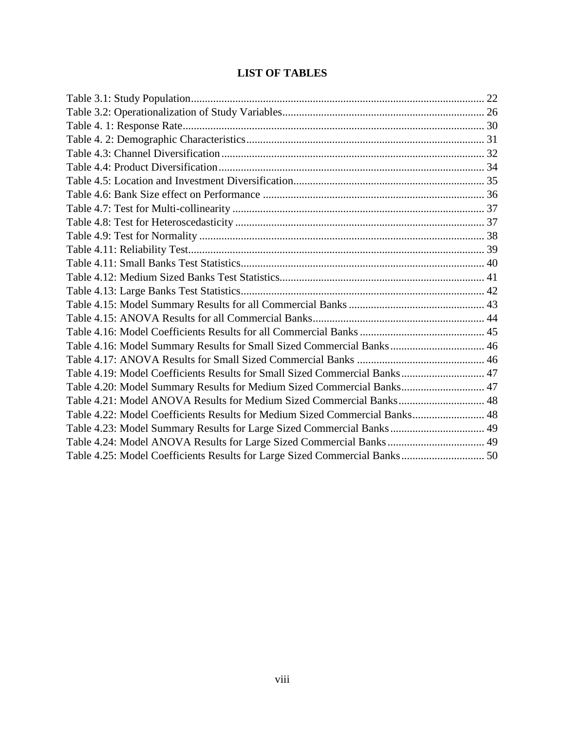## **LIST OF TABLES**

<span id="page-8-0"></span>

| Table 4.16: Model Summary Results for Small Sized Commercial Banks 46       |  |
|-----------------------------------------------------------------------------|--|
|                                                                             |  |
| Table 4.19: Model Coefficients Results for Small Sized Commercial Banks 47  |  |
| Table 4.20: Model Summary Results for Medium Sized Commercial Banks 47      |  |
| Table 4.21: Model ANOVA Results for Medium Sized Commercial Banks 48        |  |
| Table 4.22: Model Coefficients Results for Medium Sized Commercial Banks 48 |  |
| Table 4.23: Model Summary Results for Large Sized Commercial Banks 49       |  |
| Table 4.24: Model ANOVA Results for Large Sized Commercial Banks 49         |  |
|                                                                             |  |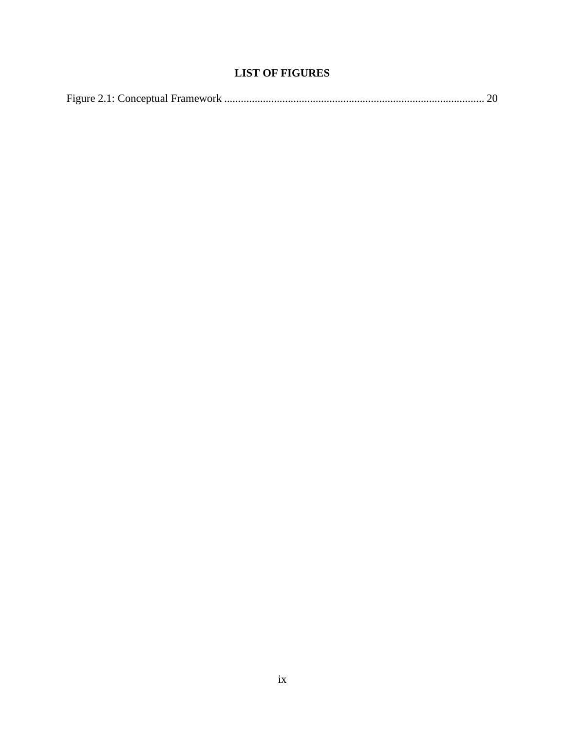## **LIST OF FIGURES**

<span id="page-9-0"></span>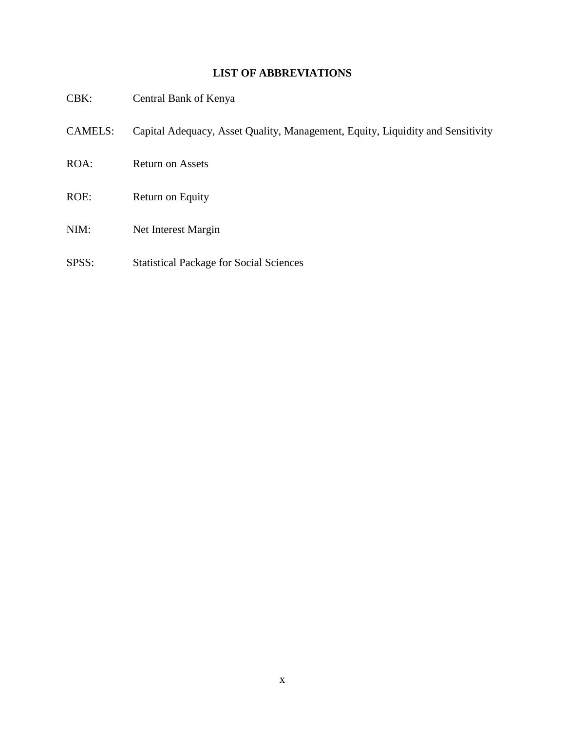### **LIST OF ABBREVIATIONS**

<span id="page-10-0"></span>

| $CBK$ :        | Central Bank of Kenya                                                          |
|----------------|--------------------------------------------------------------------------------|
| <b>CAMELS:</b> | Capital Adequacy, Asset Quality, Management, Equity, Liquidity and Sensitivity |
| ROA:           | <b>Return on Assets</b>                                                        |
| ROE:           | Return on Equity                                                               |
| NIM:           | Net Interest Margin                                                            |
| SPSS:          | <b>Statistical Package for Social Sciences</b>                                 |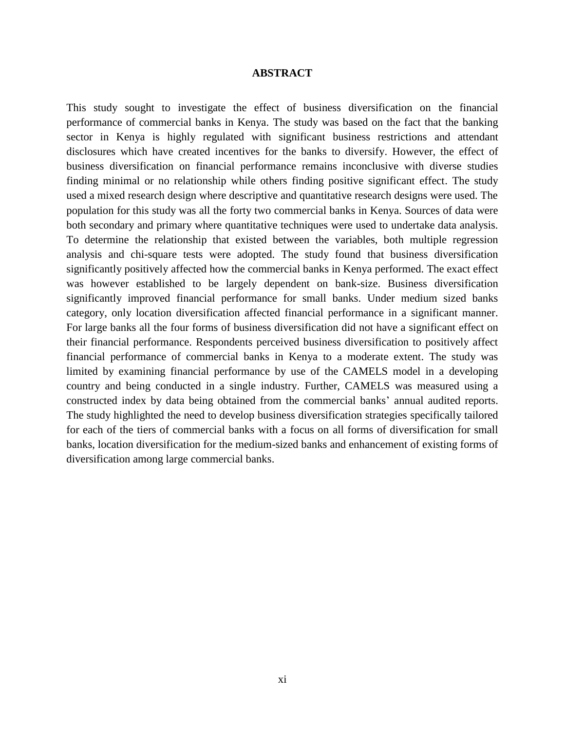#### **ABSTRACT**

<span id="page-11-0"></span>This study sought to investigate the effect of business diversification on the financial performance of commercial banks in Kenya. The study was based on the fact that the banking sector in Kenya is highly regulated with significant business restrictions and attendant disclosures which have created incentives for the banks to diversify. However, the effect of business diversification on financial performance remains inconclusive with diverse studies finding minimal or no relationship while others finding positive significant effect. The study used a mixed research design where descriptive and quantitative research designs were used. The population for this study was all the forty two commercial banks in Kenya. Sources of data were both secondary and primary where quantitative techniques were used to undertake data analysis. To determine the relationship that existed between the variables, both multiple regression analysis and chi-square tests were adopted. The study found that business diversification significantly positively affected how the commercial banks in Kenya performed. The exact effect was however established to be largely dependent on bank-size. Business diversification significantly improved financial performance for small banks. Under medium sized banks category, only location diversification affected financial performance in a significant manner. For large banks all the four forms of business diversification did not have a significant effect on their financial performance. Respondents perceived business diversification to positively affect financial performance of commercial banks in Kenya to a moderate extent. The study was limited by examining financial performance by use of the CAMELS model in a developing country and being conducted in a single industry. Further, CAMELS was measured using a constructed index by data being obtained from the commercial banks' annual audited reports. The study highlighted the need to develop business diversification strategies specifically tailored for each of the tiers of commercial banks with a focus on all forms of diversification for small banks, location diversification for the medium-sized banks and enhancement of existing forms of diversification among large commercial banks.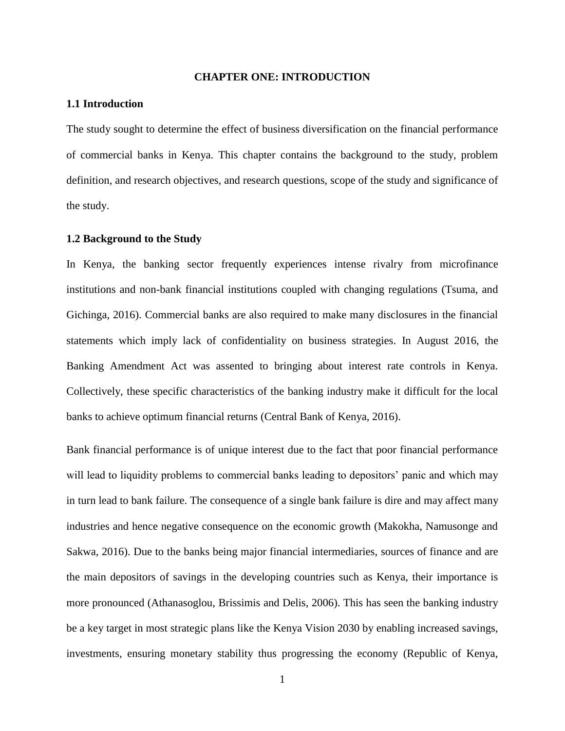#### **CHAPTER ONE: INTRODUCTION**

#### <span id="page-12-1"></span><span id="page-12-0"></span>**1.1 Introduction**

The study sought to determine the effect of business diversification on the financial performance of commercial banks in Kenya. This chapter contains the background to the study, problem definition, and research objectives, and research questions, scope of the study and significance of the study.

#### <span id="page-12-2"></span>**1.2 Background to the Study**

In Kenya, the banking sector frequently experiences intense rivalry from microfinance institutions and non-bank financial institutions coupled with changing regulations (Tsuma, and Gichinga, 2016). Commercial banks are also required to make many disclosures in the financial statements which imply lack of confidentiality on business strategies. In August 2016, the Banking Amendment Act was assented to bringing about interest rate controls in Kenya. Collectively, these specific characteristics of the banking industry make it difficult for the local banks to achieve optimum financial returns (Central Bank of Kenya, 2016).

Bank financial performance is of unique interest due to the fact that poor financial performance will lead to liquidity problems to commercial banks leading to depositors' panic and which may in turn lead to bank failure. The consequence of a single bank failure is dire and may affect many industries and hence negative consequence on the economic growth (Makokha, Namusonge and Sakwa, 2016). Due to the banks being major financial intermediaries, sources of finance and are the main depositors of savings in the developing countries such as Kenya, their importance is more pronounced (Athanasoglou, Brissimis and Delis, 2006). This has seen the banking industry be a key target in most strategic plans like the Kenya Vision 2030 by enabling increased savings, investments, ensuring monetary stability thus progressing the economy (Republic of Kenya,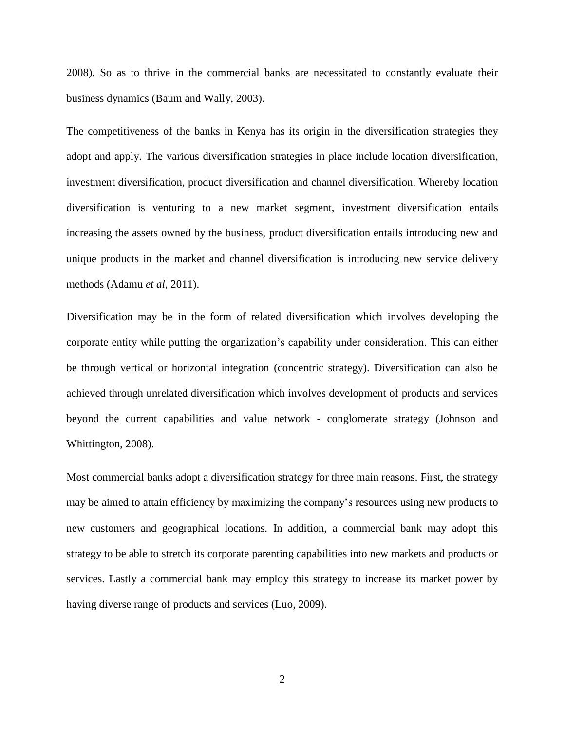2008). So as to thrive in the commercial banks are necessitated to constantly evaluate their business dynamics (Baum and Wally, 2003).

The competitiveness of the banks in Kenya has its origin in the diversification strategies they adopt and apply. The various diversification strategies in place include location diversification, investment diversification, product diversification and channel diversification. Whereby location diversification is venturing to a new market segment, investment diversification entails increasing the assets owned by the business, product diversification entails introducing new and unique products in the market and channel diversification is introducing new service delivery methods (Adamu *et al*, 2011).

Diversification may be in the form of related diversification which involves developing the corporate entity while putting the organization's capability under consideration. This can either be through vertical or horizontal integration (concentric strategy). Diversification can also be achieved through unrelated diversification which involves development of products and services beyond the current capabilities and value network - conglomerate strategy (Johnson and Whittington, 2008).

Most commercial banks adopt a diversification strategy for three main reasons. First, the strategy may be aimed to attain efficiency by maximizing the company's resources using new products to new customers and geographical locations. In addition, a commercial bank may adopt this strategy to be able to stretch its corporate parenting capabilities into new markets and products or services. Lastly a commercial bank may employ this strategy to increase its market power by having diverse range of products and services (Luo, 2009).

2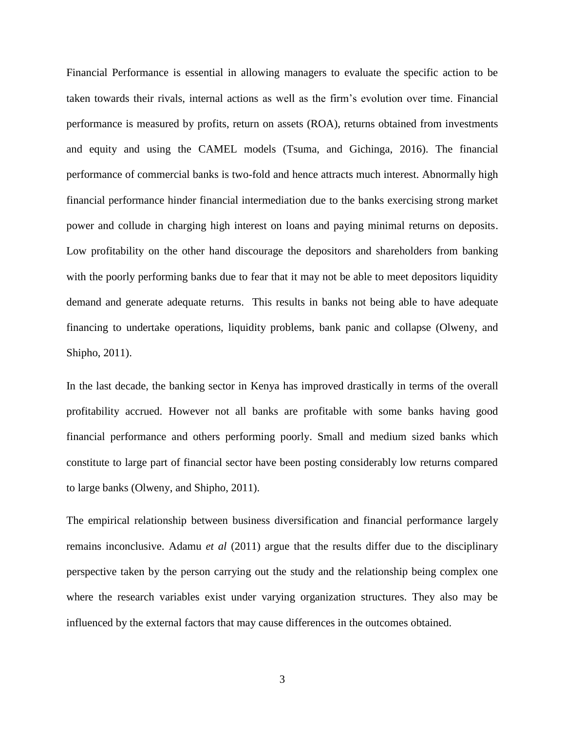Financial Performance is essential in allowing managers to evaluate the specific action to be taken towards their rivals, internal actions as well as the firm's evolution over time. Financial performance is measured by profits, return on assets (ROA), returns obtained from investments and equity and using the CAMEL models (Tsuma, and Gichinga, 2016). The financial performance of commercial banks is two-fold and hence attracts much interest. Abnormally high financial performance hinder financial intermediation due to the banks exercising strong market power and collude in charging high interest on loans and paying minimal returns on deposits. Low profitability on the other hand discourage the depositors and shareholders from banking with the poorly performing banks due to fear that it may not be able to meet depositors liquidity demand and generate adequate returns. This results in banks not being able to have adequate financing to undertake operations, liquidity problems, bank panic and collapse (Olweny, and Shipho, 2011).

In the last decade, the banking sector in Kenya has improved drastically in terms of the overall profitability accrued. However not all banks are profitable with some banks having good financial performance and others performing poorly. Small and medium sized banks which constitute to large part of financial sector have been posting considerably low returns compared to large banks (Olweny, and Shipho, 2011).

The empirical relationship between business diversification and financial performance largely remains inconclusive. Adamu *et al* (2011) argue that the results differ due to the disciplinary perspective taken by the person carrying out the study and the relationship being complex one where the research variables exist under varying organization structures. They also may be influenced by the external factors that may cause differences in the outcomes obtained.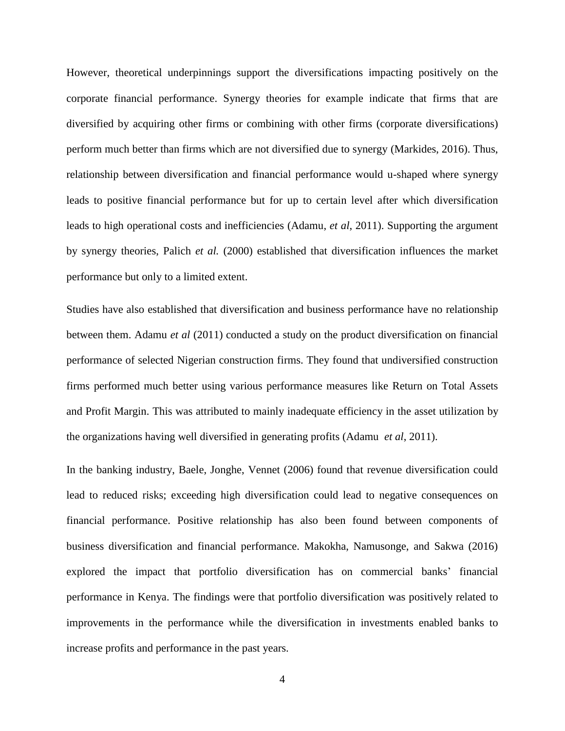However, theoretical underpinnings support the diversifications impacting positively on the corporate financial performance. Synergy theories for example indicate that firms that are diversified by acquiring other firms or combining with other firms (corporate diversifications) perform much better than firms which are not diversified due to synergy (Markides, 2016). Thus, relationship between diversification and financial performance would u-shaped where synergy leads to positive financial performance but for up to certain level after which diversification leads to high operational costs and inefficiencies (Adamu, *et al*, 2011). Supporting the argument by synergy theories, Palich *et al.* (2000) established that diversification influences the market performance but only to a limited extent.

Studies have also established that diversification and business performance have no relationship between them. Adamu *et al* (2011) conducted a study on the product diversification on financial performance of selected Nigerian construction firms. They found that undiversified construction firms performed much better using various performance measures like Return on Total Assets and Profit Margin. This was attributed to mainly inadequate efficiency in the asset utilization by the organizations having well diversified in generating profits (Adamu *et al*, 2011).

In the banking industry, Baele, Jonghe, Vennet (2006) found that revenue diversification could lead to reduced risks; exceeding high diversification could lead to negative consequences on financial performance. Positive relationship has also been found between components of business diversification and financial performance. Makokha, Namusonge, and Sakwa (2016) explored the impact that portfolio diversification has on commercial banks' financial performance in Kenya. The findings were that portfolio diversification was positively related to improvements in the performance while the diversification in investments enabled banks to increase profits and performance in the past years.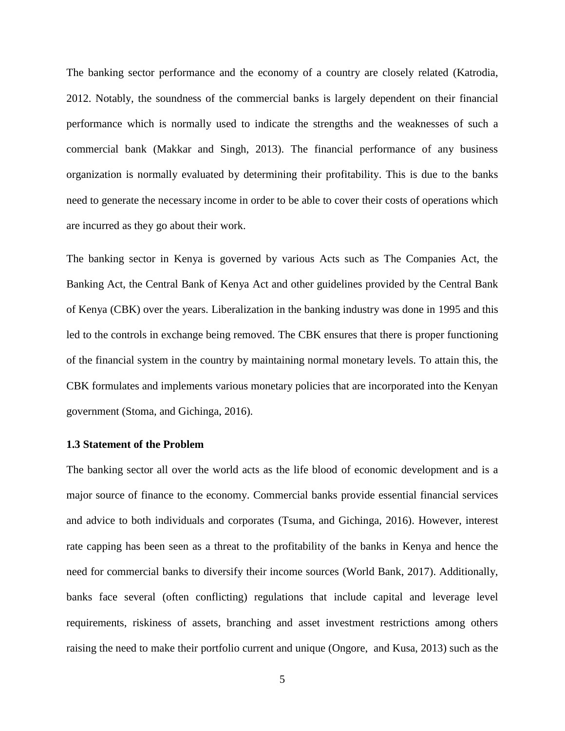The banking sector performance and the economy of a country are closely related (Katrodia, 2012. Notably, the soundness of the commercial banks is largely dependent on their financial performance which is normally used to indicate the strengths and the weaknesses of such a commercial bank (Makkar and Singh, 2013). The financial performance of any business organization is normally evaluated by determining their profitability. This is due to the banks need to generate the necessary income in order to be able to cover their costs of operations which are incurred as they go about their work.

The banking sector in Kenya is governed by various Acts such as The Companies Act, the Banking Act, the Central Bank of Kenya Act and other guidelines provided by the Central Bank of Kenya (CBK) over the years. Liberalization in the banking industry was done in 1995 and this led to the controls in exchange being removed. The CBK ensures that there is proper functioning of the financial system in the country by maintaining normal monetary levels. To attain this, the CBK formulates and implements various monetary policies that are incorporated into the Kenyan government (Stoma, and Gichinga, 2016).

#### <span id="page-16-0"></span>**1.3 Statement of the Problem**

The banking sector all over the world acts as the life blood of economic development and is a major source of finance to the economy. Commercial banks provide essential financial services and advice to both individuals and corporates (Tsuma, and Gichinga, 2016). However, interest rate capping has been seen as a threat to the profitability of the banks in Kenya and hence the need for commercial banks to diversify their income sources (World Bank, 2017). Additionally, banks face several (often conflicting) regulations that include capital and leverage level requirements, riskiness of assets, branching and asset investment restrictions among others raising the need to make their portfolio current and unique (Ongore, and Kusa, 2013) such as the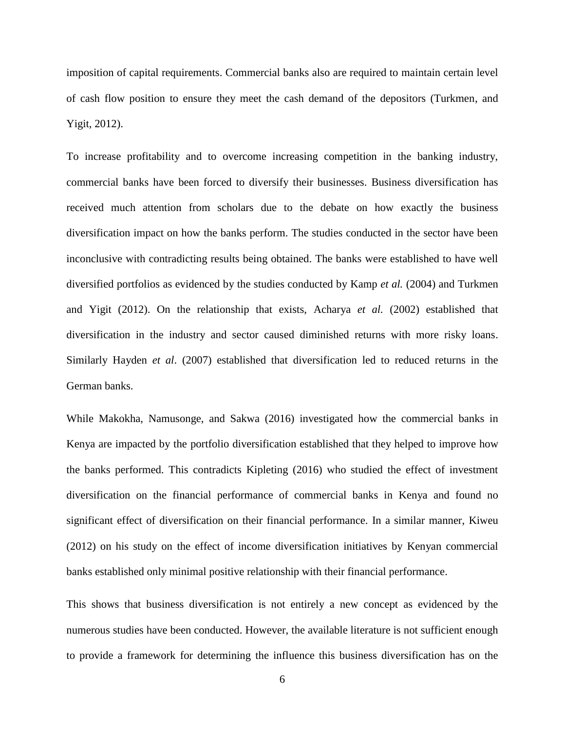imposition of capital requirements. Commercial banks also are required to maintain certain level of cash flow position to ensure they meet the cash demand of the depositors (Turkmen, and Yigit, 2012).

To increase profitability and to overcome increasing competition in the banking industry, commercial banks have been forced to diversify their businesses. Business diversification has received much attention from scholars due to the debate on how exactly the business diversification impact on how the banks perform. The studies conducted in the sector have been inconclusive with contradicting results being obtained. The banks were established to have well diversified portfolios as evidenced by the studies conducted by Kamp *et al.* (2004) and Turkmen and Yigit (2012). On the relationship that exists, Acharya *et al.* (2002) established that diversification in the industry and sector caused diminished returns with more risky loans. Similarly Hayden *et al*. (2007) established that diversification led to reduced returns in the German banks.

While Makokha, Namusonge, and Sakwa (2016) investigated how the commercial banks in Kenya are impacted by the portfolio diversification established that they helped to improve how the banks performed. This contradicts Kipleting (2016) who studied the effect of investment diversification on the financial performance of commercial banks in Kenya and found no significant effect of diversification on their financial performance. In a similar manner, Kiweu (2012) on his study on the effect of income diversification initiatives by Kenyan commercial banks established only minimal positive relationship with their financial performance.

This shows that business diversification is not entirely a new concept as evidenced by the numerous studies have been conducted. However, the available literature is not sufficient enough to provide a framework for determining the influence this business diversification has on the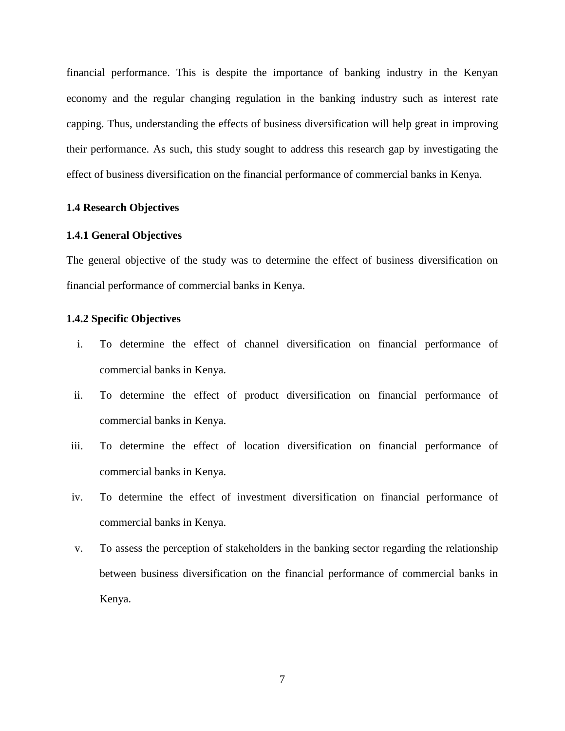financial performance. This is despite the importance of banking industry in the Kenyan economy and the regular changing regulation in the banking industry such as interest rate capping. Thus, understanding the effects of business diversification will help great in improving their performance. As such, this study sought to address this research gap by investigating the effect of business diversification on the financial performance of commercial banks in Kenya.

#### <span id="page-18-0"></span>**1.4 Research Objectives**

#### <span id="page-18-1"></span>**1.4.1 General Objectives**

The general objective of the study was to determine the effect of business diversification on financial performance of commercial banks in Kenya.

#### <span id="page-18-2"></span>**1.4.2 Specific Objectives**

- i. To determine the effect of channel diversification on financial performance of commercial banks in Kenya.
- ii. To determine the effect of product diversification on financial performance of commercial banks in Kenya.
- iii. To determine the effect of location diversification on financial performance of commercial banks in Kenya.
- iv. To determine the effect of investment diversification on financial performance of commercial banks in Kenya.
- v. To assess the perception of stakeholders in the banking sector regarding the relationship between business diversification on the financial performance of commercial banks in Kenya.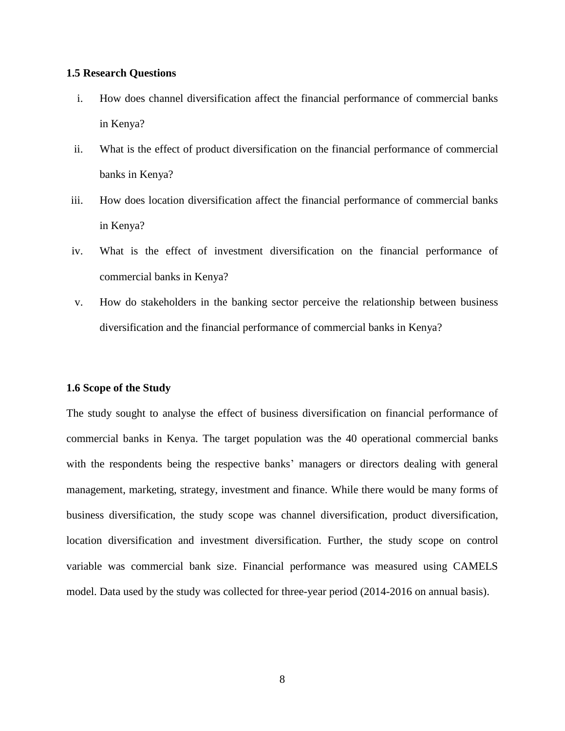#### <span id="page-19-0"></span>**1.5 Research Questions**

- i. How does channel diversification affect the financial performance of commercial banks in Kenya?
- ii. What is the effect of product diversification on the financial performance of commercial banks in Kenya?
- iii. How does location diversification affect the financial performance of commercial banks in Kenya?
- iv. What is the effect of investment diversification on the financial performance of commercial banks in Kenya?
- v. How do stakeholders in the banking sector perceive the relationship between business diversification and the financial performance of commercial banks in Kenya?

#### <span id="page-19-1"></span>**1.6 Scope of the Study**

The study sought to analyse the effect of business diversification on financial performance of commercial banks in Kenya. The target population was the 40 operational commercial banks with the respondents being the respective banks' managers or directors dealing with general management, marketing, strategy, investment and finance. While there would be many forms of business diversification, the study scope was channel diversification, product diversification, location diversification and investment diversification. Further, the study scope on control variable was commercial bank size. Financial performance was measured using CAMELS model. Data used by the study was collected for three-year period (2014-2016 on annual basis).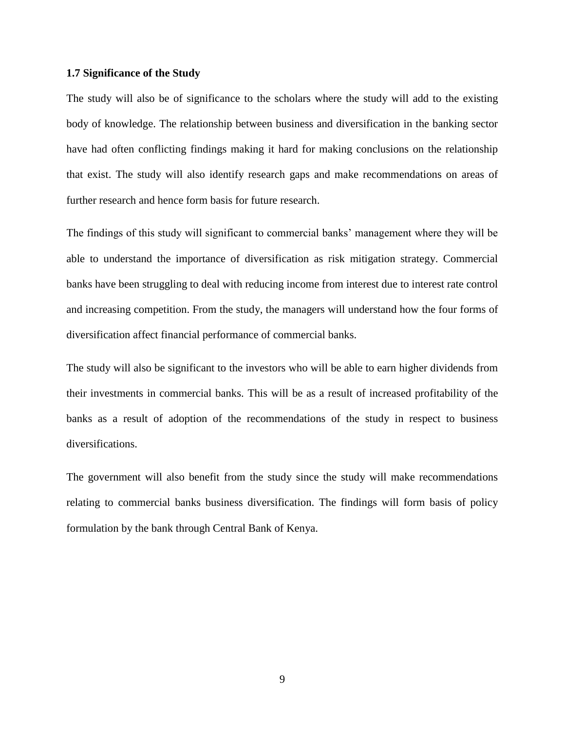#### <span id="page-20-0"></span>**1.7 Significance of the Study**

The study will also be of significance to the scholars where the study will add to the existing body of knowledge. The relationship between business and diversification in the banking sector have had often conflicting findings making it hard for making conclusions on the relationship that exist. The study will also identify research gaps and make recommendations on areas of further research and hence form basis for future research.

The findings of this study will significant to commercial banks' management where they will be able to understand the importance of diversification as risk mitigation strategy. Commercial banks have been struggling to deal with reducing income from interest due to interest rate control and increasing competition. From the study, the managers will understand how the four forms of diversification affect financial performance of commercial banks.

The study will also be significant to the investors who will be able to earn higher dividends from their investments in commercial banks. This will be as a result of increased profitability of the banks as a result of adoption of the recommendations of the study in respect to business diversifications.

The government will also benefit from the study since the study will make recommendations relating to commercial banks business diversification. The findings will form basis of policy formulation by the bank through Central Bank of Kenya.

9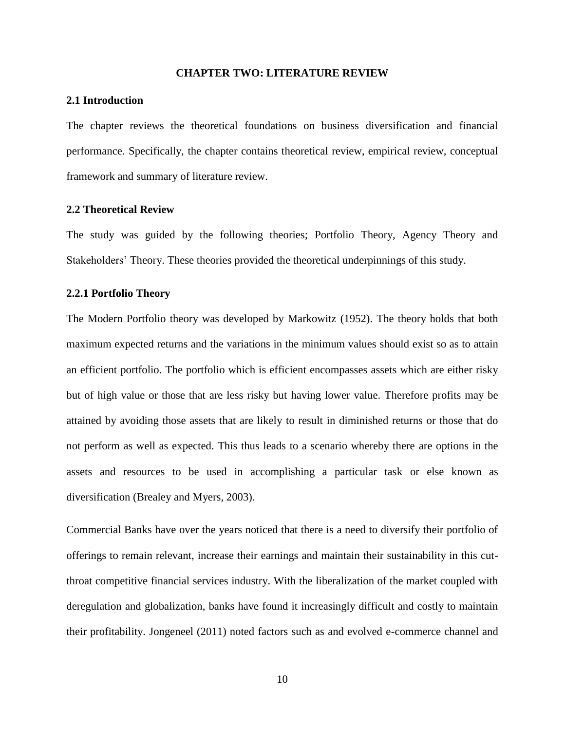#### **CHAPTER TWO: LITERATURE REVIEW**

#### <span id="page-21-1"></span><span id="page-21-0"></span>**2.1 Introduction**

The chapter reviews the theoretical foundations on business diversification and financial performance. Specifically, the chapter contains theoretical review, empirical review, conceptual framework and summary of literature review.

#### <span id="page-21-2"></span>**2.2 Theoretical Review**

The study was guided by the following theories; Portfolio Theory, Agency Theory and Stakeholders' Theory. These theories provided the theoretical underpinnings of this study.

#### <span id="page-21-3"></span>**2.2.1 Portfolio Theory**

The Modern Portfolio theory was developed by Markowitz (1952). The theory holds that both maximum expected returns and the variations in the minimum values should exist so as to attain an efficient portfolio. The portfolio which is efficient encompasses assets which are either risky but of high value or those that are less risky but having lower value. Therefore profits may be attained by avoiding those assets that are likely to result in diminished returns or those that do not perform as well as expected. This thus leads to a scenario whereby there are options in the assets and resources to be used in accomplishing a particular task or else known as diversification (Brealey and Myers, 2003).

Commercial Banks have over the years noticed that there is a need to diversify their portfolio of offerings to remain relevant, increase their earnings and maintain their sustainability in this cutthroat competitive financial services industry. With the liberalization of the market coupled with deregulation and globalization, banks have found it increasingly difficult and costly to maintain their profitability. Jongeneel (2011) noted factors such as and evolved e-commerce channel and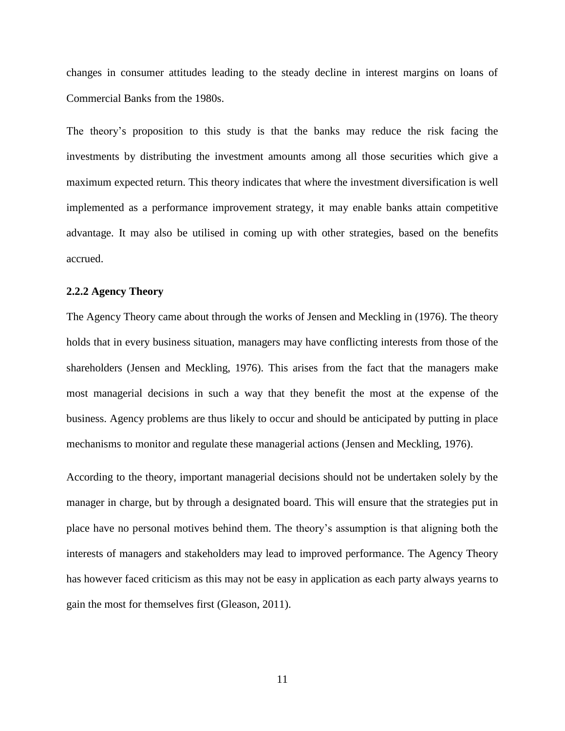changes in consumer attitudes leading to the steady decline in interest margins on loans of Commercial Banks from the 1980s.

The theory's proposition to this study is that the banks may reduce the risk facing the investments by distributing the investment amounts among all those securities which give a maximum expected return. This theory indicates that where the investment diversification is well implemented as a performance improvement strategy, it may enable banks attain competitive advantage. It may also be utilised in coming up with other strategies, based on the benefits accrued.

#### <span id="page-22-0"></span>**2.2.2 Agency Theory**

The Agency Theory came about through the works of Jensen and Meckling in (1976). The theory holds that in every business situation, managers may have conflicting interests from those of the shareholders (Jensen and Meckling, 1976). This arises from the fact that the managers make most managerial decisions in such a way that they benefit the most at the expense of the business. Agency problems are thus likely to occur and should be anticipated by putting in place mechanisms to monitor and regulate these managerial actions (Jensen and Meckling, 1976).

According to the theory, important managerial decisions should not be undertaken solely by the manager in charge, but by through a designated board. This will ensure that the strategies put in place have no personal motives behind them. The theory's assumption is that aligning both the interests of managers and stakeholders may lead to improved performance. The Agency Theory has however faced criticism as this may not be easy in application as each party always yearns to gain the most for themselves first (Gleason, 2011).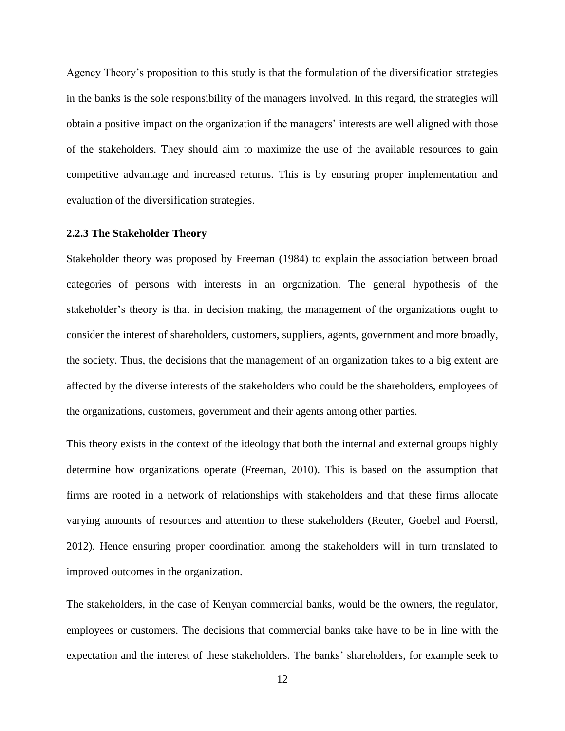Agency Theory's proposition to this study is that the formulation of the diversification strategies in the banks is the sole responsibility of the managers involved. In this regard, the strategies will obtain a positive impact on the organization if the managers' interests are well aligned with those of the stakeholders. They should aim to maximize the use of the available resources to gain competitive advantage and increased returns. This is by ensuring proper implementation and evaluation of the diversification strategies.

#### <span id="page-23-0"></span>**2.2.3 The Stakeholder Theory**

Stakeholder theory was proposed by Freeman (1984) to explain the association between broad categories of persons with interests in an organization. The general hypothesis of the stakeholder's theory is that in decision making, the management of the organizations ought to consider the interest of shareholders, customers, suppliers, agents, government and more broadly, the society. Thus, the decisions that the management of an organization takes to a big extent are affected by the diverse interests of the stakeholders who could be the shareholders, employees of the organizations, customers, government and their agents among other parties.

This theory exists in the context of the ideology that both the internal and external groups highly determine how organizations operate (Freeman, 2010). This is based on the assumption that firms are rooted in a network of relationships with stakeholders and that these firms allocate varying amounts of resources and attention to these stakeholders (Reuter, Goebel and Foerstl, 2012). Hence ensuring proper coordination among the stakeholders will in turn translated to improved outcomes in the organization.

The stakeholders, in the case of Kenyan commercial banks, would be the owners, the regulator, employees or customers. The decisions that commercial banks take have to be in line with the expectation and the interest of these stakeholders. The banks' shareholders, for example seek to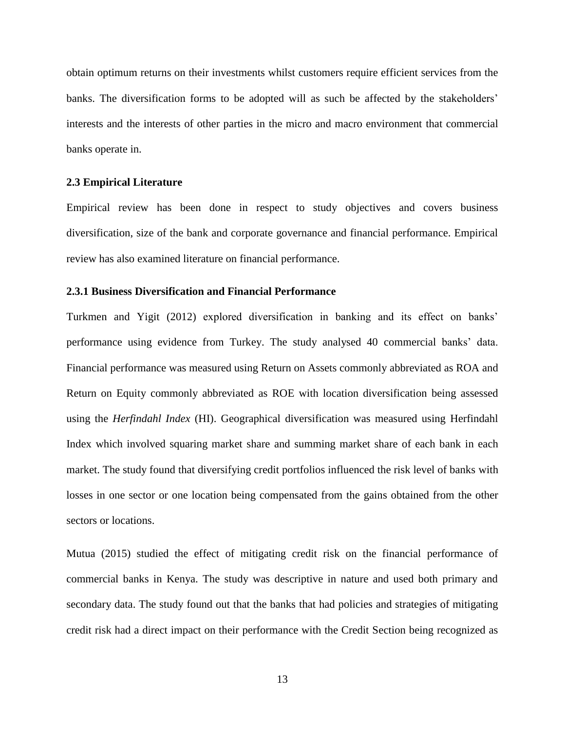obtain optimum returns on their investments whilst customers require efficient services from the banks. The diversification forms to be adopted will as such be affected by the stakeholders' interests and the interests of other parties in the micro and macro environment that commercial banks operate in.

#### <span id="page-24-0"></span>**2.3 Empirical Literature**

Empirical review has been done in respect to study objectives and covers business diversification, size of the bank and corporate governance and financial performance. Empirical review has also examined literature on financial performance.

#### <span id="page-24-1"></span>**2.3.1 Business Diversification and Financial Performance**

Turkmen and Yigit (2012) explored diversification in banking and its effect on banks' performance using evidence from Turkey. The study analysed 40 commercial banks' data. Financial performance was measured using Return on Assets commonly abbreviated as ROA and Return on Equity commonly abbreviated as ROE with location diversification being assessed using the *Herfindahl Index* (HI). Geographical diversification was measured using Herfindahl Index which involved squaring market share and summing market share of each bank in each market. The study found that diversifying credit portfolios influenced the risk level of banks with losses in one sector or one location being compensated from the gains obtained from the other sectors or locations.

Mutua (2015) studied the effect of mitigating credit risk on the financial performance of commercial banks in Kenya. The study was descriptive in nature and used both primary and secondary data. The study found out that the banks that had policies and strategies of mitigating credit risk had a direct impact on their performance with the Credit Section being recognized as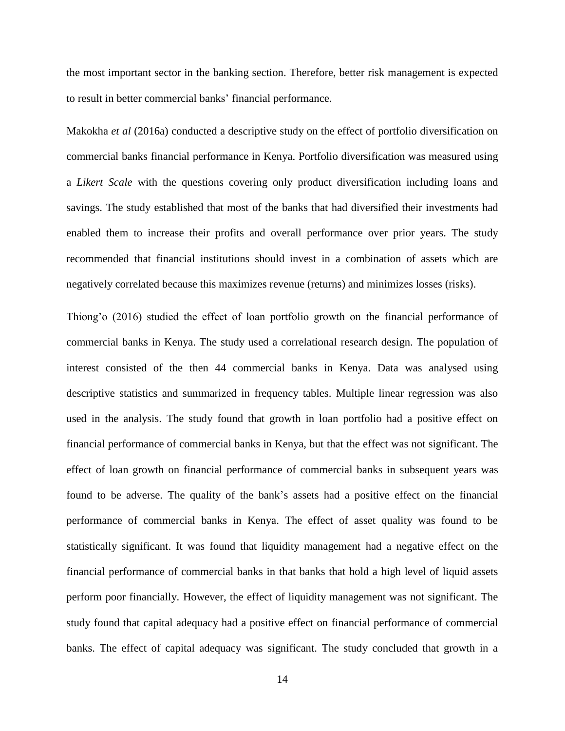the most important sector in the banking section. Therefore, better risk management is expected to result in better commercial banks' financial performance.

Makokha *et al* (2016a) conducted a descriptive study on the effect of portfolio diversification on commercial banks financial performance in Kenya. Portfolio diversification was measured using a *Likert Scale* with the questions covering only product diversification including loans and savings. The study established that most of the banks that had diversified their investments had enabled them to increase their profits and overall performance over prior years. The study recommended that financial institutions should invest in a combination of assets which are negatively correlated because this maximizes revenue (returns) and minimizes losses (risks).

Thiong'o (2016) studied the effect of loan portfolio growth on the financial performance of commercial banks in Kenya. The study used a correlational research design. The population of interest consisted of the then 44 commercial banks in Kenya. Data was analysed using descriptive statistics and summarized in frequency tables. Multiple linear regression was also used in the analysis. The study found that growth in loan portfolio had a positive effect on financial performance of commercial banks in Kenya, but that the effect was not significant. The effect of loan growth on financial performance of commercial banks in subsequent years was found to be adverse. The quality of the bank's assets had a positive effect on the financial performance of commercial banks in Kenya. The effect of asset quality was found to be statistically significant. It was found that liquidity management had a negative effect on the financial performance of commercial banks in that banks that hold a high level of liquid assets perform poor financially. However, the effect of liquidity management was not significant. The study found that capital adequacy had a positive effect on financial performance of commercial banks. The effect of capital adequacy was significant. The study concluded that growth in a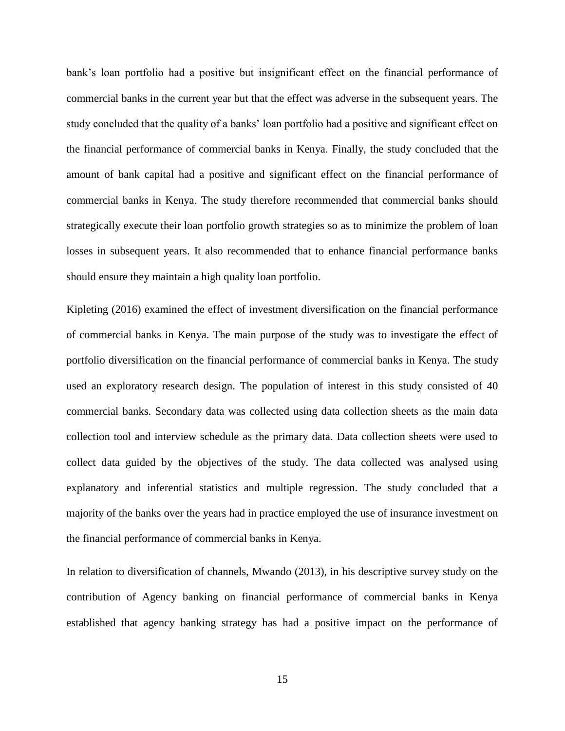bank's loan portfolio had a positive but insignificant effect on the financial performance of commercial banks in the current year but that the effect was adverse in the subsequent years. The study concluded that the quality of a banks' loan portfolio had a positive and significant effect on the financial performance of commercial banks in Kenya. Finally, the study concluded that the amount of bank capital had a positive and significant effect on the financial performance of commercial banks in Kenya. The study therefore recommended that commercial banks should strategically execute their loan portfolio growth strategies so as to minimize the problem of loan losses in subsequent years. It also recommended that to enhance financial performance banks should ensure they maintain a high quality loan portfolio.

Kipleting (2016) examined the effect of investment diversification on the financial performance of commercial banks in Kenya. The main purpose of the study was to investigate the effect of portfolio diversification on the financial performance of commercial banks in Kenya. The study used an exploratory research design. The population of interest in this study consisted of 40 commercial banks. Secondary data was collected using data collection sheets as the main data collection tool and interview schedule as the primary data. Data collection sheets were used to collect data guided by the objectives of the study. The data collected was analysed using explanatory and inferential statistics and multiple regression. The study concluded that a majority of the banks over the years had in practice employed the use of insurance investment on the financial performance of commercial banks in Kenya.

In relation to diversification of channels, Mwando (2013), in his descriptive survey study on the contribution of Agency banking on financial performance of commercial banks in Kenya established that agency banking strategy has had a positive impact on the performance of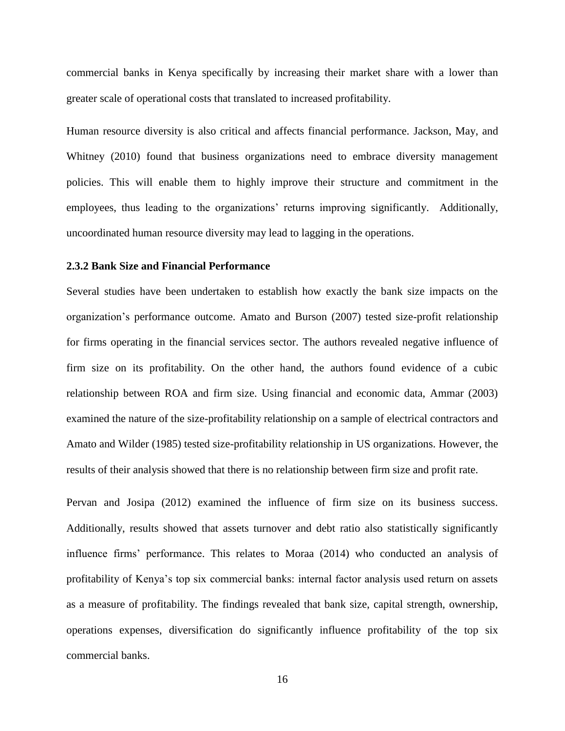commercial banks in Kenya specifically by increasing their market share with a lower than greater scale of operational costs that translated to increased profitability.

Human resource diversity is also critical and affects financial performance. Jackson, May, and Whitney (2010) found that business organizations need to embrace diversity management policies. This will enable them to highly improve their structure and commitment in the employees, thus leading to the organizations' returns improving significantly. Additionally, uncoordinated human resource diversity may lead to lagging in the operations.

#### <span id="page-27-0"></span>**2.3.2 Bank Size and Financial Performance**

Several studies have been undertaken to establish how exactly the bank size impacts on the organization's performance outcome. Amato and Burson (2007) tested size-profit relationship for firms operating in the financial services sector. The authors revealed negative influence of firm size on its profitability. On the other hand, the authors found evidence of a cubic relationship between ROA and firm size. Using financial and economic data, Ammar (2003) examined the nature of the size-profitability relationship on a sample of electrical contractors and Amato and Wilder (1985) tested size-profitability relationship in US organizations. However, the results of their analysis showed that there is no relationship between firm size and profit rate.

Pervan and Josipa (2012) examined the influence of firm size on its business success. Additionally, results showed that assets turnover and debt ratio also statistically significantly influence firms' performance. This relates to Moraa (2014) who conducted an analysis of profitability of Kenya's top six commercial banks: internal factor analysis used return on assets as a measure of profitability. The findings revealed that bank size, capital strength, ownership, operations expenses, diversification do significantly influence profitability of the top six commercial banks.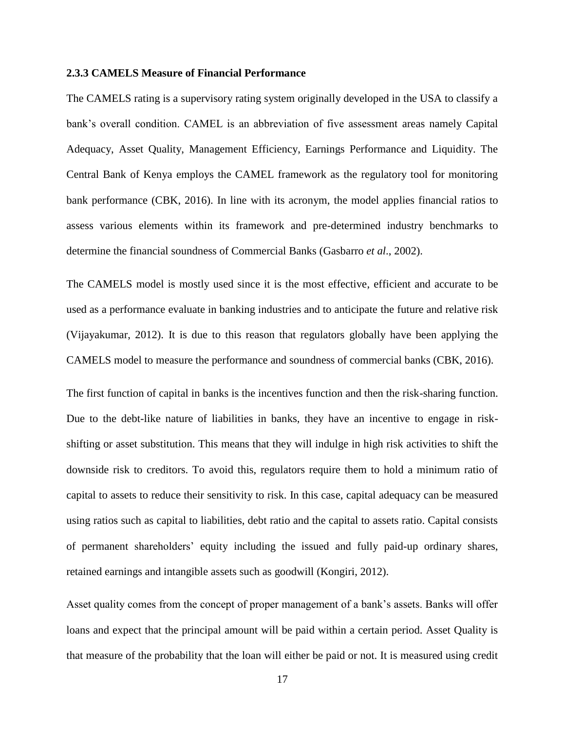#### <span id="page-28-0"></span>**2.3.3 CAMELS Measure of Financial Performance**

The CAMELS rating is a supervisory rating system originally developed in the USA to classify a bank's overall condition. CAMEL is an abbreviation of five assessment areas namely Capital Adequacy, Asset Quality, Management Efficiency, Earnings Performance and Liquidity. The Central Bank of Kenya employs the CAMEL framework as the regulatory tool for monitoring bank performance (CBK, 2016). In line with its acronym, the model applies financial ratios to assess various elements within its framework and pre-determined industry benchmarks to determine the financial soundness of Commercial Banks (Gasbarro *et al*., 2002).

The CAMELS model is mostly used since it is the most effective, efficient and accurate to be used as a performance evaluate in banking industries and to anticipate the future and relative risk (Vijayakumar, 2012). It is due to this reason that regulators globally have been applying the CAMELS model to measure the performance and soundness of commercial banks (CBK, 2016).

The first function of capital in banks is the incentives function and then the risk-sharing function. Due to the debt-like nature of liabilities in banks, they have an incentive to engage in riskshifting or asset substitution. This means that they will indulge in high risk activities to shift the downside risk to creditors. To avoid this, regulators require them to hold a minimum ratio of capital to assets to reduce their sensitivity to risk. In this case, capital adequacy can be measured using ratios such as capital to liabilities, debt ratio and the capital to assets ratio. Capital consists of permanent shareholders' equity including the issued and fully paid-up ordinary shares, retained earnings and intangible assets such as goodwill (Kongiri, 2012).

Asset quality comes from the concept of proper management of a bank's assets. Banks will offer loans and expect that the principal amount will be paid within a certain period. Asset Quality is that measure of the probability that the loan will either be paid or not. It is measured using credit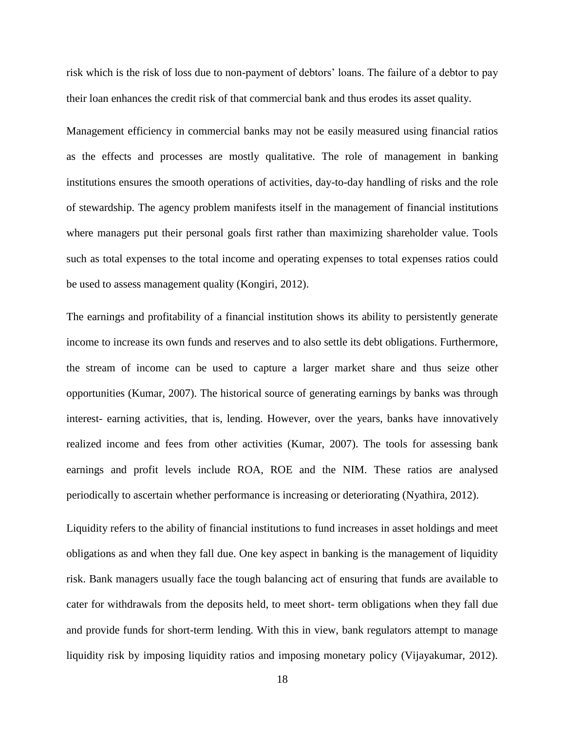risk which is the risk of loss due to non-payment of debtors' loans. The failure of a debtor to pay their loan enhances the credit risk of that commercial bank and thus erodes its asset quality.

Management efficiency in commercial banks may not be easily measured using financial ratios as the effects and processes are mostly qualitative. The role of management in banking institutions ensures the smooth operations of activities, day-to-day handling of risks and the role of stewardship. The agency problem manifests itself in the management of financial institutions where managers put their personal goals first rather than maximizing shareholder value. Tools such as total expenses to the total income and operating expenses to total expenses ratios could be used to assess management quality (Kongiri, 2012).

The earnings and profitability of a financial institution shows its ability to persistently generate income to increase its own funds and reserves and to also settle its debt obligations. Furthermore, the stream of income can be used to capture a larger market share and thus seize other opportunities (Kumar, 2007). The historical source of generating earnings by banks was through interest- earning activities, that is, lending. However, over the years, banks have innovatively realized income and fees from other activities (Kumar, 2007). The tools for assessing bank earnings and profit levels include ROA, ROE and the NIM. These ratios are analysed periodically to ascertain whether performance is increasing or deteriorating (Nyathira, 2012).

Liquidity refers to the ability of financial institutions to fund increases in asset holdings and meet obligations as and when they fall due. One key aspect in banking is the management of liquidity risk. Bank managers usually face the tough balancing act of ensuring that funds are available to cater for withdrawals from the deposits held, to meet short- term obligations when they fall due and provide funds for short-term lending. With this in view, bank regulators attempt to manage liquidity risk by imposing liquidity ratios and imposing monetary policy (Vijayakumar, 2012).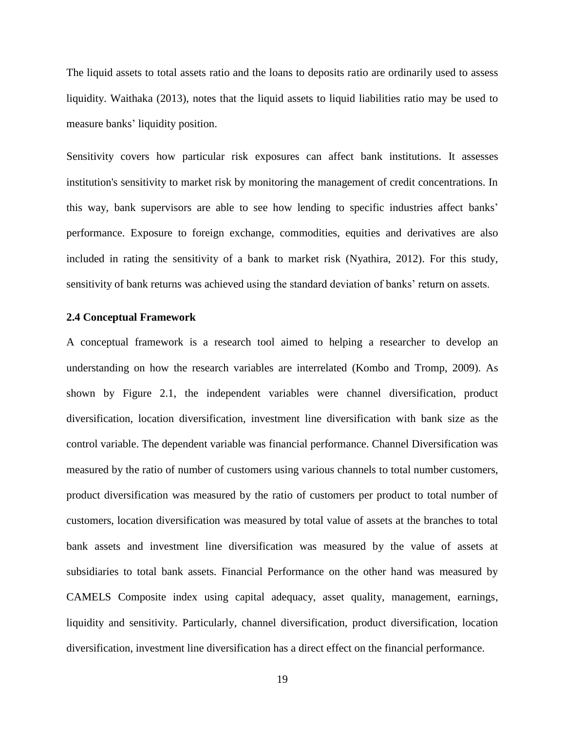The liquid assets to total assets ratio and the loans to deposits ratio are ordinarily used to assess liquidity. Waithaka (2013), notes that the liquid assets to liquid liabilities ratio may be used to measure banks' liquidity position.

Sensitivity covers how particular risk exposures can affect bank institutions. It assesses institution's sensitivity to market risk by monitoring the management of credit concentrations. In this way, bank supervisors are able to see how lending to specific industries affect banks' performance. Exposure to foreign exchange, commodities, equities and derivatives are also included in rating the sensitivity of a bank to market risk (Nyathira, 2012). For this study, sensitivity of bank returns was achieved using the standard deviation of banks' return on assets.

#### <span id="page-30-0"></span>**2.4 Conceptual Framework**

A conceptual framework is a research tool aimed to helping a researcher to develop an understanding on how the research variables are interrelated (Kombo and Tromp, 2009). As shown by Figure 2.1, the independent variables were channel diversification, product diversification, location diversification, investment line diversification with bank size as the control variable. The dependent variable was financial performance. Channel Diversification was measured by the ratio of number of customers using various channels to total number customers, product diversification was measured by the ratio of customers per product to total number of customers, location diversification was measured by total value of assets at the branches to total bank assets and investment line diversification was measured by the value of assets at subsidiaries to total bank assets. Financial Performance on the other hand was measured by CAMELS Composite index using capital adequacy, asset quality, management, earnings, liquidity and sensitivity. Particularly, channel diversification, product diversification, location diversification, investment line diversification has a direct effect on the financial performance.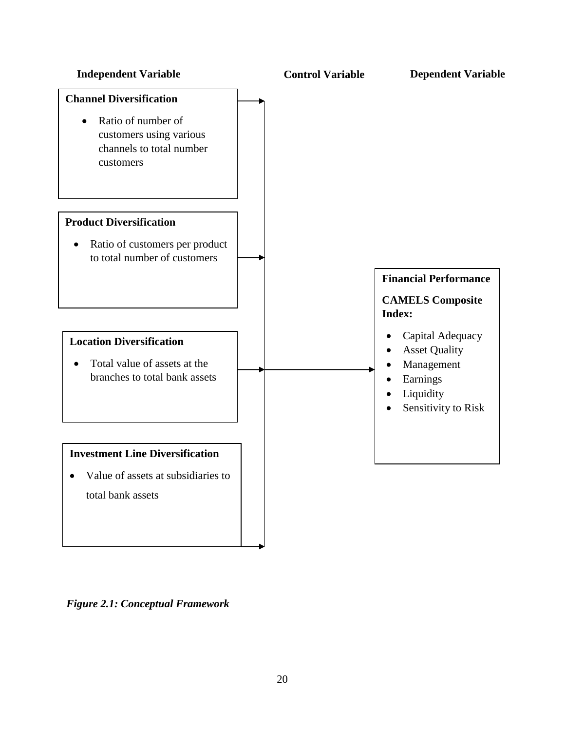

<span id="page-31-0"></span>*Figure 2.1: Conceptual Framework*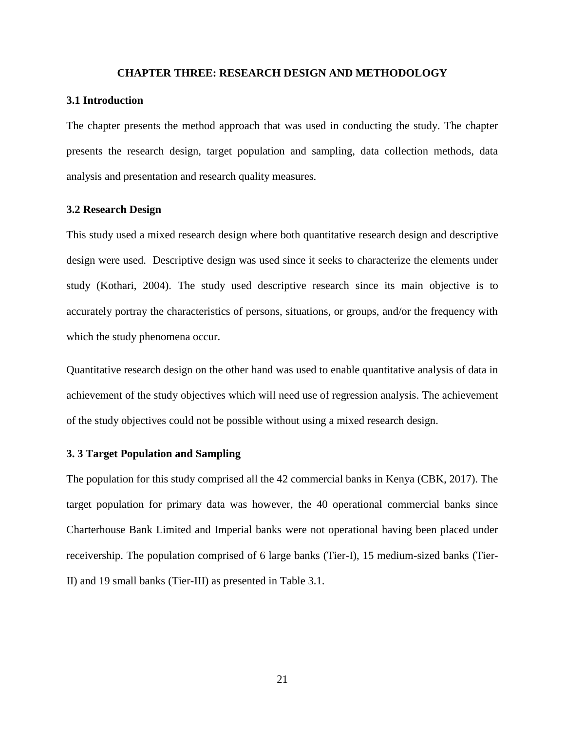#### **CHAPTER THREE: RESEARCH DESIGN AND METHODOLOGY**

#### <span id="page-32-1"></span><span id="page-32-0"></span>**3.1 Introduction**

The chapter presents the method approach that was used in conducting the study. The chapter presents the research design, target population and sampling, data collection methods, data analysis and presentation and research quality measures.

#### <span id="page-32-2"></span>**3.2 Research Design**

This study used a mixed research design where both quantitative research design and descriptive design were used. Descriptive design was used since it seeks to characterize the elements under study (Kothari, 2004). The study used descriptive research since its main objective is to accurately portray the characteristics of persons, situations, or groups, and/or the frequency with which the study phenomena occur.

Quantitative research design on the other hand was used to enable quantitative analysis of data in achievement of the study objectives which will need use of regression analysis. The achievement of the study objectives could not be possible without using a mixed research design.

#### <span id="page-32-3"></span>**3. 3 Target Population and Sampling**

The population for this study comprised all the 42 commercial banks in Kenya (CBK, 2017). The target population for primary data was however, the 40 operational commercial banks since Charterhouse Bank Limited and Imperial banks were not operational having been placed under receivership. The population comprised of 6 large banks (Tier-I), 15 medium-sized banks (Tier-II) and 19 small banks (Tier-III) as presented in Table 3.1.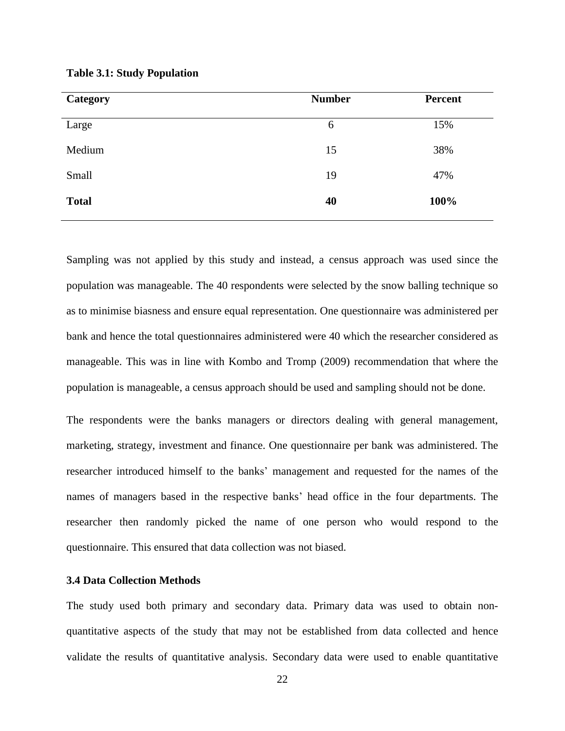| <b>Category</b> | <b>Number</b> | <b>Percent</b> |
|-----------------|---------------|----------------|
| Large           | 6             | 15%            |
| Medium          | 15            | 38%            |
| Small           | 19            | 47%            |
| <b>Total</b>    | 40            | 100%           |
|                 |               |                |

<span id="page-33-1"></span>**Table 3.1: Study Population**

Sampling was not applied by this study and instead, a census approach was used since the population was manageable. The 40 respondents were selected by the snow balling technique so as to minimise biasness and ensure equal representation. One questionnaire was administered per bank and hence the total questionnaires administered were 40 which the researcher considered as manageable. This was in line with Kombo and Tromp (2009) recommendation that where the population is manageable, a census approach should be used and sampling should not be done.

The respondents were the banks managers or directors dealing with general management, marketing, strategy, investment and finance. One questionnaire per bank was administered. The researcher introduced himself to the banks' management and requested for the names of the names of managers based in the respective banks' head office in the four departments. The researcher then randomly picked the name of one person who would respond to the questionnaire. This ensured that data collection was not biased.

#### <span id="page-33-0"></span>**3.4 Data Collection Methods**

The study used both primary and secondary data. Primary data was used to obtain nonquantitative aspects of the study that may not be established from data collected and hence validate the results of quantitative analysis. Secondary data were used to enable quantitative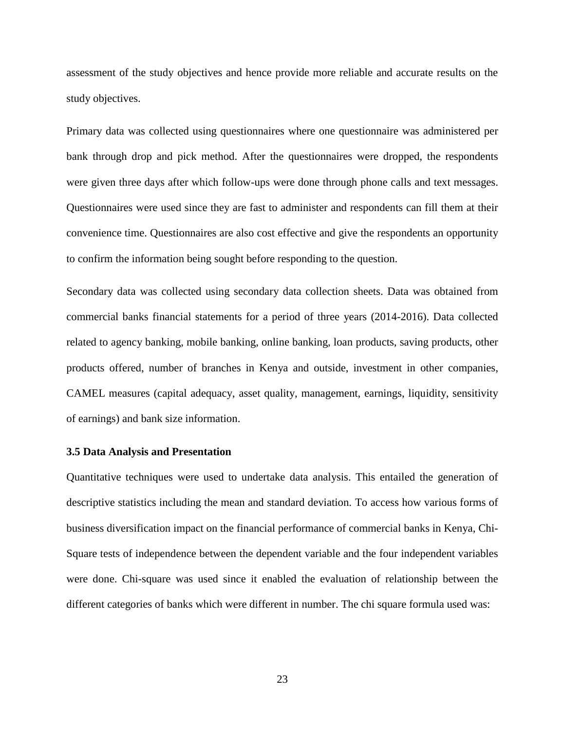assessment of the study objectives and hence provide more reliable and accurate results on the study objectives.

Primary data was collected using questionnaires where one questionnaire was administered per bank through drop and pick method. After the questionnaires were dropped, the respondents were given three days after which follow-ups were done through phone calls and text messages. Questionnaires were used since they are fast to administer and respondents can fill them at their convenience time. Questionnaires are also cost effective and give the respondents an opportunity to confirm the information being sought before responding to the question.

Secondary data was collected using secondary data collection sheets. Data was obtained from commercial banks financial statements for a period of three years (2014-2016). Data collected related to agency banking, mobile banking, online banking, loan products, saving products, other products offered, number of branches in Kenya and outside, investment in other companies, CAMEL measures (capital adequacy, asset quality, management, earnings, liquidity, sensitivity of earnings) and bank size information.

#### <span id="page-34-0"></span>**3.5 Data Analysis and Presentation**

Quantitative techniques were used to undertake data analysis. This entailed the generation of descriptive statistics including the mean and standard deviation. To access how various forms of business diversification impact on the financial performance of commercial banks in Kenya, Chi-Square tests of independence between the dependent variable and the four independent variables were done. Chi-square was used since it enabled the evaluation of relationship between the different categories of banks which were different in number. The chi square formula used was: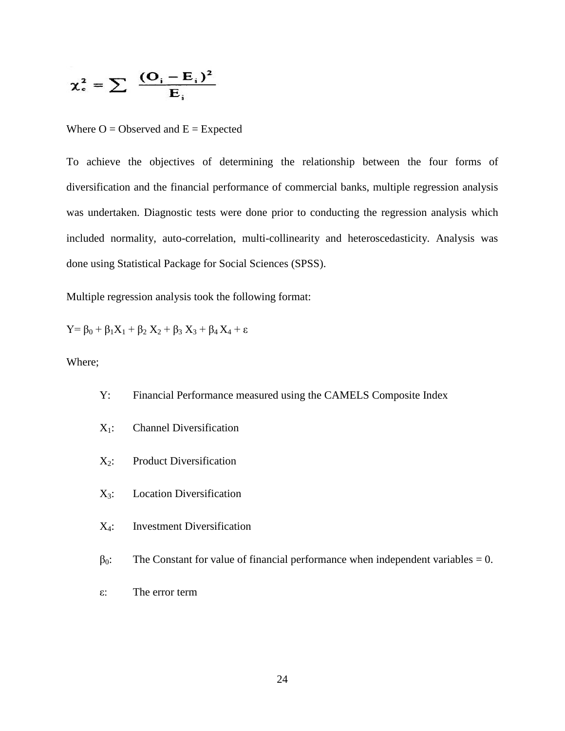$$
\chi_c^2 = \sum \frac{(\mathbf{O}_i - \mathbf{E}_i)^2}{\mathbf{E}_i}
$$

Where  $O = Observed$  and  $E = Expected$ 

To achieve the objectives of determining the relationship between the four forms of diversification and the financial performance of commercial banks, multiple regression analysis was undertaken. Diagnostic tests were done prior to conducting the regression analysis which included normality, auto-correlation, multi-collinearity and heteroscedasticity. Analysis was done using Statistical Package for Social Sciences (SPSS).

Multiple regression analysis took the following format:

Y=  $\beta_0 + \beta_1 X_1 + \beta_2 X_2 + \beta_3 X_3 + \beta_4 X_4 + \varepsilon$ 

Where;

- Y: Financial Performance measured using the CAMELS Composite Index
- X1: Channel Diversification
- $X_2$ : Product Diversification
- X3: Location Diversification
- X4: Investment Diversification
- $\beta_0$ : The Constant for value of financial performance when independent variables = 0.
- ε: The error term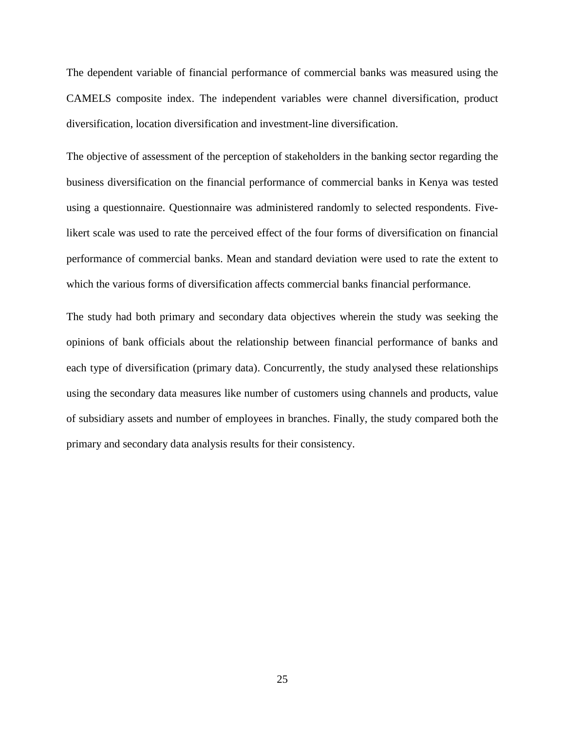The dependent variable of financial performance of commercial banks was measured using the CAMELS composite index. The independent variables were channel diversification, product diversification, location diversification and investment-line diversification.

The objective of assessment of the perception of stakeholders in the banking sector regarding the business diversification on the financial performance of commercial banks in Kenya was tested using a questionnaire. Questionnaire was administered randomly to selected respondents. Fivelikert scale was used to rate the perceived effect of the four forms of diversification on financial performance of commercial banks. Mean and standard deviation were used to rate the extent to which the various forms of diversification affects commercial banks financial performance.

The study had both primary and secondary data objectives wherein the study was seeking the opinions of bank officials about the relationship between financial performance of banks and each type of diversification (primary data). Concurrently, the study analysed these relationships using the secondary data measures like number of customers using channels and products, value of subsidiary assets and number of employees in branches. Finally, the study compared both the primary and secondary data analysis results for their consistency.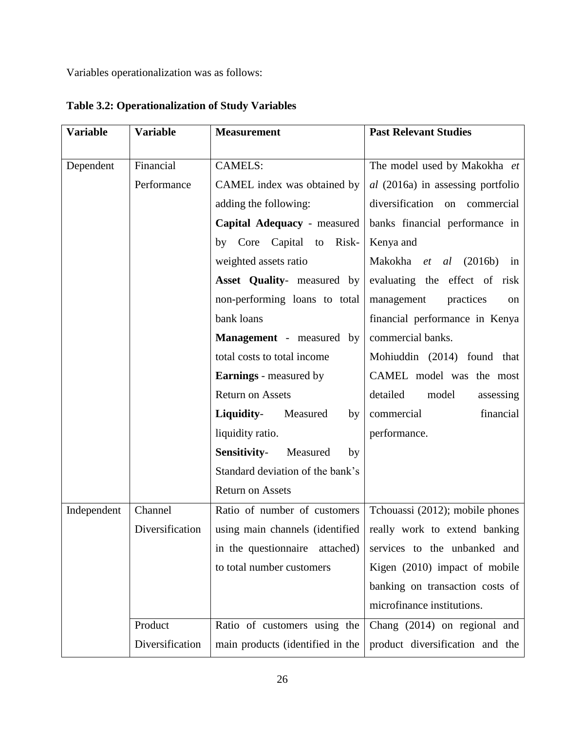Variables operationalization was as follows:

| <b>Variable</b> | <b>Variable</b> | <b>Measurement</b>                | <b>Past Relevant Studies</b>             |
|-----------------|-----------------|-----------------------------------|------------------------------------------|
|                 |                 |                                   |                                          |
| Dependent       | Financial       | <b>CAMELS:</b>                    | The model used by Makokha et             |
|                 | Performance     | CAMEL index was obtained by       | <i>al</i> (2016a) in assessing portfolio |
|                 |                 | adding the following:             | diversification on commercial            |
|                 |                 | Capital Adequacy - measured       | banks financial performance in           |
|                 |                 | by Core Capital to<br>Risk-       | Kenya and                                |
|                 |                 | weighted assets ratio             | Makokha <i>et al</i> (2016b)<br>in       |
|                 |                 | <b>Asset Quality-</b> measured by | evaluating the effect of risk            |
|                 |                 | non-performing loans to total     | management<br>practices<br>on            |
|                 |                 | bank loans                        | financial performance in Kenya           |
|                 |                 | <b>Management</b> - measured by   | commercial banks.                        |
|                 |                 | total costs to total income       | Mohiuddin (2014) found that              |
|                 |                 | <b>Earnings</b> - measured by     | CAMEL model was the most                 |
|                 |                 | <b>Return on Assets</b>           | detailed<br>model<br>assessing           |
|                 |                 | Liquidity-<br>Measured<br>by      | financial<br>commercial                  |
|                 |                 | liquidity ratio.                  | performance.                             |
|                 |                 | Sensitivity-<br>Measured<br>by    |                                          |
|                 |                 | Standard deviation of the bank's  |                                          |
|                 |                 | <b>Return on Assets</b>           |                                          |
| Independent     | Channel         | Ratio of number of customers      | Tchouassi (2012); mobile phones          |
|                 | Diversification | using main channels (identified   | really work to extend banking            |
|                 |                 | in the question aire<br>attached) | services to the unbanked and             |
|                 |                 | to total number customers         | Kigen (2010) impact of mobile            |
|                 |                 |                                   | banking on transaction costs of          |
|                 |                 |                                   | microfinance institutions.               |
|                 | Product         | Ratio of customers using the      | Chang $(2014)$ on regional and           |
|                 | Diversification | main products (identified in the  | product diversification and the          |

**Table 3.2: Operationalization of Study Variables**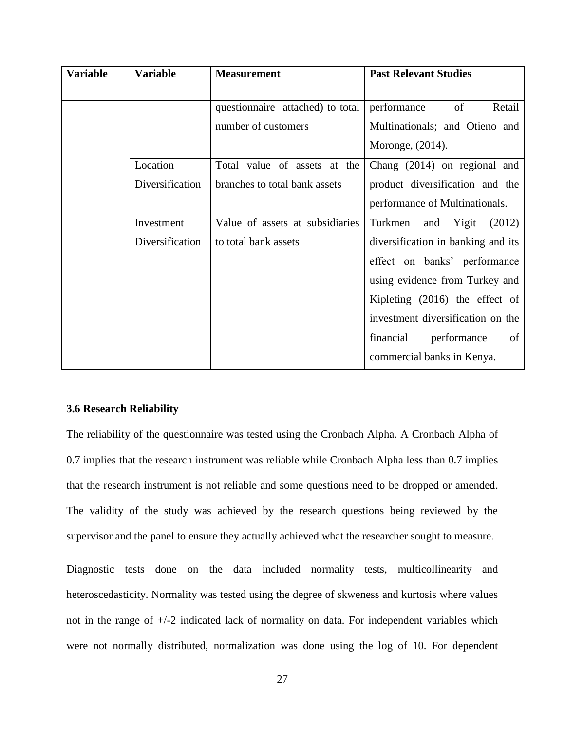| <b>Variable</b> | <b>Variable</b> | <b>Measurement</b>               | <b>Past Relevant Studies</b>       |
|-----------------|-----------------|----------------------------------|------------------------------------|
|                 |                 |                                  |                                    |
|                 |                 | questionnaire attached) to total | of<br>performance<br>Retail        |
|                 |                 | number of customers              | Multinationals; and Otieno and     |
|                 |                 |                                  | Moronge, $(2014)$ .                |
|                 | Location        | Total value of assets at the     | Chang (2014) on regional and       |
|                 | Diversification | branches to total bank assets    | product diversification and the    |
|                 |                 |                                  | performance of Multinationals.     |
|                 | Investment      | Value of assets at subsidiaries  | Turkmen<br>Yigit<br>(2012)<br>and  |
|                 | Diversification | to total bank assets             | diversification in banking and its |
|                 |                 |                                  | effect on banks' performance       |
|                 |                 |                                  | using evidence from Turkey and     |
|                 |                 |                                  | Kipleting $(2016)$ the effect of   |
|                 |                 |                                  | investment diversification on the  |
|                 |                 |                                  | financial<br>performance<br>of     |
|                 |                 |                                  | commercial banks in Kenya.         |

## **3.6 Research Reliability**

The reliability of the questionnaire was tested using the Cronbach Alpha. A Cronbach Alpha of 0.7 implies that the research instrument was reliable while Cronbach Alpha less than 0.7 implies that the research instrument is not reliable and some questions need to be dropped or amended. The validity of the study was achieved by the research questions being reviewed by the supervisor and the panel to ensure they actually achieved what the researcher sought to measure.

Diagnostic tests done on the data included normality tests, multicollinearity and heteroscedasticity. Normality was tested using the degree of skweness and kurtosis where values not in the range of +/-2 indicated lack of normality on data. For independent variables which were not normally distributed, normalization was done using the log of 10. For dependent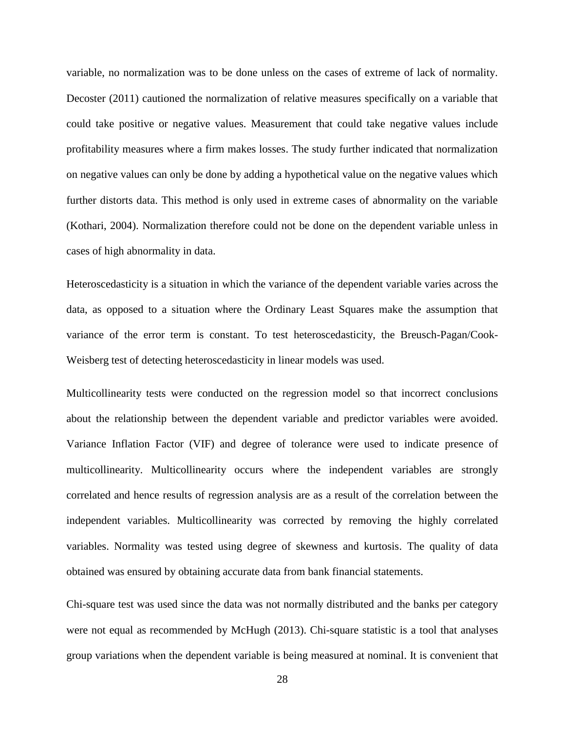variable, no normalization was to be done unless on the cases of extreme of lack of normality. Decoster (2011) cautioned the normalization of relative measures specifically on a variable that could take positive or negative values. Measurement that could take negative values include profitability measures where a firm makes losses. The study further indicated that normalization on negative values can only be done by adding a hypothetical value on the negative values which further distorts data. This method is only used in extreme cases of abnormality on the variable (Kothari, 2004). Normalization therefore could not be done on the dependent variable unless in cases of high abnormality in data.

Heteroscedasticity is a situation in which the variance of the dependent variable varies across the data, as opposed to a situation where the Ordinary Least Squares make the assumption that variance of the error term is constant. To test heteroscedasticity, the Breusch-Pagan/Cook-Weisberg test of detecting heteroscedasticity in linear models was used.

Multicollinearity tests were conducted on the regression model so that incorrect conclusions about the relationship between the dependent variable and predictor variables were avoided. Variance Inflation Factor (VIF) and degree of tolerance were used to indicate presence of multicollinearity. Multicollinearity occurs where the independent variables are strongly correlated and hence results of regression analysis are as a result of the correlation between the independent variables. Multicollinearity was corrected by removing the highly correlated variables. Normality was tested using degree of skewness and kurtosis. The quality of data obtained was ensured by obtaining accurate data from bank financial statements.

Chi-square test was used since the data was not normally distributed and the banks per category were not equal as recommended by McHugh (2013). Chi-square statistic is a tool that analyses group variations when the dependent variable is being measured at nominal. It is convenient that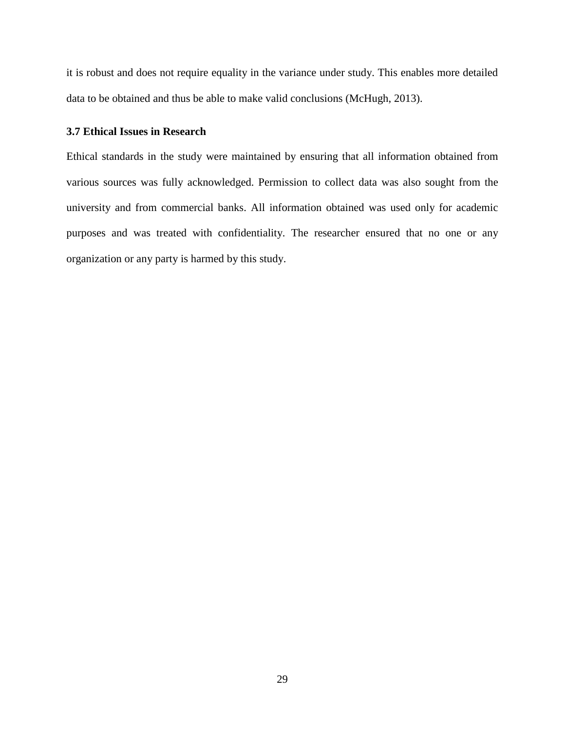it is robust and does not require equality in the variance under study. This enables more detailed data to be obtained and thus be able to make valid conclusions (McHugh, 2013).

# **3.7 Ethical Issues in Research**

Ethical standards in the study were maintained by ensuring that all information obtained from various sources was fully acknowledged. Permission to collect data was also sought from the university and from commercial banks. All information obtained was used only for academic purposes and was treated with confidentiality. The researcher ensured that no one or any organization or any party is harmed by this study.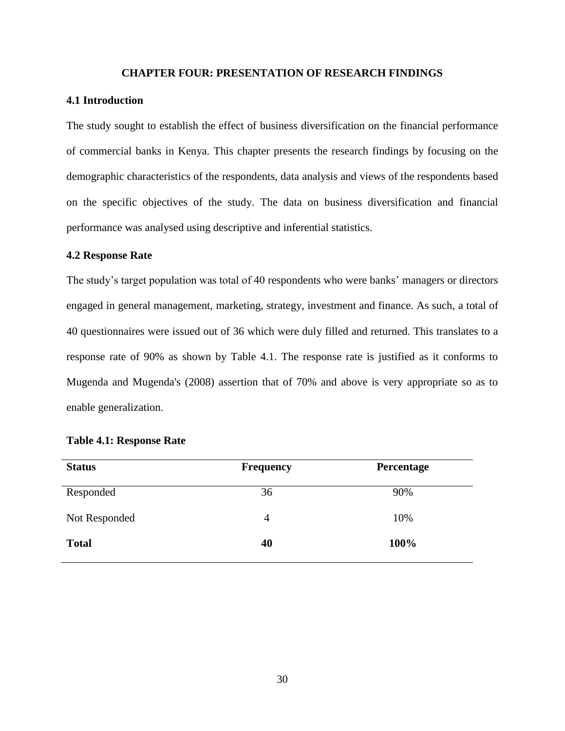### **CHAPTER FOUR: PRESENTATION OF RESEARCH FINDINGS**

### **4.1 Introduction**

The study sought to establish the effect of business diversification on the financial performance of commercial banks in Kenya. This chapter presents the research findings by focusing on the demographic characteristics of the respondents, data analysis and views of the respondents based on the specific objectives of the study. The data on business diversification and financial performance was analysed using descriptive and inferential statistics.

## **4.2 Response Rate**

The study's target population was total of 40 respondents who were banks' managers or directors engaged in general management, marketing, strategy, investment and finance. As such, a total of 40 questionnaires were issued out of 36 which were duly filled and returned. This translates to a response rate of 90% as shown by Table 4.1. The response rate is justified as it conforms to Mugenda and Mugenda's (2008) assertion that of 70% and above is very appropriate so as to enable generalization.

| <b>Status</b> | <b>Frequency</b> | <b>Percentage</b> |
|---------------|------------------|-------------------|
| Responded     | 36               | 90%               |
| Not Responded | $\overline{4}$   | 10%               |
| <b>Total</b>  | 40               | 100%              |

# **Table 4.1: Response Rate**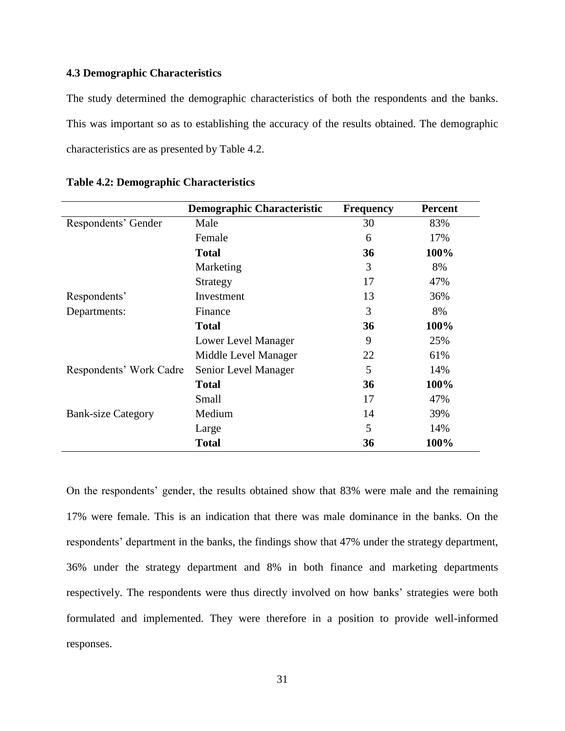# **4.3 Demographic Characteristics**

The study determined the demographic characteristics of both the respondents and the banks. This was important so as to establishing the accuracy of the results obtained. The demographic characteristics are as presented by Table 4.2.

|                           | <b>Demographic Characteristic</b> | <b>Frequency</b> | <b>Percent</b> |
|---------------------------|-----------------------------------|------------------|----------------|
| Respondents' Gender       | Male                              | 30               | 83%            |
|                           | Female                            | 6                | 17%            |
|                           | <b>Total</b>                      | 36               | 100%           |
|                           | Marketing                         | 3                | 8%             |
|                           | Strategy                          | 17               | 47%            |
| Respondents'              | Investment                        | 13               | 36%            |
| Departments:              | Finance                           | 3                | 8%             |
|                           | <b>Total</b>                      | 36               | 100%           |
|                           | Lower Level Manager               | 9                | 25%            |
|                           | Middle Level Manager              | 22               | 61%            |
| Respondents' Work Cadre   | Senior Level Manager              | 5                | 14%            |
|                           | <b>Total</b>                      | 36               | 100%           |
|                           | Small                             | 17               | 47%            |
| <b>Bank-size Category</b> | Medium                            | 14               | 39%            |
|                           | Large                             | 5                | 14%            |
|                           | <b>Total</b>                      | 36               | 100%           |

|  |  | <b>Table 4.2: Demographic Characteristics</b> |
|--|--|-----------------------------------------------|
|--|--|-----------------------------------------------|

On the respondents' gender, the results obtained show that 83% were male and the remaining 17% were female. This is an indication that there was male dominance in the banks. On the respondents' department in the banks, the findings show that 47% under the strategy department, 36% under the strategy department and 8% in both finance and marketing departments respectively. The respondents were thus directly involved on how banks' strategies were both formulated and implemented. They were therefore in a position to provide well-informed responses.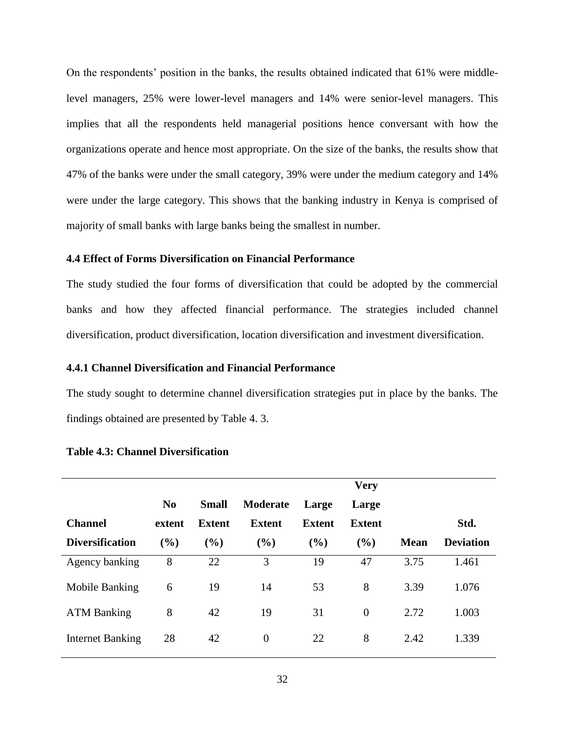On the respondents' position in the banks, the results obtained indicated that 61% were middlelevel managers, 25% were lower-level managers and 14% were senior-level managers. This implies that all the respondents held managerial positions hence conversant with how the organizations operate and hence most appropriate. On the size of the banks, the results show that 47% of the banks were under the small category, 39% were under the medium category and 14% were under the large category. This shows that the banking industry in Kenya is comprised of majority of small banks with large banks being the smallest in number.

# **4.4 Effect of Forms Diversification on Financial Performance**

The study studied the four forms of diversification that could be adopted by the commercial banks and how they affected financial performance. The strategies included channel diversification, product diversification, location diversification and investment diversification.

## **4.4.1 Channel Diversification and Financial Performance**

The study sought to determine channel diversification strategies put in place by the banks. The findings obtained are presented by Table 4. 3.

|                         |                |              |               |               | <b>Very</b>    |             |                  |
|-------------------------|----------------|--------------|---------------|---------------|----------------|-------------|------------------|
|                         | N <sub>0</sub> | <b>Small</b> | Moderate      | Large         | Large          |             |                  |
| <b>Channel</b>          | extent         | Extent       | <b>Extent</b> | <b>Extent</b> | <b>Extent</b>  |             | Std.             |
| <b>Diversification</b>  | (%)            | (%)          | (%)           | (%)           | (%)            | <b>Mean</b> | <b>Deviation</b> |
| Agency banking          | 8              | 22           | 3             | 19            | 47             | 3.75        | 1.461            |
| Mobile Banking          | 6              | 19           | 14            | 53            | 8              | 3.39        | 1.076            |
| <b>ATM Banking</b>      | 8              | 42           | 19            | 31            | $\overline{0}$ | 2.72        | 1.003            |
| <b>Internet Banking</b> | 28             | 42           | $\theta$      | 22            | 8              | 2.42        | 1.339            |

## **Table 4.3: Channel Diversification**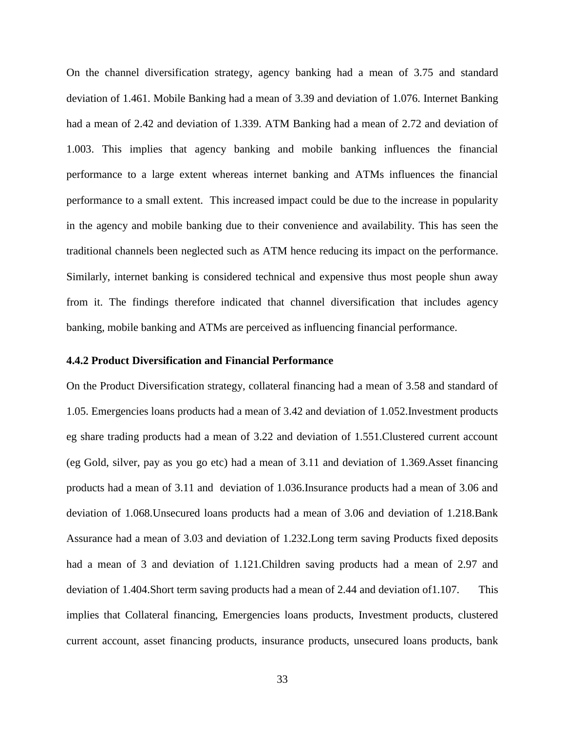On the channel diversification strategy, agency banking had a mean of 3.75 and standard deviation of 1.461. Mobile Banking had a mean of 3.39 and deviation of 1.076. Internet Banking had a mean of 2.42 and deviation of 1.339. ATM Banking had a mean of 2.72 and deviation of 1.003. This implies that agency banking and mobile banking influences the financial performance to a large extent whereas internet banking and ATMs influences the financial performance to a small extent. This increased impact could be due to the increase in popularity in the agency and mobile banking due to their convenience and availability. This has seen the traditional channels been neglected such as ATM hence reducing its impact on the performance. Similarly, internet banking is considered technical and expensive thus most people shun away from it. The findings therefore indicated that channel diversification that includes agency banking, mobile banking and ATMs are perceived as influencing financial performance.

# **4.4.2 Product Diversification and Financial Performance**

On the Product Diversification strategy, collateral financing had a mean of 3.58 and standard of 1.05. Emergencies loans products had a mean of 3.42 and deviation of 1.052.Investment products eg share trading products had a mean of 3.22 and deviation of 1.551.Clustered current account (eg Gold, silver, pay as you go etc) had a mean of 3.11 and deviation of 1.369.Asset financing products had a mean of 3.11 and deviation of 1.036.Insurance products had a mean of 3.06 and deviation of 1.068.Unsecured loans products had a mean of 3.06 and deviation of 1.218.Bank Assurance had a mean of 3.03 and deviation of 1.232.Long term saving Products fixed deposits had a mean of 3 and deviation of 1.121.Children saving products had a mean of 2.97 and deviation of 1.404.Short term saving products had a mean of 2.44 and deviation of1.107. This implies that Collateral financing, Emergencies loans products, Investment products, clustered current account, asset financing products, insurance products, unsecured loans products, bank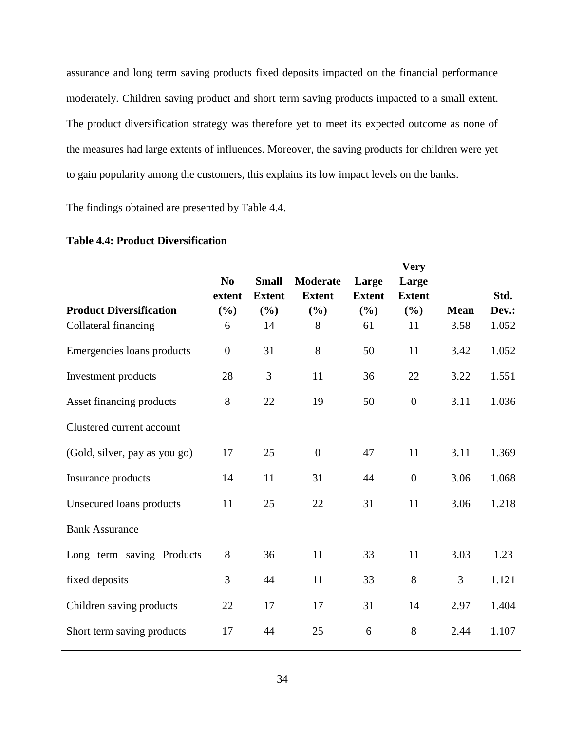assurance and long term saving products fixed deposits impacted on the financial performance moderately. Children saving product and short term saving products impacted to a small extent. The product diversification strategy was therefore yet to meet its expected outcome as none of the measures had large extents of influences. Moreover, the saving products for children were yet to gain popularity among the customers, this explains its low impact levels on the banks.

The findings obtained are presented by Table 4.4.

|                                |                  |               |                  |               | <b>Very</b>      |             |       |
|--------------------------------|------------------|---------------|------------------|---------------|------------------|-------------|-------|
|                                | N <sub>0</sub>   | <b>Small</b>  | <b>Moderate</b>  | Large         | Large            |             |       |
|                                | extent           | <b>Extent</b> | <b>Extent</b>    | <b>Extent</b> | <b>Extent</b>    |             | Std.  |
| <b>Product Diversification</b> | (%)              | (%)           | $(\%)$           | $(\%)$        | $(\%)$           | <b>Mean</b> | Dev.: |
| Collateral financing           | 6                | 14            | 8                | 61            | 11               | 3.58        | 1.052 |
| Emergencies loans products     | $\boldsymbol{0}$ | 31            | 8                | 50            | 11               | 3.42        | 1.052 |
| Investment products            | 28               | 3             | 11               | 36            | 22               | 3.22        | 1.551 |
| Asset financing products       | 8                | 22            | 19               | 50            | $\boldsymbol{0}$ | 3.11        | 1.036 |
| Clustered current account      |                  |               |                  |               |                  |             |       |
| (Gold, silver, pay as you go)  | 17               | 25            | $\boldsymbol{0}$ | 47            | 11               | 3.11        | 1.369 |
| Insurance products             | 14               | 11            | 31               | 44            | $\boldsymbol{0}$ | 3.06        | 1.068 |
| Unsecured loans products       | 11               | 25            | 22               | 31            | 11               | 3.06        | 1.218 |
| <b>Bank Assurance</b>          |                  |               |                  |               |                  |             |       |
| Long term saving Products      | 8                | 36            | 11               | 33            | 11               | 3.03        | 1.23  |
| fixed deposits                 | 3                | 44            | 11               | 33            | 8                | 3           | 1.121 |
| Children saving products       | 22               | 17            | 17               | 31            | 14               | 2.97        | 1.404 |
| Short term saving products     | 17               | 44            | 25               | 6             | 8                | 2.44        | 1.107 |

# **Table 4.4: Product Diversification**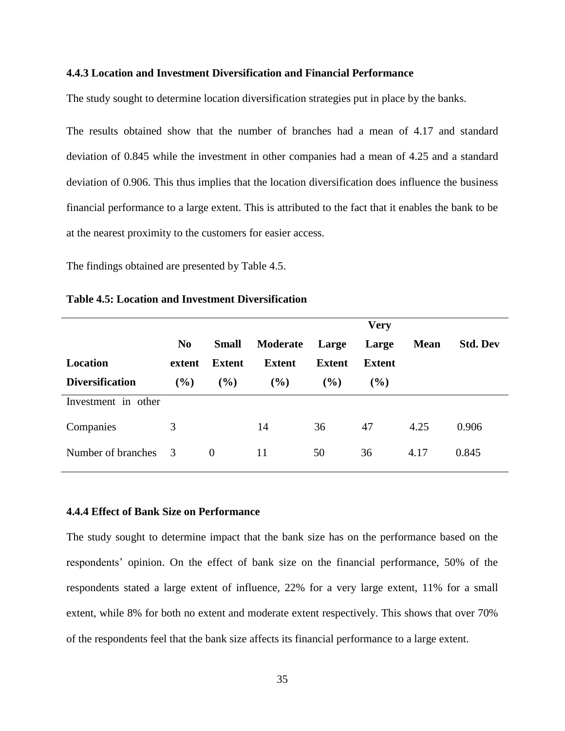#### **4.4.3 Location and Investment Diversification and Financial Performance**

The study sought to determine location diversification strategies put in place by the banks.

The results obtained show that the number of branches had a mean of 4.17 and standard deviation of 0.845 while the investment in other companies had a mean of 4.25 and a standard deviation of 0.906. This thus implies that the location diversification does influence the business financial performance to a large extent. This is attributed to the fact that it enables the bank to be at the nearest proximity to the customers for easier access.

The findings obtained are presented by Table 4.5.

|                        |                |               |               |               | <b>Very</b>   |             |                 |
|------------------------|----------------|---------------|---------------|---------------|---------------|-------------|-----------------|
|                        | N <sub>0</sub> | <b>Small</b>  | Moderate      | Large         | Large         | <b>Mean</b> | <b>Std. Dev</b> |
| Location               | extent         | <b>Extent</b> | <b>Extent</b> | <b>Extent</b> | <b>Extent</b> |             |                 |
| <b>Diversification</b> | $($ %)         | (%)           | $($ %)        | (%)           | $(\%)$        |             |                 |
| Investment in other    |                |               |               |               |               |             |                 |
| Companies              | 3              |               | 14            | 36            | 47            | 4.25        | 0.906           |
| Number of branches     | - 3            | $\theta$      | 11            | 50            | 36            | 4.17        | 0.845           |

## **Table 4.5: Location and Investment Diversification**

#### **4.4.4 Effect of Bank Size on Performance**

The study sought to determine impact that the bank size has on the performance based on the respondents' opinion. On the effect of bank size on the financial performance, 50% of the respondents stated a large extent of influence, 22% for a very large extent, 11% for a small extent, while 8% for both no extent and moderate extent respectively. This shows that over 70% of the respondents feel that the bank size affects its financial performance to a large extent.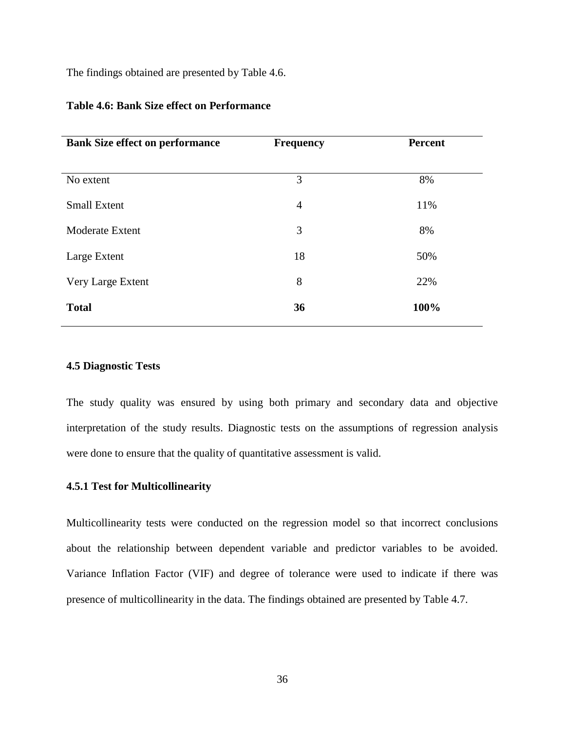The findings obtained are presented by Table 4.6.

| <b>Bank Size effect on performance</b> | <b>Frequency</b> | <b>Percent</b> |
|----------------------------------------|------------------|----------------|
|                                        |                  |                |
| No extent                              | 3                | 8%             |
| <b>Small Extent</b>                    | $\overline{4}$   | 11%            |
| Moderate Extent                        | 3                | 8%             |
| Large Extent                           | 18               | 50%            |
| Very Large Extent                      | 8                | 22%            |
| <b>Total</b>                           | 36               | 100%           |
|                                        |                  |                |

## **Table 4.6: Bank Size effect on Performance**

## **4.5 Diagnostic Tests**

The study quality was ensured by using both primary and secondary data and objective interpretation of the study results. Diagnostic tests on the assumptions of regression analysis were done to ensure that the quality of quantitative assessment is valid.

## **4.5.1 Test for Multicollinearity**

Multicollinearity tests were conducted on the regression model so that incorrect conclusions about the relationship between dependent variable and predictor variables to be avoided. Variance Inflation Factor (VIF) and degree of tolerance were used to indicate if there was presence of multicollinearity in the data. The findings obtained are presented by Table 4.7.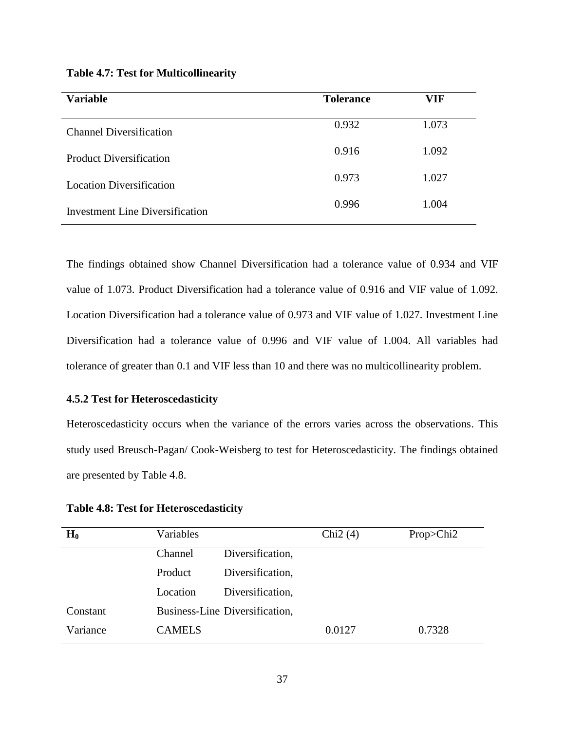| <b>Variable</b>                        | <b>Tolerance</b> | VIF   |
|----------------------------------------|------------------|-------|
| <b>Channel Diversification</b>         | 0.932            | 1.073 |
| <b>Product Diversification</b>         | 0.916            | 1.092 |
| <b>Location Diversification</b>        | 0.973            | 1.027 |
| <b>Investment Line Diversification</b> | 0.996            | 1.004 |

## **Table 4.7: Test for Multicollinearity**

The findings obtained show Channel Diversification had a tolerance value of 0.934 and VIF value of 1.073. Product Diversification had a tolerance value of 0.916 and VIF value of 1.092. Location Diversification had a tolerance value of 0.973 and VIF value of 1.027. Investment Line Diversification had a tolerance value of 0.996 and VIF value of 1.004. All variables had tolerance of greater than 0.1 and VIF less than 10 and there was no multicollinearity problem.

# **4.5.2 Test for Heteroscedasticity**

Heteroscedasticity occurs when the variance of the errors varies across the observations. This study used Breusch-Pagan/ Cook-Weisberg to test for Heteroscedasticity. The findings obtained are presented by Table 4.8.

**Table 4.8: Test for Heteroscedasticity**

| $H_0$    | Variables     |                                | Chi <sub>2</sub> $(4)$ | $Prop<$ Chi2 |
|----------|---------------|--------------------------------|------------------------|--------------|
|          | Channel       | Diversification,               |                        |              |
|          | Product       | Diversification,               |                        |              |
|          | Location      | Diversification,               |                        |              |
| Constant |               | Business-Line Diversification, |                        |              |
| Variance | <b>CAMELS</b> |                                | 0.0127                 | 0.7328       |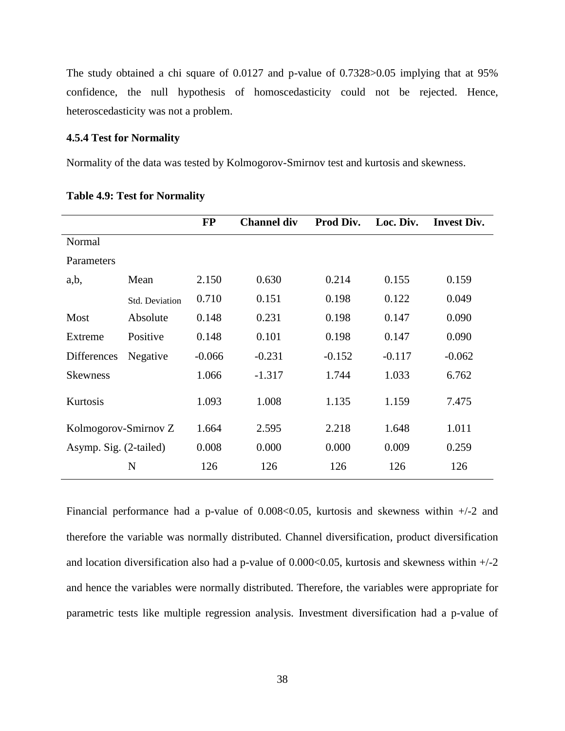The study obtained a chi square of 0.0127 and p-value of 0.7328>0.05 implying that at 95% confidence, the null hypothesis of homoscedasticity could not be rejected. Hence, heteroscedasticity was not a problem.

# **4.5.4 Test for Normality**

Normality of the data was tested by Kolmogorov-Smirnov test and kurtosis and skewness.

|                        |                | <b>FP</b> | <b>Channel div</b> | Prod Div. | Loc. Div. | <b>Invest Div.</b> |
|------------------------|----------------|-----------|--------------------|-----------|-----------|--------------------|
| Normal                 |                |           |                    |           |           |                    |
| Parameters             |                |           |                    |           |           |                    |
| a,b,                   | Mean           | 2.150     | 0.630              | 0.214     | 0.155     | 0.159              |
|                        | Std. Deviation | 0.710     | 0.151              | 0.198     | 0.122     | 0.049              |
| Most                   | Absolute       | 0.148     | 0.231              | 0.198     | 0.147     | 0.090              |
| Extreme                | Positive       | 0.148     | 0.101              | 0.198     | 0.147     | 0.090              |
| <b>Differences</b>     | Negative       | $-0.066$  | $-0.231$           | $-0.152$  | $-0.117$  | $-0.062$           |
| <b>Skewness</b>        |                | 1.066     | $-1.317$           | 1.744     | 1.033     | 6.762              |
| Kurtosis               |                | 1.093     | 1.008              | 1.135     | 1.159     | 7.475              |
| Kolmogorov-Smirnov Z   |                | 1.664     | 2.595              | 2.218     | 1.648     | 1.011              |
| Asymp. Sig. (2-tailed) |                | 0.008     | 0.000              | 0.000     | 0.009     | 0.259              |
|                        | N              | 126       | 126                | 126       | 126       | 126                |

|  |  | <b>Table 4.9: Test for Normality</b> |
|--|--|--------------------------------------|
|--|--|--------------------------------------|

Financial performance had a p-value of  $0.008<0.05$ , kurtosis and skewness within  $+/2$  and therefore the variable was normally distributed. Channel diversification, product diversification and location diversification also had a p-value of  $0.000<0.05$ , kurtosis and skewness within  $+/2$ and hence the variables were normally distributed. Therefore, the variables were appropriate for parametric tests like multiple regression analysis. Investment diversification had a p-value of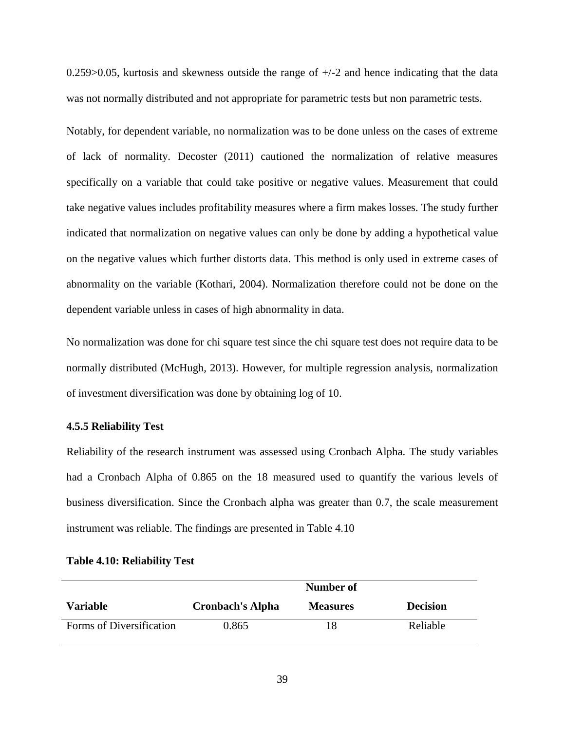$0.259$  > 0.05, kurtosis and skewness outside the range of  $+/-2$  and hence indicating that the data was not normally distributed and not appropriate for parametric tests but non parametric tests.

Notably, for dependent variable, no normalization was to be done unless on the cases of extreme of lack of normality. Decoster (2011) cautioned the normalization of relative measures specifically on a variable that could take positive or negative values. Measurement that could take negative values includes profitability measures where a firm makes losses. The study further indicated that normalization on negative values can only be done by adding a hypothetical value on the negative values which further distorts data. This method is only used in extreme cases of abnormality on the variable (Kothari, 2004). Normalization therefore could not be done on the dependent variable unless in cases of high abnormality in data.

No normalization was done for chi square test since the chi square test does not require data to be normally distributed (McHugh, 2013). However, for multiple regression analysis, normalization of investment diversification was done by obtaining log of 10.

## **4.5.5 Reliability Test**

Reliability of the research instrument was assessed using Cronbach Alpha. The study variables had a Cronbach Alpha of 0.865 on the 18 measured used to quantify the various levels of business diversification. Since the Cronbach alpha was greater than 0.7, the scale measurement instrument was reliable. The findings are presented in Table 4.10

|                          | Number of               |                 |                 |  |  |
|--------------------------|-------------------------|-----------------|-----------------|--|--|
| <b>Variable</b>          | <b>Cronbach's Alpha</b> | <b>Measures</b> | <b>Decision</b> |  |  |
| Forms of Diversification | 0.865                   | 18              | Reliable        |  |  |

## **Table 4.10: Reliability Test**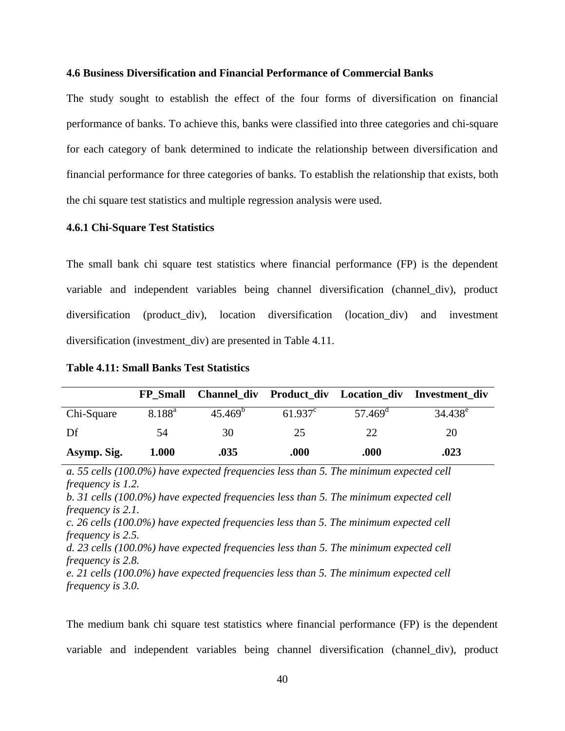### **4.6 Business Diversification and Financial Performance of Commercial Banks**

The study sought to establish the effect of the four forms of diversification on financial performance of banks. To achieve this, banks were classified into three categories and chi-square for each category of bank determined to indicate the relationship between diversification and financial performance for three categories of banks. To establish the relationship that exists, both the chi square test statistics and multiple regression analysis were used.

## **4.6.1 Chi-Square Test Statistics**

The small bank chi square test statistics where financial performance (FP) is the dependent variable and independent variables being channel diversification (channel\_div), product diversification (product\_div), location diversification (location\_div) and investment diversification (investment\_div) are presented in Table 4.11.

| <b>Table 4.11: Small Banks Test Statistics</b> |  |
|------------------------------------------------|--|
|------------------------------------------------|--|

|             | <b>FP</b> Small |                  |                  |                  | Channel_div Product_div Location_div Investment_div |
|-------------|-----------------|------------------|------------------|------------------|-----------------------------------------------------|
| Chi-Square  | $8.188^{a}$     | $45.469^{\circ}$ | $61.937^{\circ}$ | $57.469^{\circ}$ | $34.438^e$                                          |
| Df          | 54              | 30               | 25               | 22               | 20                                                  |
| Asymp. Sig. | 1.000           | .035             | .000             | .000             | .023                                                |

*a. 55 cells (100.0%) have expected frequencies less than 5. The minimum expected cell frequency is 1.2. b. 31 cells (100.0%) have expected frequencies less than 5. The minimum expected cell frequency is 2.1. c. 26 cells (100.0%) have expected frequencies less than 5. The minimum expected cell frequency is 2.5. d. 23 cells (100.0%) have expected frequencies less than 5. The minimum expected cell frequency is 2.8. e. 21 cells (100.0%) have expected frequencies less than 5. The minimum expected cell frequency is 3.0.*

The medium bank chi square test statistics where financial performance (FP) is the dependent variable and independent variables being channel diversification (channel\_div), product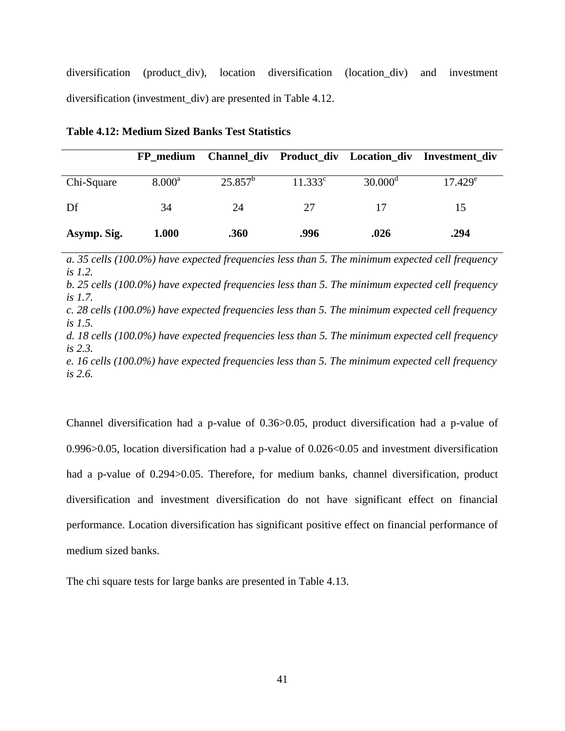diversification (product\_div), location diversification (location\_div) and investment diversification (investment\_div) are presented in Table 4.12.

|             | FP medium       |            |            | Channel_div Product_div Location_div | Investment div |
|-------------|-----------------|------------|------------|--------------------------------------|----------------|
| Chi-Square  | $8.000^{\rm a}$ | $25.857^b$ | $11.333^c$ | $30.000^{\rm d}$                     | $17.429^e$     |
| Df          | 34              | 24         | 27         | 17                                   | 15             |
| Asymp. Sig. | 1.000           | .360       | .996       | .026                                 | .294           |

**Table 4.12: Medium Sized Banks Test Statistics**

*a. 35 cells (100.0%) have expected frequencies less than 5. The minimum expected cell frequency is 1.2.*

*b. 25 cells (100.0%) have expected frequencies less than 5. The minimum expected cell frequency is 1.7.*

*c. 28 cells (100.0%) have expected frequencies less than 5. The minimum expected cell frequency is 1.5.*

*d. 18 cells (100.0%) have expected frequencies less than 5. The minimum expected cell frequency is 2.3.*

*e. 16 cells (100.0%) have expected frequencies less than 5. The minimum expected cell frequency is 2.6.*

Channel diversification had a p-value of 0.36>0.05, product diversification had a p-value of 0.996>0.05, location diversification had a p-value of 0.026<0.05 and investment diversification had a p-value of 0.294 $>0.05$ . Therefore, for medium banks, channel diversification, product diversification and investment diversification do not have significant effect on financial performance. Location diversification has significant positive effect on financial performance of medium sized banks.

The chi square tests for large banks are presented in Table 4.13.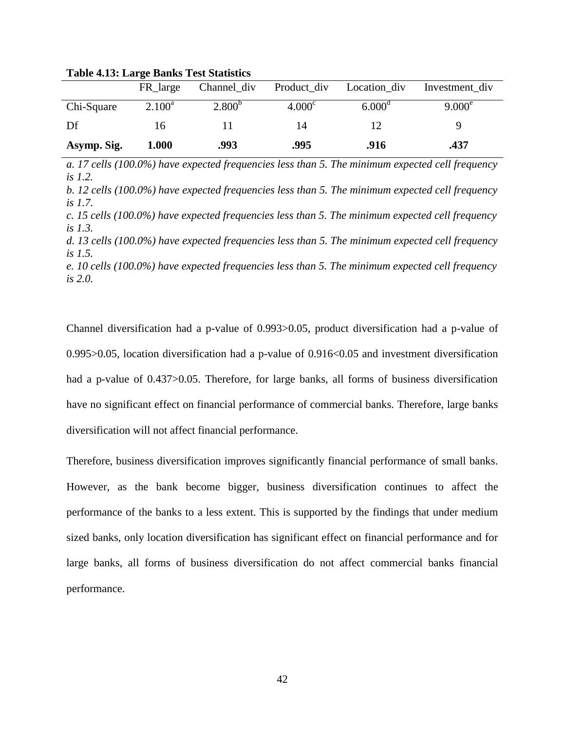|             | FR large  | Channel_div | Product_div        | Location div    | Investment_div |
|-------------|-----------|-------------|--------------------|-----------------|----------------|
| Chi-Square  | $2.100^a$ | $2.800^{b}$ | 4.000 <sup>c</sup> | $6.000^{\circ}$ | $9.000^e$      |
| Df          | 16        |             | 14                 | 12              |                |
| Asymp. Sig. | 1.000     | .993        | .995               | .916            | .437           |

**Table 4.13: Large Banks Test Statistics**

*a. 17 cells (100.0%) have expected frequencies less than 5. The minimum expected cell frequency is 1.2.*

*b. 12 cells (100.0%) have expected frequencies less than 5. The minimum expected cell frequency is 1.7.*

*c. 15 cells (100.0%) have expected frequencies less than 5. The minimum expected cell frequency is 1.3.*

*d. 13 cells (100.0%) have expected frequencies less than 5. The minimum expected cell frequency is 1.5.*

*e. 10 cells (100.0%) have expected frequencies less than 5. The minimum expected cell frequency is 2.0.*

Channel diversification had a p-value of 0.993>0.05, product diversification had a p-value of 0.995>0.05, location diversification had a p-value of 0.916<0.05 and investment diversification had a p-value of 0.437>0.05. Therefore, for large banks, all forms of business diversification have no significant effect on financial performance of commercial banks. Therefore, large banks diversification will not affect financial performance.

Therefore, business diversification improves significantly financial performance of small banks. However, as the bank become bigger, business diversification continues to affect the performance of the banks to a less extent. This is supported by the findings that under medium sized banks, only location diversification has significant effect on financial performance and for large banks, all forms of business diversification do not affect commercial banks financial performance.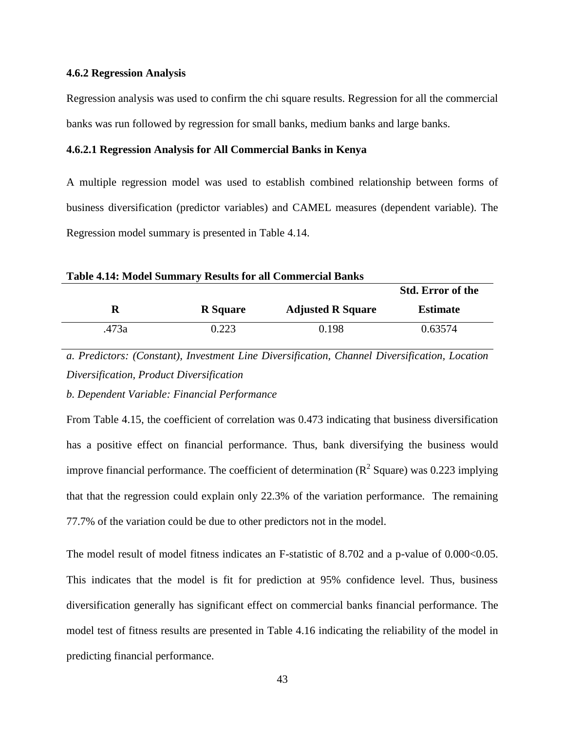### **4.6.2 Regression Analysis**

Regression analysis was used to confirm the chi square results. Regression for all the commercial banks was run followed by regression for small banks, medium banks and large banks.

### **4.6.2.1 Regression Analysis for All Commercial Banks in Kenya**

A multiple regression model was used to establish combined relationship between forms of business diversification (predictor variables) and CAMEL measures (dependent variable). The Regression model summary is presented in Table 4.14.

**Table 4.14: Model Summary Results for all Commercial Banks**

|       |                 |                          | <b>Std. Error of the</b> |
|-------|-----------------|--------------------------|--------------------------|
| R     | <b>R</b> Square | <b>Adjusted R Square</b> | <b>Estimate</b>          |
| .473a | 0.223           | 0.198                    | 0.63574                  |

*a. Predictors: (Constant), Investment Line Diversification, Channel Diversification, Location Diversification, Product Diversification*

*b. Dependent Variable: Financial Performance*

From Table 4.15, the coefficient of correlation was 0.473 indicating that business diversification has a positive effect on financial performance. Thus, bank diversifying the business would improve financial performance. The coefficient of determination ( $\mathbb{R}^2$  Square) was 0.223 implying that that the regression could explain only 22.3% of the variation performance. The remaining 77.7% of the variation could be due to other predictors not in the model.

The model result of model fitness indicates an F-statistic of 8.702 and a p-value of 0.000 < 0.05. This indicates that the model is fit for prediction at 95% confidence level. Thus, business diversification generally has significant effect on commercial banks financial performance. The model test of fitness results are presented in Table 4.16 indicating the reliability of the model in predicting financial performance.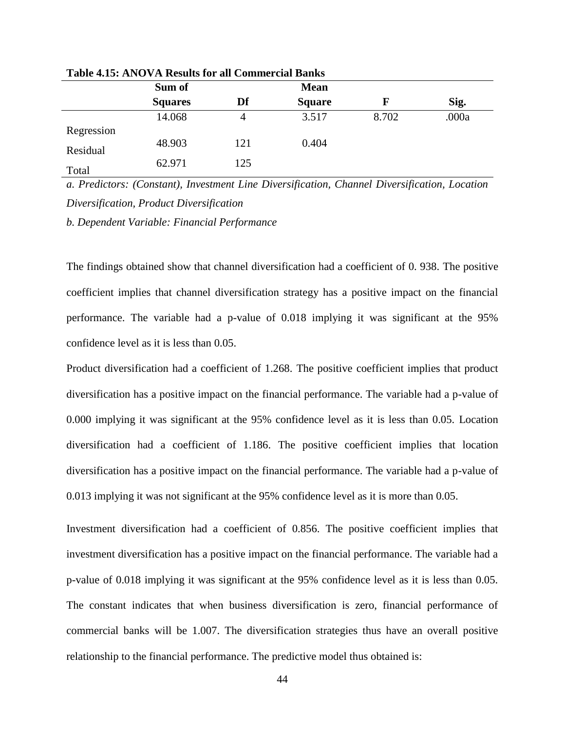| Tuble 1810, Al VO VIA Albulto IVI un Commel ciui Dumi |     |               |       |       |  |  |  |  |
|-------------------------------------------------------|-----|---------------|-------|-------|--|--|--|--|
| Sum of                                                |     | <b>Mean</b>   |       |       |  |  |  |  |
| <b>Squares</b>                                        | Df  | <b>Square</b> | F     | Sig.  |  |  |  |  |
| 14.068                                                | 4   | 3.517         | 8.702 | .000a |  |  |  |  |
|                                                       |     |               |       |       |  |  |  |  |
| 48.903                                                | 121 | 0.404         |       |       |  |  |  |  |
| 62.971                                                | 125 |               |       |       |  |  |  |  |
|                                                       |     |               |       |       |  |  |  |  |

**Table 4.15: ANOVA Results for all Commercial Banks**

*a. Predictors: (Constant), Investment Line Diversification, Channel Diversification, Location Diversification, Product Diversification*

*b. Dependent Variable: Financial Performance*

The findings obtained show that channel diversification had a coefficient of 0. 938. The positive coefficient implies that channel diversification strategy has a positive impact on the financial performance. The variable had a p-value of 0.018 implying it was significant at the 95% confidence level as it is less than 0.05.

Product diversification had a coefficient of 1.268. The positive coefficient implies that product diversification has a positive impact on the financial performance. The variable had a p-value of 0.000 implying it was significant at the 95% confidence level as it is less than 0.05. Location diversification had a coefficient of 1.186. The positive coefficient implies that location diversification has a positive impact on the financial performance. The variable had a p-value of 0.013 implying it was not significant at the 95% confidence level as it is more than 0.05.

Investment diversification had a coefficient of 0.856. The positive coefficient implies that investment diversification has a positive impact on the financial performance. The variable had a p-value of 0.018 implying it was significant at the 95% confidence level as it is less than 0.05. The constant indicates that when business diversification is zero, financial performance of commercial banks will be 1.007. The diversification strategies thus have an overall positive relationship to the financial performance. The predictive model thus obtained is: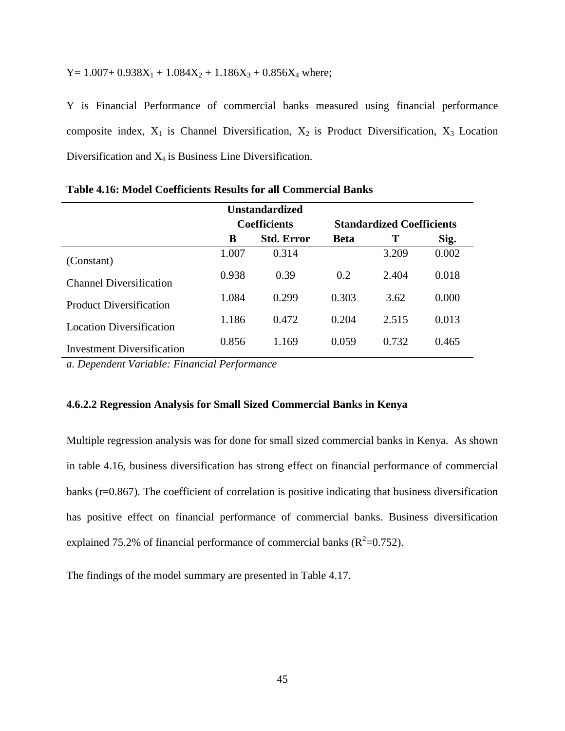Y =  $1.007 + 0.938X_1 + 1.084X_2 + 1.186X_3 + 0.856X_4$  where;

Y is Financial Performance of commercial banks measured using financial performance composite index,  $X_1$  is Channel Diversification,  $X_2$  is Product Diversification,  $X_3$  Location Diversification and X4 is Business Line Diversification.

|                                   |       | <b>Unstandardized</b> |                                  |       |       |
|-----------------------------------|-------|-----------------------|----------------------------------|-------|-------|
|                                   |       | <b>Coefficients</b>   | <b>Standardized Coefficients</b> |       |       |
|                                   | B     | <b>Std. Error</b>     | <b>Beta</b>                      | Т     | Sig.  |
| (Constant)                        | 1.007 | 0.314                 |                                  | 3.209 | 0.002 |
| <b>Channel Diversification</b>    | 0.938 | 0.39                  | 0.2                              | 2.404 | 0.018 |
| <b>Product Diversification</b>    | 1.084 | 0.299                 | 0.303                            | 3.62  | 0.000 |
| <b>Location Diversification</b>   | 1.186 | 0.472                 | 0.204                            | 2.515 | 0.013 |
| <b>Investment Diversification</b> | 0.856 | 1.169                 | 0.059                            | 0.732 | 0.465 |

**Table 4.16: Model Coefficients Results for all Commercial Banks**

*a. Dependent Variable: Financial Performance*

## **4.6.2.2 Regression Analysis for Small Sized Commercial Banks in Kenya**

Multiple regression analysis was for done for small sized commercial banks in Kenya. As shown in table 4.16, business diversification has strong effect on financial performance of commercial banks (r=0.867). The coefficient of correlation is positive indicating that business diversification has positive effect on financial performance of commercial banks. Business diversification explained 75.2% of financial performance of commercial banks ( $R^2$ =0.752).

The findings of the model summary are presented in Table 4.17.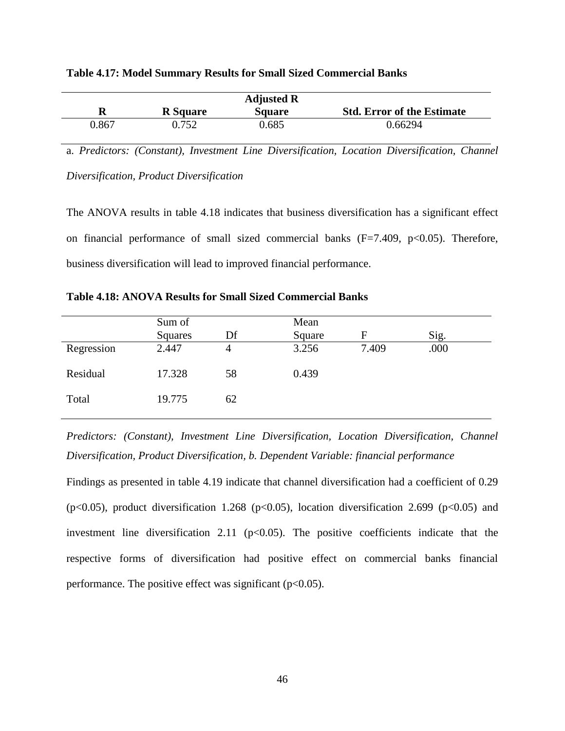|       |                 | <b>Adjusted R</b> |                                   |
|-------|-----------------|-------------------|-----------------------------------|
| R     | <b>R</b> Square | <b>Square</b>     | <b>Std. Error of the Estimate</b> |
| 0.867 | 0.752           | 0.685             | 0.66294                           |

| <b>Table 4.17: Model Summary Results for Small Sized Commercial Banks</b> |  |  |  |
|---------------------------------------------------------------------------|--|--|--|
|---------------------------------------------------------------------------|--|--|--|

a. *Predictors: (Constant), Investment Line Diversification, Location Diversification, Channel Diversification, Product Diversification*

The ANOVA results in table 4.18 indicates that business diversification has a significant effect on financial performance of small sized commercial banks  $(F=7.409, p<0.05)$ . Therefore, business diversification will lead to improved financial performance.

|            | Sum of  |    | Mean   |       |      |
|------------|---------|----|--------|-------|------|
|            | Squares | Df | Square | F     | Sig. |
| Regression | 2.447   | 4  | 3.256  | 7.409 | .000 |
| Residual   | 17.328  | 58 | 0.439  |       |      |
| Total      | 19.775  | 62 |        |       |      |

**Table 4.18: ANOVA Results for Small Sized Commercial Banks**

*Predictors: (Constant), Investment Line Diversification, Location Diversification, Channel Diversification, Product Diversification, b. Dependent Variable: financial performance*

Findings as presented in table 4.19 indicate that channel diversification had a coefficient of 0.29 (p<0.05), product diversification 1.268 (p<0.05), location diversification 2.699 (p<0.05) and investment line diversification 2.11 ( $p<0.05$ ). The positive coefficients indicate that the respective forms of diversification had positive effect on commercial banks financial performance. The positive effect was significant ( $p<0.05$ ).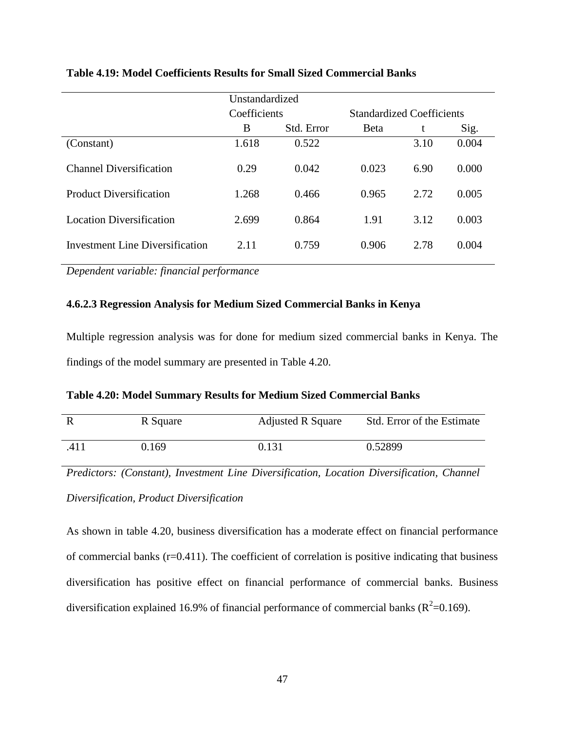|                                 | Unstandardized  |       |                                  |      |       |  |
|---------------------------------|-----------------|-------|----------------------------------|------|-------|--|
|                                 | Coefficients    |       | <b>Standardized Coefficients</b> |      |       |  |
|                                 | Std. Error<br>B |       | <b>B</b> eta                     | t    | Sig.  |  |
| (Constant)                      | 1.618           | 0.522 |                                  | 3.10 | 0.004 |  |
| <b>Channel Diversification</b>  | 0.29            | 0.042 | 0.023                            | 6.90 | 0.000 |  |
| <b>Product Diversification</b>  | 1.268           | 0.466 | 0.965                            | 2.72 | 0.005 |  |
| <b>Location Diversification</b> | 2.699           | 0.864 | 1.91                             | 3.12 | 0.003 |  |
| Investment Line Diversification | 2.11            | 0.759 | 0.906                            | 2.78 | 0.004 |  |

# **Table 4.19: Model Coefficients Results for Small Sized Commercial Banks**

*Dependent variable: financial performance*

# **4.6.2.3 Regression Analysis for Medium Sized Commercial Banks in Kenya**

Multiple regression analysis was for done for medium sized commercial banks in Kenya. The findings of the model summary are presented in Table 4.20.

| Table 4.20: Model Summary Results for Medium Sized Commercial Banks |  |  |  |  |  |  |  |
|---------------------------------------------------------------------|--|--|--|--|--|--|--|
|---------------------------------------------------------------------|--|--|--|--|--|--|--|

|      | R Square | <b>Adjusted R Square</b> | Std. Error of the Estimate |
|------|----------|--------------------------|----------------------------|
| .411 | 0.169    | 0.131                    | 0.52899                    |

*Predictors: (Constant), Investment Line Diversification, Location Diversification, Channel Diversification, Product Diversification*

As shown in table 4.20, business diversification has a moderate effect on financial performance of commercial banks (r=0.411). The coefficient of correlation is positive indicating that business diversification has positive effect on financial performance of commercial banks. Business diversification explained 16.9% of financial performance of commercial banks ( $R^2$ =0.169).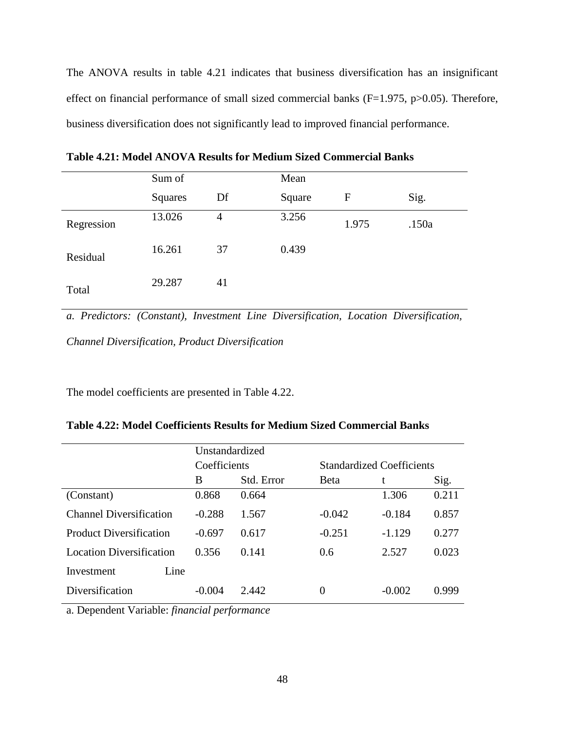The ANOVA results in table 4.21 indicates that business diversification has an insignificant effect on financial performance of small sized commercial banks  $(F=1.975, p>0.05)$ . Therefore, business diversification does not significantly lead to improved financial performance.

|            | Sum of  |    | Mean   |       |       |
|------------|---------|----|--------|-------|-------|
|            | Squares | Df | Square | F     | Sig.  |
| Regression | 13.026  | 4  | 3.256  | 1.975 | .150a |
| Residual   | 16.261  | 37 | 0.439  |       |       |
| Total      | 29.287  | 41 |        |       |       |

**Table 4.21: Model ANOVA Results for Medium Sized Commercial Banks**

*a. Predictors: (Constant), Investment Line Diversification, Location Diversification, Channel Diversification, Product Diversification*

The model coefficients are presented in Table 4.22.

**Table 4.22: Model Coefficients Results for Medium Sized Commercial Banks**

|                                 | Unstandardized |            |                                  |          |       |  |
|---------------------------------|----------------|------------|----------------------------------|----------|-------|--|
|                                 | Coefficients   |            | <b>Standardized Coefficients</b> |          |       |  |
|                                 | B              | Std. Error | <b>Beta</b>                      | t        | Sig.  |  |
| (Constant)                      | 0.868          | 0.664      |                                  | 1.306    | 0.211 |  |
| <b>Channel Diversification</b>  | $-0.288$       | 1.567      | $-0.042$                         | $-0.184$ | 0.857 |  |
| <b>Product Diversification</b>  | $-0.697$       | 0.617      | $-0.251$                         | $-1.129$ | 0.277 |  |
| <b>Location Diversification</b> | 0.356          | 0.141      | 0.6                              | 2.527    | 0.023 |  |
| Line<br>Investment              |                |            |                                  |          |       |  |
| Diversification                 | $-0.004$       | 2.442      | $\theta$                         | $-0.002$ | 0.999 |  |

a. Dependent Variable: *financial performance*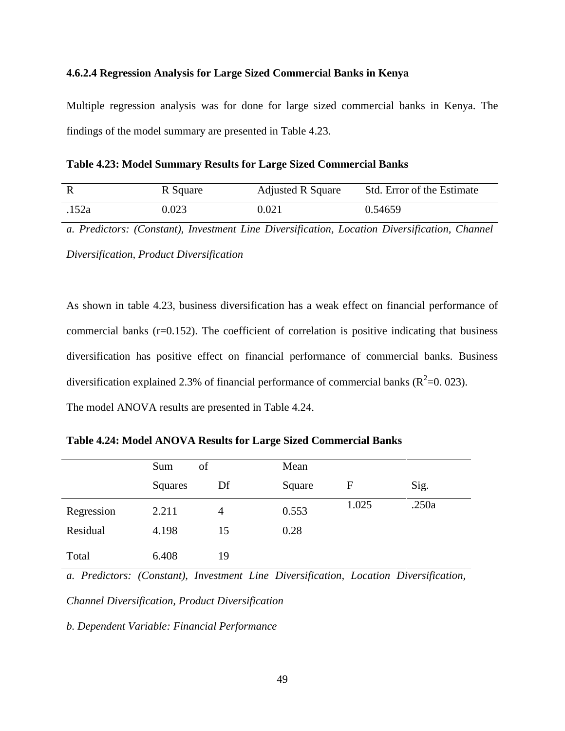## **4.6.2.4 Regression Analysis for Large Sized Commercial Banks in Kenya**

Multiple regression analysis was for done for large sized commercial banks in Kenya. The findings of the model summary are presented in Table 4.23.

**Table 4.23: Model Summary Results for Large Sized Commercial Banks**

|       | R Square | <b>Adjusted R Square</b> | Std. Error of the Estimate |
|-------|----------|--------------------------|----------------------------|
| .152a | 0.023    | 0.021                    | 0.54659                    |

*a. Predictors: (Constant), Investment Line Diversification, Location Diversification, Channel* 

*Diversification, Product Diversification*

As shown in table 4.23, business diversification has a weak effect on financial performance of commercial banks (r=0.152). The coefficient of correlation is positive indicating that business diversification has positive effect on financial performance of commercial banks. Business diversification explained 2.3% of financial performance of commercial banks ( $R^2$ =0.023). The model ANOVA results are presented in Table 4.24.

**Table 4.24: Model ANOVA Results for Large Sized Commercial Banks**

|            | of<br>Sum |    | Mean   |       |       |
|------------|-----------|----|--------|-------|-------|
|            | Squares   | Df | Square | F     | Sig.  |
| Regression | 2.211     | 4  | 0.553  | 1.025 | .250a |
| Residual   | 4.198     | 15 | 0.28   |       |       |
| Total      | 6.408     | 19 |        |       |       |

*a. Predictors: (Constant), Investment Line Diversification, Location Diversification,* 

*Channel Diversification, Product Diversification*

*b. Dependent Variable: Financial Performance*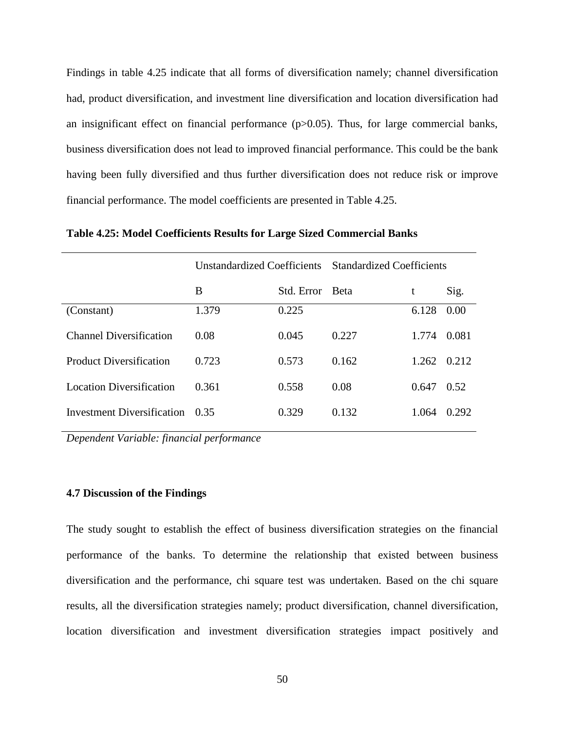Findings in table 4.25 indicate that all forms of diversification namely; channel diversification had, product diversification, and investment line diversification and location diversification had an insignificant effect on financial performance  $(p>0.05)$ . Thus, for large commercial banks, business diversification does not lead to improved financial performance. This could be the bank having been fully diversified and thus further diversification does not reduce risk or improve financial performance. The model coefficients are presented in Table 4.25.

|                                 | Unstandardized Coefficients Standardized Coefficients |                 |       |       |       |
|---------------------------------|-------------------------------------------------------|-----------------|-------|-------|-------|
|                                 | B                                                     | Std. Error Beta |       | t     | Sig.  |
| (Constant)                      | 1.379                                                 | 0.225           |       | 6.128 | 0.00  |
| <b>Channel Diversification</b>  | 0.08                                                  | 0.045           | 0.227 | 1.774 | 0.081 |
| <b>Product Diversification</b>  | 0.723                                                 | 0.573           | 0.162 | 1.262 | 0.212 |
| <b>Location Diversification</b> | 0.361                                                 | 0.558           | 0.08  | 0.647 | 0.52  |
| Investment Diversification      | 0.35                                                  | 0.329           | 0.132 | 1.064 | 0.292 |

**Table 4.25: Model Coefficients Results for Large Sized Commercial Banks**

*Dependent Variable: financial performance*

# **4.7 Discussion of the Findings**

The study sought to establish the effect of business diversification strategies on the financial performance of the banks. To determine the relationship that existed between business diversification and the performance, chi square test was undertaken. Based on the chi square results, all the diversification strategies namely; product diversification, channel diversification, location diversification and investment diversification strategies impact positively and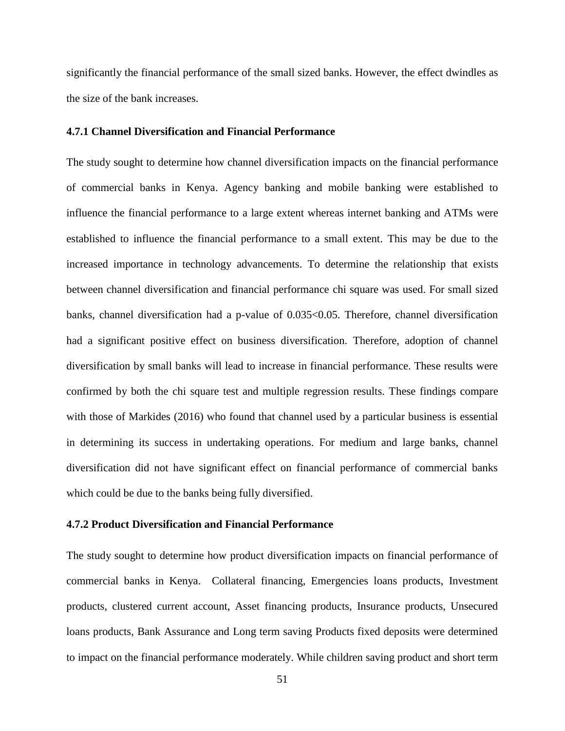significantly the financial performance of the small sized banks. However, the effect dwindles as the size of the bank increases.

## **4.7.1 Channel Diversification and Financial Performance**

The study sought to determine how channel diversification impacts on the financial performance of commercial banks in Kenya. Agency banking and mobile banking were established to influence the financial performance to a large extent whereas internet banking and ATMs were established to influence the financial performance to a small extent. This may be due to the increased importance in technology advancements. To determine the relationship that exists between channel diversification and financial performance chi square was used. For small sized banks, channel diversification had a p-value of 0.035<0.05. Therefore, channel diversification had a significant positive effect on business diversification. Therefore, adoption of channel diversification by small banks will lead to increase in financial performance. These results were confirmed by both the chi square test and multiple regression results. These findings compare with those of Markides (2016) who found that channel used by a particular business is essential in determining its success in undertaking operations. For medium and large banks, channel diversification did not have significant effect on financial performance of commercial banks which could be due to the banks being fully diversified.

## **4.7.2 Product Diversification and Financial Performance**

The study sought to determine how product diversification impacts on financial performance of commercial banks in Kenya. Collateral financing, Emergencies loans products, Investment products, clustered current account, Asset financing products, Insurance products, Unsecured loans products, Bank Assurance and Long term saving Products fixed deposits were determined to impact on the financial performance moderately. While children saving product and short term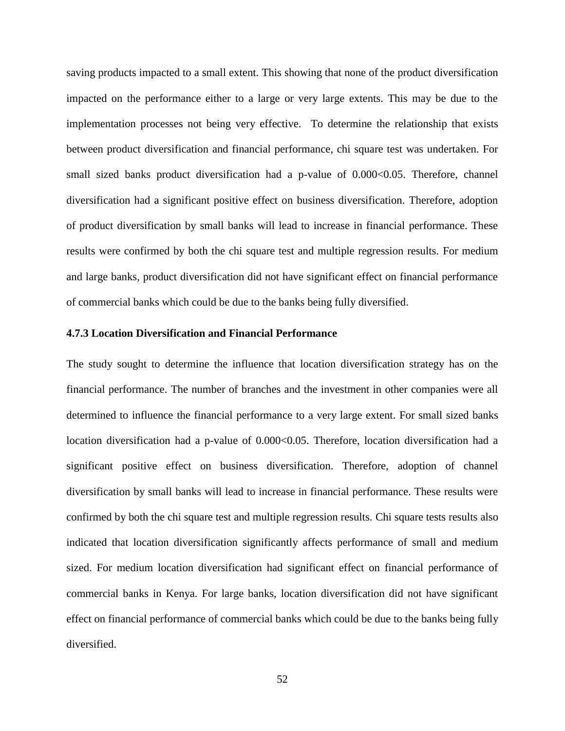saving products impacted to a small extent. This showing that none of the product diversification impacted on the performance either to a large or very large extents. This may be due to the implementation processes not being very effective. To determine the relationship that exists between product diversification and financial performance, chi square test was undertaken. For small sized banks product diversification had a p-value of 0.000 $<0.05$ . Therefore, channel diversification had a significant positive effect on business diversification. Therefore, adoption of product diversification by small banks will lead to increase in financial performance. These results were confirmed by both the chi square test and multiple regression results. For medium and large banks, product diversification did not have significant effect on financial performance of commercial banks which could be due to the banks being fully diversified.

## **4.7.3 Location Diversification and Financial Performance**

The study sought to determine the influence that location diversification strategy has on the financial performance. The number of branches and the investment in other companies were all determined to influence the financial performance to a very large extent. For small sized banks location diversification had a p-value of 0.000 < 0.05. Therefore, location diversification had a significant positive effect on business diversification. Therefore, adoption of channel diversification by small banks will lead to increase in financial performance. These results were confirmed by both the chi square test and multiple regression results. Chi square tests results also indicated that location diversification significantly affects performance of small and medium sized. For medium location diversification had significant effect on financial performance of commercial banks in Kenya. For large banks, location diversification did not have significant effect on financial performance of commercial banks which could be due to the banks being fully diversified.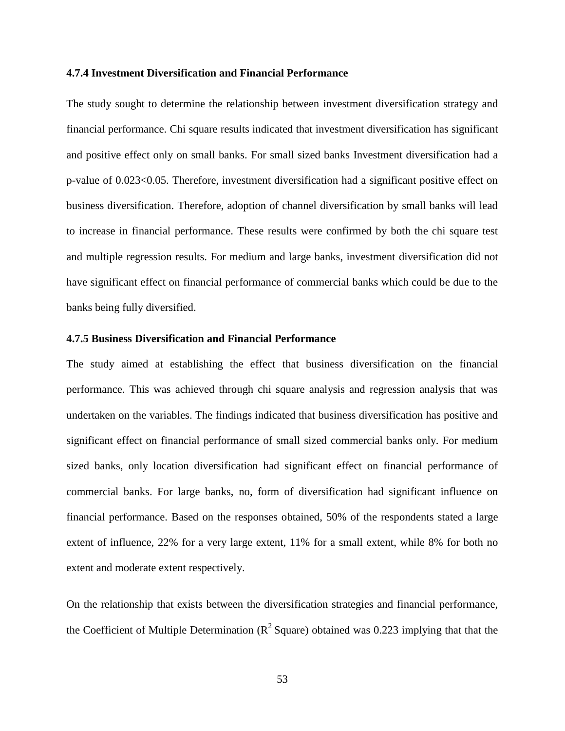### **4.7.4 Investment Diversification and Financial Performance**

The study sought to determine the relationship between investment diversification strategy and financial performance. Chi square results indicated that investment diversification has significant and positive effect only on small banks. For small sized banks Investment diversification had a p-value of 0.023<0.05. Therefore, investment diversification had a significant positive effect on business diversification. Therefore, adoption of channel diversification by small banks will lead to increase in financial performance. These results were confirmed by both the chi square test and multiple regression results. For medium and large banks, investment diversification did not have significant effect on financial performance of commercial banks which could be due to the banks being fully diversified.

## **4.7.5 Business Diversification and Financial Performance**

The study aimed at establishing the effect that business diversification on the financial performance. This was achieved through chi square analysis and regression analysis that was undertaken on the variables. The findings indicated that business diversification has positive and significant effect on financial performance of small sized commercial banks only. For medium sized banks, only location diversification had significant effect on financial performance of commercial banks. For large banks, no, form of diversification had significant influence on financial performance. Based on the responses obtained, 50% of the respondents stated a large extent of influence, 22% for a very large extent, 11% for a small extent, while 8% for both no extent and moderate extent respectively.

On the relationship that exists between the diversification strategies and financial performance, the Coefficient of Multiple Determination ( $R^2$  Square) obtained was 0.223 implying that that the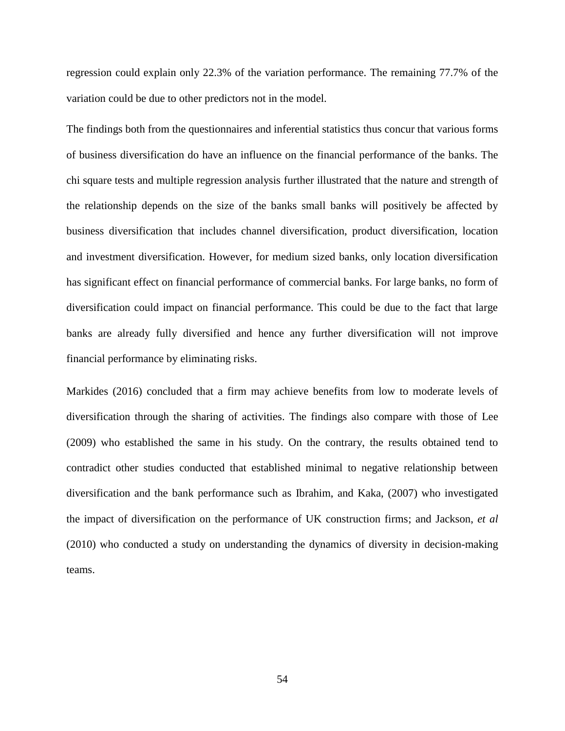regression could explain only 22.3% of the variation performance. The remaining 77.7% of the variation could be due to other predictors not in the model.

The findings both from the questionnaires and inferential statistics thus concur that various forms of business diversification do have an influence on the financial performance of the banks. The chi square tests and multiple regression analysis further illustrated that the nature and strength of the relationship depends on the size of the banks small banks will positively be affected by business diversification that includes channel diversification, product diversification, location and investment diversification. However, for medium sized banks, only location diversification has significant effect on financial performance of commercial banks. For large banks, no form of diversification could impact on financial performance. This could be due to the fact that large banks are already fully diversified and hence any further diversification will not improve financial performance by eliminating risks.

Markides (2016) concluded that a firm may achieve benefits from low to moderate levels of diversification through the sharing of activities. The findings also compare with those of Lee (2009) who established the same in his study. On the contrary, the results obtained tend to contradict other studies conducted that established minimal to negative relationship between diversification and the bank performance such as Ibrahim, and Kaka, (2007) who investigated the impact of diversification on the performance of UK construction firms; and Jackson, *et al* (2010) who conducted a study on understanding the dynamics of diversity in decision-making teams.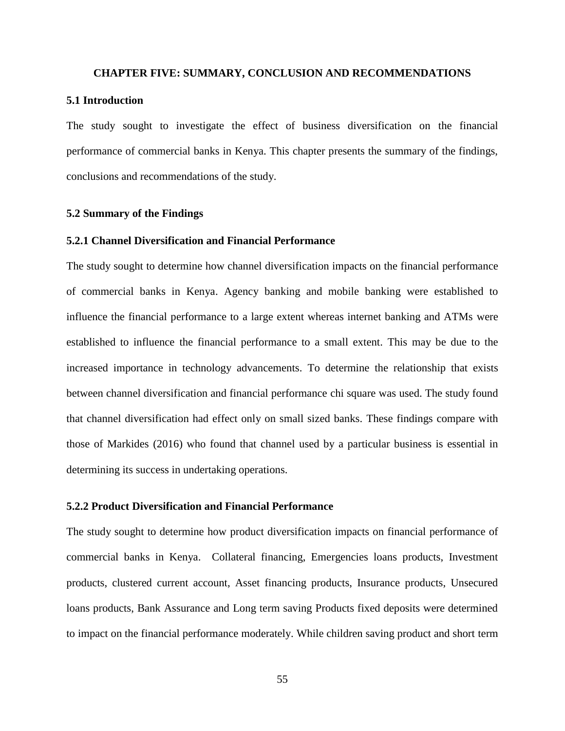#### **CHAPTER FIVE: SUMMARY, CONCLUSION AND RECOMMENDATIONS**

### **5.1 Introduction**

The study sought to investigate the effect of business diversification on the financial performance of commercial banks in Kenya. This chapter presents the summary of the findings, conclusions and recommendations of the study.

### **5.2 Summary of the Findings**

# **5.2.1 Channel Diversification and Financial Performance**

The study sought to determine how channel diversification impacts on the financial performance of commercial banks in Kenya. Agency banking and mobile banking were established to influence the financial performance to a large extent whereas internet banking and ATMs were established to influence the financial performance to a small extent. This may be due to the increased importance in technology advancements. To determine the relationship that exists between channel diversification and financial performance chi square was used. The study found that channel diversification had effect only on small sized banks. These findings compare with those of Markides (2016) who found that channel used by a particular business is essential in determining its success in undertaking operations.

# **5.2.2 Product Diversification and Financial Performance**

The study sought to determine how product diversification impacts on financial performance of commercial banks in Kenya. Collateral financing, Emergencies loans products, Investment products, clustered current account, Asset financing products, Insurance products, Unsecured loans products, Bank Assurance and Long term saving Products fixed deposits were determined to impact on the financial performance moderately. While children saving product and short term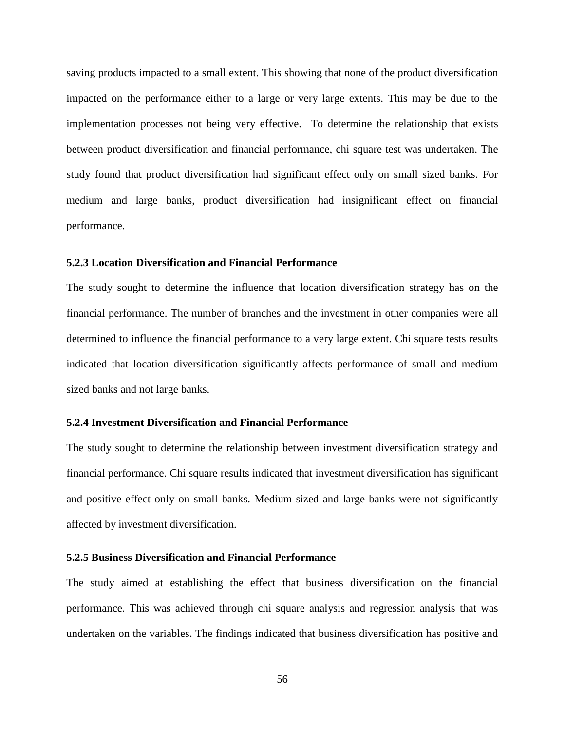saving products impacted to a small extent. This showing that none of the product diversification impacted on the performance either to a large or very large extents. This may be due to the implementation processes not being very effective. To determine the relationship that exists between product diversification and financial performance, chi square test was undertaken. The study found that product diversification had significant effect only on small sized banks. For medium and large banks, product diversification had insignificant effect on financial performance.

### **5.2.3 Location Diversification and Financial Performance**

The study sought to determine the influence that location diversification strategy has on the financial performance. The number of branches and the investment in other companies were all determined to influence the financial performance to a very large extent. Chi square tests results indicated that location diversification significantly affects performance of small and medium sized banks and not large banks.

## **5.2.4 Investment Diversification and Financial Performance**

The study sought to determine the relationship between investment diversification strategy and financial performance. Chi square results indicated that investment diversification has significant and positive effect only on small banks. Medium sized and large banks were not significantly affected by investment diversification.

### **5.2.5 Business Diversification and Financial Performance**

The study aimed at establishing the effect that business diversification on the financial performance. This was achieved through chi square analysis and regression analysis that was undertaken on the variables. The findings indicated that business diversification has positive and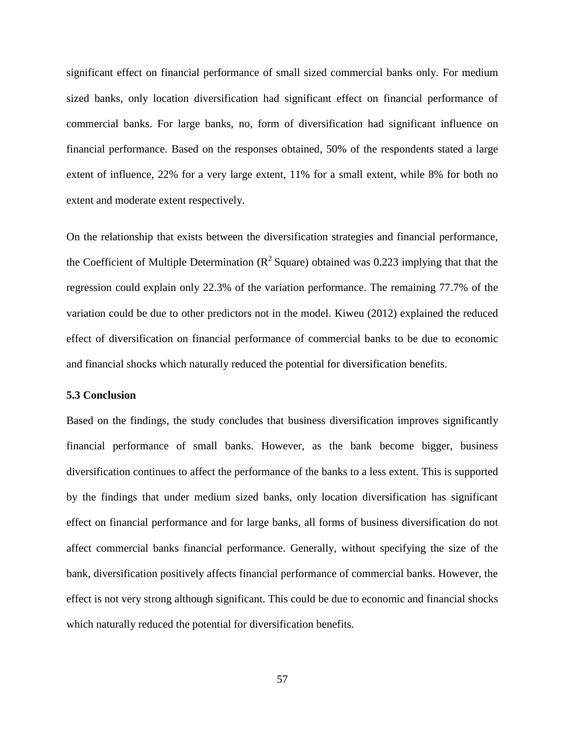significant effect on financial performance of small sized commercial banks only. For medium sized banks, only location diversification had significant effect on financial performance of commercial banks. For large banks, no, form of diversification had significant influence on financial performance. Based on the responses obtained, 50% of the respondents stated a large extent of influence, 22% for a very large extent, 11% for a small extent, while 8% for both no extent and moderate extent respectively.

On the relationship that exists between the diversification strategies and financial performance, the Coefficient of Multiple Determination ( $R^2$  Square) obtained was 0.223 implying that that the regression could explain only 22.3% of the variation performance. The remaining 77.7% of the variation could be due to other predictors not in the model. Kiweu (2012) explained the reduced effect of diversification on financial performance of commercial banks to be due to economic and financial shocks which naturally reduced the potential for diversification benefits.

### **5.3 Conclusion**

Based on the findings, the study concludes that business diversification improves significantly financial performance of small banks. However, as the bank become bigger, business diversification continues to affect the performance of the banks to a less extent. This is supported by the findings that under medium sized banks, only location diversification has significant effect on financial performance and for large banks, all forms of business diversification do not affect commercial banks financial performance. Generally, without specifying the size of the bank, diversification positively affects financial performance of commercial banks. However, the effect is not very strong although significant. This could be due to economic and financial shocks which naturally reduced the potential for diversification benefits.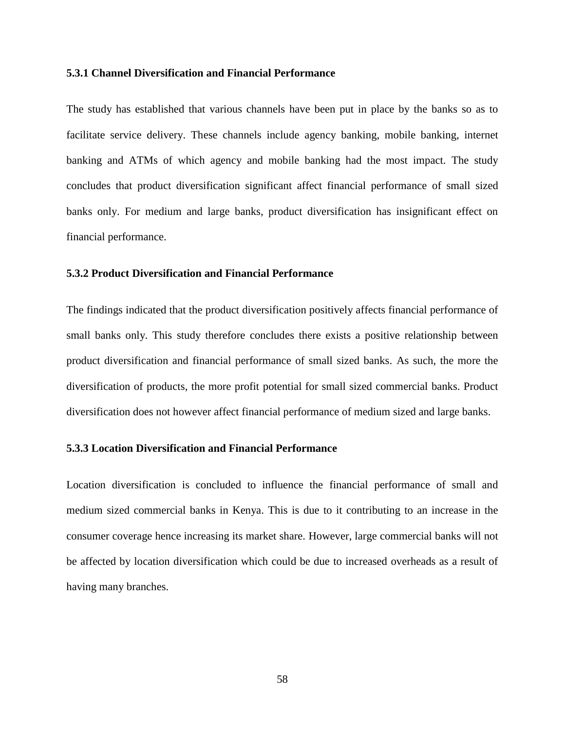### **5.3.1 Channel Diversification and Financial Performance**

The study has established that various channels have been put in place by the banks so as to facilitate service delivery. These channels include agency banking, mobile banking, internet banking and ATMs of which agency and mobile banking had the most impact. The study concludes that product diversification significant affect financial performance of small sized banks only. For medium and large banks, product diversification has insignificant effect on financial performance.

# **5.3.2 Product Diversification and Financial Performance**

The findings indicated that the product diversification positively affects financial performance of small banks only. This study therefore concludes there exists a positive relationship between product diversification and financial performance of small sized banks. As such, the more the diversification of products, the more profit potential for small sized commercial banks. Product diversification does not however affect financial performance of medium sized and large banks.

# **5.3.3 Location Diversification and Financial Performance**

Location diversification is concluded to influence the financial performance of small and medium sized commercial banks in Kenya. This is due to it contributing to an increase in the consumer coverage hence increasing its market share. However, large commercial banks will not be affected by location diversification which could be due to increased overheads as a result of having many branches.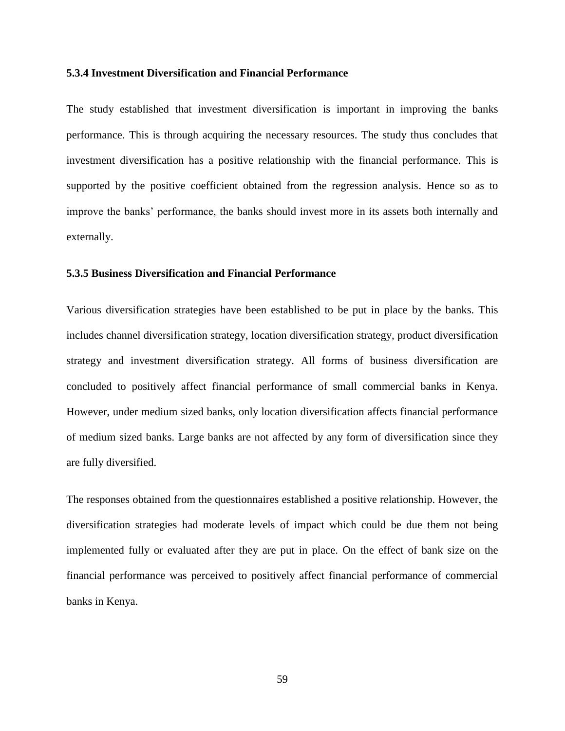### **5.3.4 Investment Diversification and Financial Performance**

The study established that investment diversification is important in improving the banks performance. This is through acquiring the necessary resources. The study thus concludes that investment diversification has a positive relationship with the financial performance. This is supported by the positive coefficient obtained from the regression analysis. Hence so as to improve the banks' performance, the banks should invest more in its assets both internally and externally.

# **5.3.5 Business Diversification and Financial Performance**

Various diversification strategies have been established to be put in place by the banks. This includes channel diversification strategy, location diversification strategy, product diversification strategy and investment diversification strategy. All forms of business diversification are concluded to positively affect financial performance of small commercial banks in Kenya. However, under medium sized banks, only location diversification affects financial performance of medium sized banks. Large banks are not affected by any form of diversification since they are fully diversified.

The responses obtained from the questionnaires established a positive relationship. However, the diversification strategies had moderate levels of impact which could be due them not being implemented fully or evaluated after they are put in place. On the effect of bank size on the financial performance was perceived to positively affect financial performance of commercial banks in Kenya.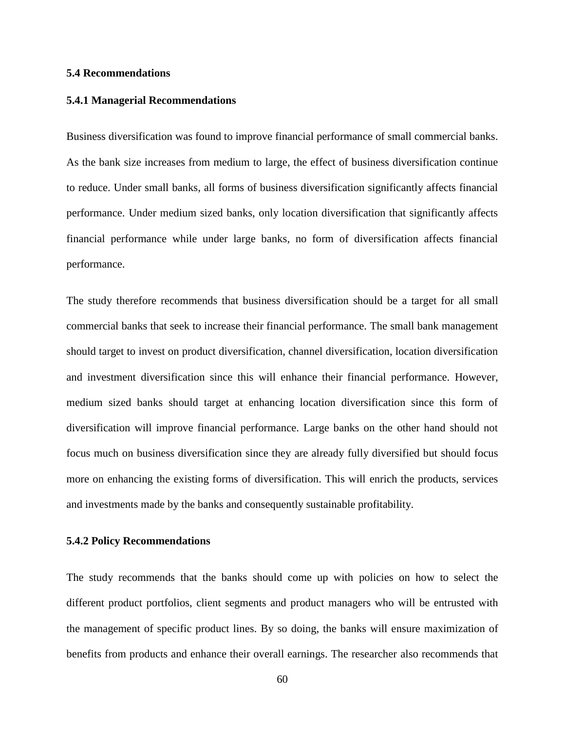### **5.4 Recommendations**

### **5.4.1 Managerial Recommendations**

Business diversification was found to improve financial performance of small commercial banks. As the bank size increases from medium to large, the effect of business diversification continue to reduce. Under small banks, all forms of business diversification significantly affects financial performance. Under medium sized banks, only location diversification that significantly affects financial performance while under large banks, no form of diversification affects financial performance.

The study therefore recommends that business diversification should be a target for all small commercial banks that seek to increase their financial performance. The small bank management should target to invest on product diversification, channel diversification, location diversification and investment diversification since this will enhance their financial performance. However, medium sized banks should target at enhancing location diversification since this form of diversification will improve financial performance. Large banks on the other hand should not focus much on business diversification since they are already fully diversified but should focus more on enhancing the existing forms of diversification. This will enrich the products, services and investments made by the banks and consequently sustainable profitability.

## **5.4.2 Policy Recommendations**

The study recommends that the banks should come up with policies on how to select the different product portfolios, client segments and product managers who will be entrusted with the management of specific product lines. By so doing, the banks will ensure maximization of benefits from products and enhance their overall earnings. The researcher also recommends that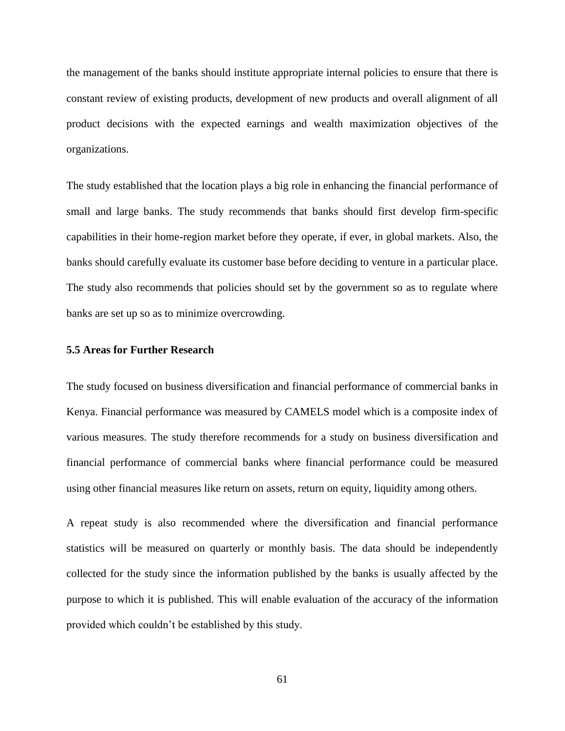the management of the banks should institute appropriate internal policies to ensure that there is constant review of existing products, development of new products and overall alignment of all product decisions with the expected earnings and wealth maximization objectives of the organizations.

The study established that the location plays a big role in enhancing the financial performance of small and large banks. The study recommends that banks should first develop firm-specific capabilities in their home-region market before they operate, if ever, in global markets. Also, the banks should carefully evaluate its customer base before deciding to venture in a particular place. The study also recommends that policies should set by the government so as to regulate where banks are set up so as to minimize overcrowding.

### **5.5 Areas for Further Research**

The study focused on business diversification and financial performance of commercial banks in Kenya. Financial performance was measured by CAMELS model which is a composite index of various measures. The study therefore recommends for a study on business diversification and financial performance of commercial banks where financial performance could be measured using other financial measures like return on assets, return on equity, liquidity among others.

A repeat study is also recommended where the diversification and financial performance statistics will be measured on quarterly or monthly basis. The data should be independently collected for the study since the information published by the banks is usually affected by the purpose to which it is published. This will enable evaluation of the accuracy of the information provided which couldn't be established by this study.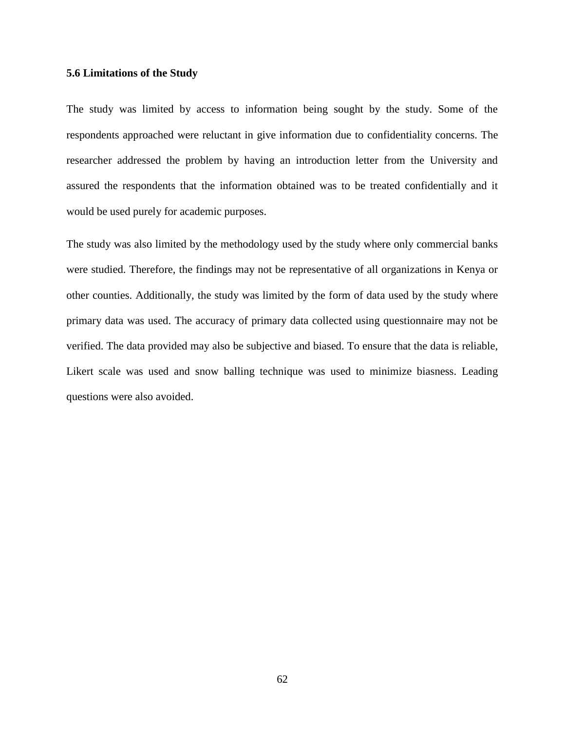#### **5.6 Limitations of the Study**

The study was limited by access to information being sought by the study. Some of the respondents approached were reluctant in give information due to confidentiality concerns. The researcher addressed the problem by having an introduction letter from the University and assured the respondents that the information obtained was to be treated confidentially and it would be used purely for academic purposes.

The study was also limited by the methodology used by the study where only commercial banks were studied. Therefore, the findings may not be representative of all organizations in Kenya or other counties. Additionally, the study was limited by the form of data used by the study where primary data was used. The accuracy of primary data collected using questionnaire may not be verified. The data provided may also be subjective and biased. To ensure that the data is reliable, Likert scale was used and snow balling technique was used to minimize biasness. Leading questions were also avoided.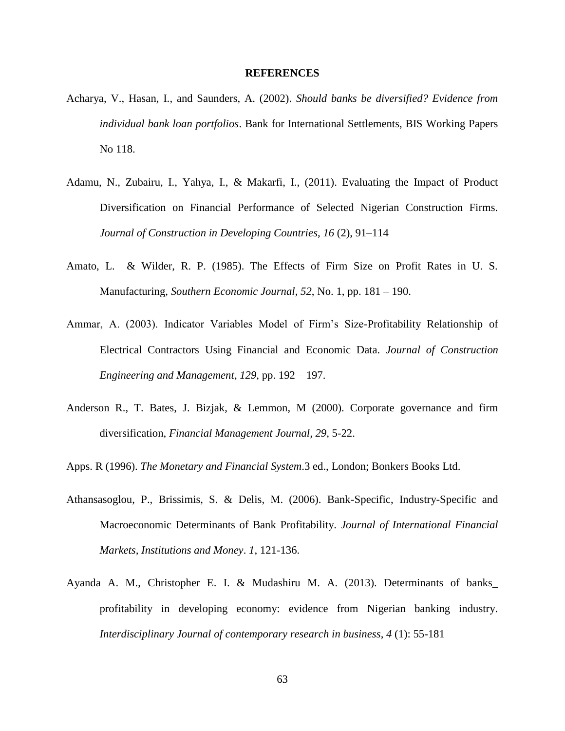#### **REFERENCES**

- Acharya, V., Hasan, I., and Saunders, A. (2002). *Should banks be diversified? Evidence from individual bank loan portfolios*. Bank for International Settlements, BIS Working Papers No 118.
- Adamu, N., Zubairu, I., Yahya, I., & Makarfi, I., (2011). Evaluating the Impact of Product Diversification on Financial Performance of Selected Nigerian Construction Firms. *Journal of Construction in Developing Countries*, *16* (2), 91–114
- Amato, L. & Wilder, R. P. (1985). The Effects of Firm Size on Profit Rates in U. S. Manufacturing, *Southern Economic Journal*, *52*, No. 1, pp. 181 – 190.
- Ammar, A. (2003). Indicator Variables Model of Firm's Size-Profitability Relationship of Electrical Contractors Using Financial and Economic Data. *Journal of Construction Engineering and Management*, *129*, pp. 192 – 197.
- Anderson R., T. Bates, J. Bizjak, & Lemmon, M (2000). Corporate governance and firm diversification, *Financial Management Journal, 29*, 5-22.
- Apps. R (1996). *The Monetary and Financial System*.3 ed., London; Bonkers Books Ltd.
- Athansasoglou, P., Brissimis, S. & Delis, M. (2006). Bank-Specific, Industry-Specific and Macroeconomic Determinants of Bank Profitability. *Journal of International Financial Markets, Institutions and Money*. *1*, 121-136.
- Ayanda A. M., Christopher E. I. & Mudashiru M. A. (2013). Determinants of banks\_ profitability in developing economy: evidence from Nigerian banking industry. *Interdisciplinary Journal of contemporary research in business*, *4* (1): 55-181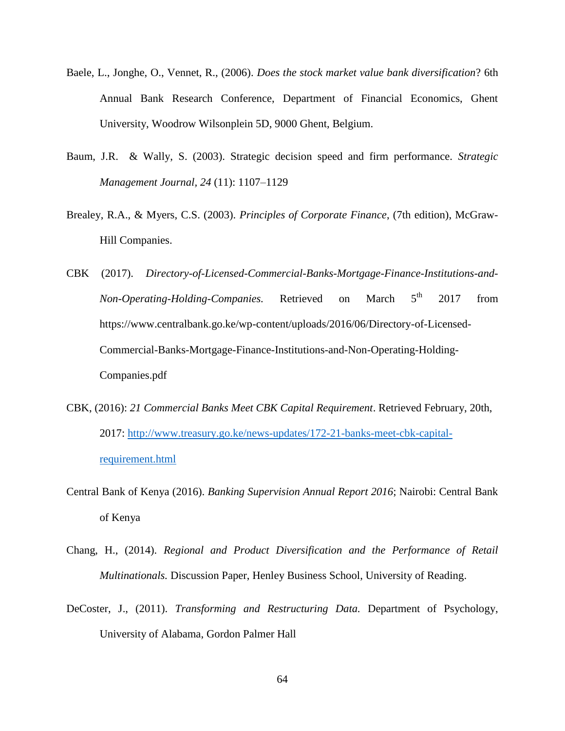- Baele, L., Jonghe, O., Vennet, R., (2006). *Does the stock market value bank diversification*? 6th Annual Bank Research Conference, Department of Financial Economics, Ghent University, Woodrow Wilsonplein 5D, 9000 Ghent, Belgium.
- Baum, J.R. & Wally, S. (2003). Strategic decision speed and firm performance. *Strategic Management Journal, 24* (11): 1107–1129
- Brealey, R.A., & Myers, C.S. (2003). *Principles of Corporate Finance*, (7th edition), McGraw-Hill Companies.
- CBK (2017). *Directory-of-Licensed-Commercial-Banks-Mortgage-Finance-Institutions-and-Non-Operating-Holding-Companies.* Retrieved on March 5<sup>th</sup> 2017 from https://www.centralbank.go.ke/wp-content/uploads/2016/06/Directory-of-Licensed-Commercial-Banks-Mortgage-Finance-Institutions-and-Non-Operating-Holding-Companies.pdf
- CBK, (2016): *21 Commercial Banks Meet CBK Capital Requirement*. Retrieved February, 20th, 2017: [http://www.treasury.go.ke/news-updates/172-21-banks-meet-cbk-capital](http://www.treasury.go.ke/news-updates/172-21-banks-meet-cbk-capital-requirement.html)[requirement.html](http://www.treasury.go.ke/news-updates/172-21-banks-meet-cbk-capital-requirement.html)
- Central Bank of Kenya (2016). *Banking Supervision Annual Report 2016*; Nairobi: Central Bank of Kenya
- Chang, H., (2014). *Regional and Product Diversification and the Performance of Retail Multinationals.* Discussion Paper, Henley Business School, University of Reading.
- DeCoster, J., (2011). *Transforming and Restructuring Data.* Department of Psychology, University of Alabama, Gordon Palmer Hall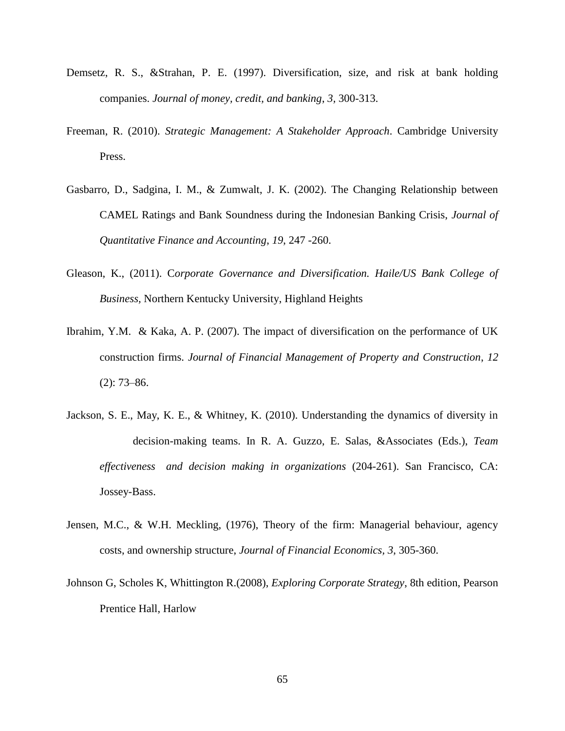- Demsetz, R. S., &Strahan, P. E. (1997). Diversification, size, and risk at bank holding companies. *Journal of money, credit, and banking*, *3,* 300-313.
- Freeman, R. (2010). *Strategic Management: A Stakeholder Approach*. Cambridge University Press.
- Gasbarro, D., Sadgina, I. M., & Zumwalt, J. K. (2002). The Changing Relationship between CAMEL Ratings and Bank Soundness during the Indonesian Banking Crisis, *Journal of Quantitative Finance and Accounting*, *19*, 247 -260.
- Gleason, K., (2011). C*orporate Governance and Diversification. Haile/US Bank College of Business,* Northern Kentucky University, Highland Heights
- Ibrahim, Y.M. & Kaka, A. P. (2007). The impact of diversification on the performance of UK construction firms. *Journal of Financial Management of Property and Construction*, *12* (2): 73–86.
- Jackson, S. E., May, K. E., & Whitney, K. (2010). Understanding the dynamics of diversity in decision-making teams. In R. A. Guzzo, E. Salas, &Associates (Eds.), *Team effectiveness and decision making in organizations* (204-261). San Francisco, CA: Jossey-Bass.
- Jensen, M.C., & W.H. Meckling, (1976), Theory of the firm: Managerial behaviour, agency costs, and ownership structure, *Journal of Financial Economics, 3*, 305-360.
- Johnson G, Scholes K, Whittington R.(2008), *Exploring Corporate Strategy*, 8th edition, Pearson Prentice Hall, Harlow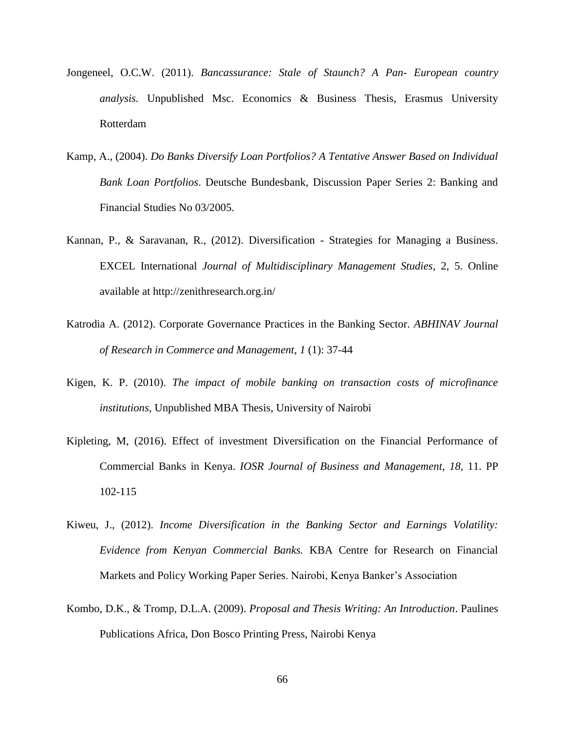- Jongeneel, O.C.W. (2011). *Bancassurance: Stale of Staunch? A Pan- European country analysis.* Unpublished Msc. Economics & Business Thesis, Erasmus University Rotterdam
- Kamp, A., (2004). *Do Banks Diversify Loan Portfolios? A Tentative Answer Based on Individual Bank Loan Portfolios*. Deutsche Bundesbank, Discussion Paper Series 2: Banking and Financial Studies No 03/2005.
- Kannan, P., & Saravanan, R., (2012). Diversification Strategies for Managing a Business. EXCEL International *Journal of Multidisciplinary Management Studies*, 2, 5. Online available at http://zenithresearch.org.in/
- Katrodia A. (2012). Corporate Governance Practices in the Banking Sector. *ABHINAV Journal of Research in Commerce and Management*, *1* (1): 37-44
- Kigen, K. P. (2010). *The impact of mobile banking on transaction costs of microfinance institutions,* Unpublished MBA Thesis, University of Nairobi
- Kipleting, M, (2016). Effect of investment Diversification on the Financial Performance of Commercial Banks in Kenya. *IOSR Journal of Business and Management*, *18,* 11. PP 102-115
- Kiweu, J., (2012). *Income Diversification in the Banking Sector and Earnings Volatility: Evidence from Kenyan Commercial Banks.* KBA Centre for Research on Financial Markets and Policy Working Paper Series. Nairobi, Kenya Banker's Association
- Kombo, D.K., & Tromp, D.L.A. (2009). *Proposal and Thesis Writing: An Introduction*. Paulines Publications Africa, Don Bosco Printing Press, Nairobi Kenya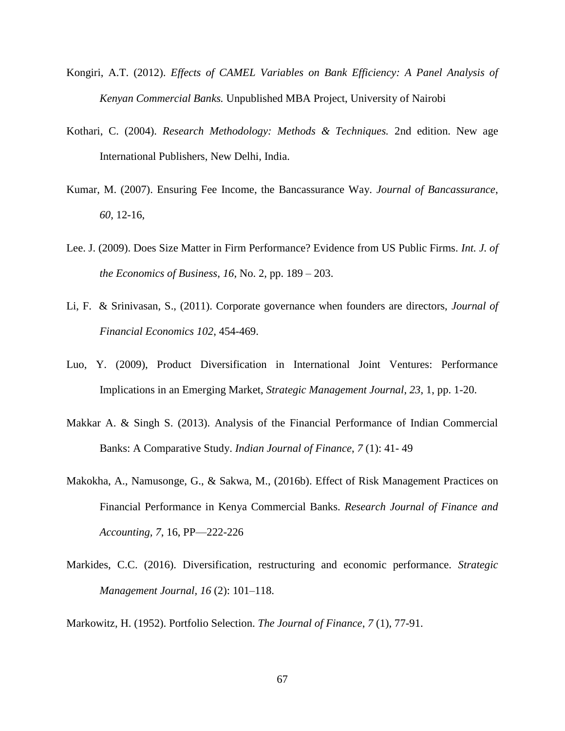- Kongiri, A.T. (2012). *Effects of CAMEL Variables on Bank Efficiency: A Panel Analysis of Kenyan Commercial Banks.* Unpublished MBA Project, University of Nairobi
- Kothari, C. (2004). *Research Methodology: Methods & Techniques.* 2nd edition. New age International Publishers, New Delhi, India.
- Kumar, M. (2007). Ensuring Fee Income, the Bancassurance Way. *Journal of Bancassurance*, *60*, 12-16,
- Lee. J. (2009). Does Size Matter in Firm Performance? Evidence from US Public Firms. *Int. J. of the Economics of Business*, *16*, No. 2, pp. 189 – 203.
- Li, F. & Srinivasan, S., (2011). Corporate governance when founders are directors, *Journal of Financial Economics 102*, 454-469.
- Luo, Y. (2009), Product Diversification in International Joint Ventures: Performance Implications in an Emerging Market, *Strategic Management Journal*, *23*, 1, pp. 1-20.
- Makkar A. & Singh S. (2013). Analysis of the Financial Performance of Indian Commercial Banks: A Comparative Study. *Indian Journal of Finance*, *7* (1): 41- 49
- Makokha, A., Namusonge, G., & Sakwa, M., (2016b). Effect of Risk Management Practices on Financial Performance in Kenya Commercial Banks. *Research Journal of Finance and Accounting, 7*, 16, PP—222-226
- Markides, C.C. (2016). Diversification, restructuring and economic performance. *Strategic Management Journal, 16* (2): 101–118.

Markowitz, H. (1952). Portfolio Selection. *The Journal of Finance*, *7* (1), 77-91.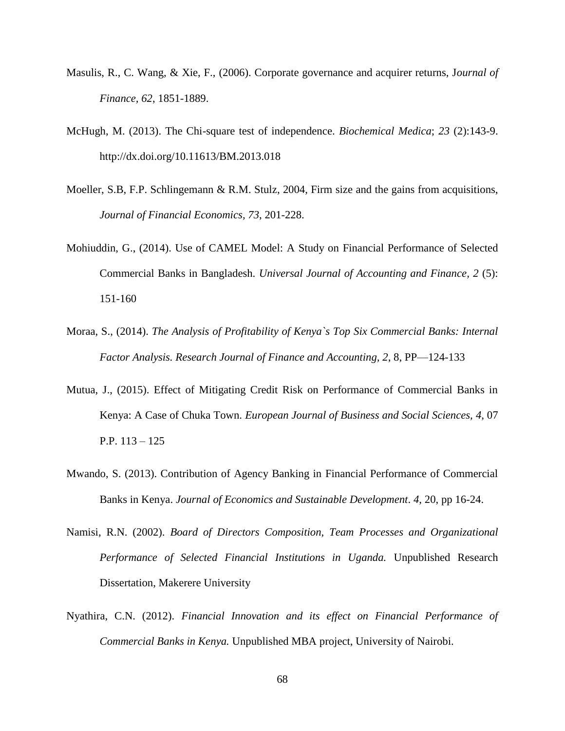- Masulis, R., C. Wang, & Xie, F., (2006). Corporate governance and acquirer returns, J*ournal of Finance, 62*, 1851-1889.
- McHugh, M. (2013). The Chi-square test of independence. *Biochemical Medica*; *23* (2):143-9. http://dx.doi.org/10.11613/BM.2013.018
- Moeller, S.B, F.P. Schlingemann & R.M. Stulz, 2004, Firm size and the gains from acquisitions, *Journal of Financial Economics, 73*, 201-228.
- Mohiuddin, G., (2014). Use of CAMEL Model: A Study on Financial Performance of Selected Commercial Banks in Bangladesh. *Universal Journal of Accounting and Finance, 2* (5): 151-160
- Moraa, S., (2014). *The Analysis of Profitability of Kenya`s Top Six Commercial Banks: Internal Factor Analysis. Research Journal of Finance and Accounting, 2*, 8, PP—124-133
- Mutua, J., (2015). Effect of Mitigating Credit Risk on Performance of Commercial Banks in Kenya: A Case of Chuka Town. *European Journal of Business and Social Sciences, 4*, 07 P.P. 113 – 125
- Mwando, S. (2013). Contribution of Agency Banking in Financial Performance of Commercial Banks in Kenya. *Journal of Economics and Sustainable Development*. *4*, 20, pp 16-24.
- Namisi, R.N. (2002). *Board of Directors Composition, Team Processes and Organizational Performance of Selected Financial Institutions in Uganda.* Unpublished Research Dissertation, Makerere University
- Nyathira, C.N. (2012). *Financial Innovation and its effect on Financial Performance of Commercial Banks in Kenya.* Unpublished MBA project, University of Nairobi.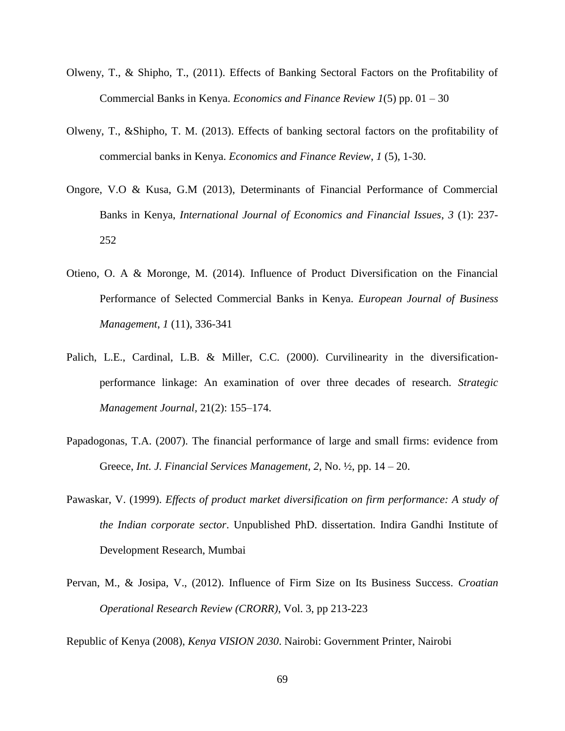- Olweny, T., & Shipho, T., (2011). Effects of Banking Sectoral Factors on the Profitability of Commercial Banks in Kenya. *Economics and Finance Review 1*(5) pp. 01 – 30
- Olweny, T., &Shipho, T. M. (2013). Effects of banking sectoral factors on the profitability of commercial banks in Kenya. *Economics and Finance Review*, *1* (5), 1-30.
- Ongore, V.O & Kusa, G.M (2013), Determinants of Financial Performance of Commercial Banks in Kenya, *International Journal of Economics and Financial Issues*, *3* (1): 237- 252
- Otieno, O. A & Moronge, M. (2014). Influence of Product Diversification on the Financial Performance of Selected Commercial Banks in Kenya. *European Journal of Business Management*, *1* (11), 336-341
- Palich, L.E., Cardinal, L.B. & Miller, C.C. (2000). Curvilinearity in the diversificationperformance linkage: An examination of over three decades of research. *Strategic Management Journal,* 21(2): 155–174.
- Papadogonas, T.A. (2007). The financial performance of large and small firms: evidence from Greece, *Int. J. Financial Services Management*, *2*, No. ½, pp. 14 – 20.
- Pawaskar, V. (1999). *Effects of product market diversification on firm performance: A study of the Indian corporate sector*. Unpublished PhD. dissertation. Indira Gandhi Institute of Development Research, Mumbai
- Pervan, M., & Josipa, V., (2012). Influence of Firm Size on Its Business Success. *Croatian Operational Research Review (CRORR)*, Vol. 3, pp 213-223

Republic of Kenya (2008), *Kenya VISION 2030*. Nairobi: Government Printer, Nairobi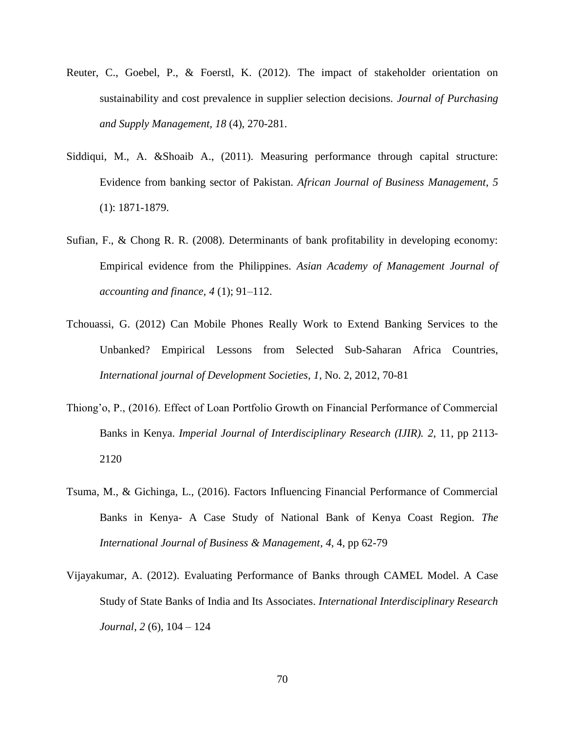- Reuter, C., Goebel, P., & Foerstl, K. (2012). The impact of stakeholder orientation on sustainability and cost prevalence in supplier selection decisions. *Journal of Purchasing and Supply Management, 18* (4), 270-281.
- Siddiqui, M., A. &Shoaib A., (2011). Measuring performance through capital structure: Evidence from banking sector of Pakistan. *African Journal of Business Management*, *5* (1): 1871-1879.
- Sufian, F., & Chong R. R. (2008). Determinants of bank profitability in developing economy: Empirical evidence from the Philippines. *Asian Academy of Management Journal of accounting and finance, 4* (1); 91–112.
- Tchouassi, G. (2012) Can Mobile Phones Really Work to Extend Banking Services to the Unbanked? Empirical Lessons from Selected Sub-Saharan Africa Countries, *International journal of Development Societies*, *1*, No. 2, 2012, 70-81
- Thiong'o, P., (2016). Effect of Loan Portfolio Growth on Financial Performance of Commercial Banks in Kenya. *Imperial Journal of Interdisciplinary Research (IJIR). 2*, 11, pp 2113- 2120
- Tsuma, M., & Gichinga, L., (2016). Factors Influencing Financial Performance of Commercial Banks in Kenya- A Case Study of National Bank of Kenya Coast Region. *The International Journal of Business & Management*, *4*, 4, pp 62-79
- Vijayakumar, A. (2012). Evaluating Performance of Banks through CAMEL Model. A Case Study of State Banks of India and Its Associates. *International Interdisciplinary Research Journal*, *2* (6), 104 – 124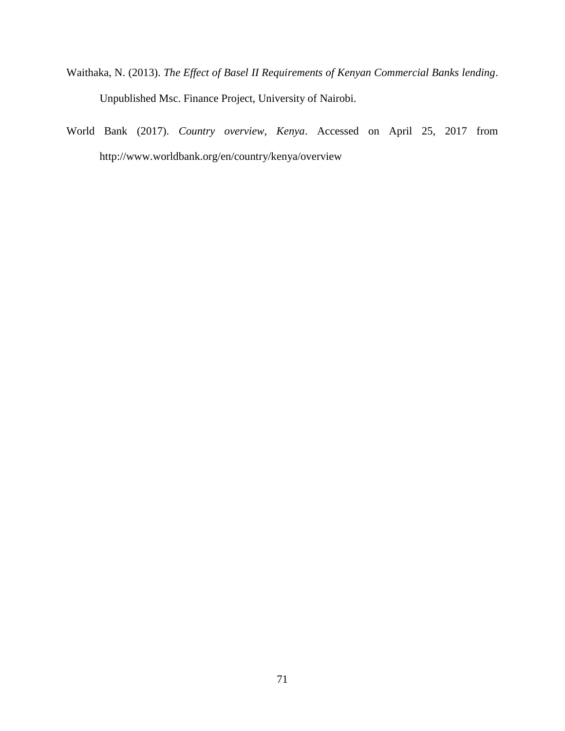- Waithaka, N. (2013). *The Effect of Basel II Requirements of Kenyan Commercial Banks lending*. Unpublished Msc. Finance Project, University of Nairobi.
- World Bank (2017). *Country overview, Kenya*. Accessed on April 25, 2017 from http://www.worldbank.org/en/country/kenya/overview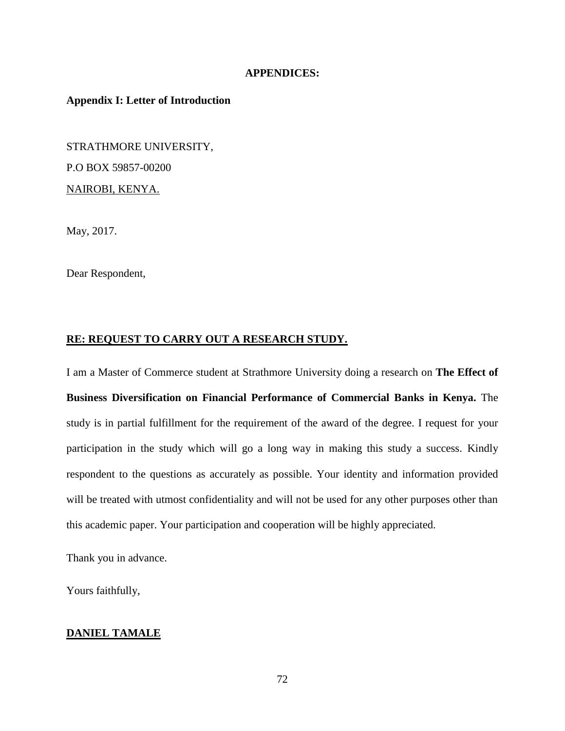### **APPENDICES:**

## **Appendix I: Letter of Introduction**

STRATHMORE UNIVERSITY, P.O BOX 59857-00200 NAIROBI, KENYA.

May, 2017.

Dear Respondent,

### **RE: REQUEST TO CARRY OUT A RESEARCH STUDY.**

I am a Master of Commerce student at Strathmore University doing a research on **The Effect of Business Diversification on Financial Performance of Commercial Banks in Kenya.** The study is in partial fulfillment for the requirement of the award of the degree. I request for your participation in the study which will go a long way in making this study a success. Kindly respondent to the questions as accurately as possible. Your identity and information provided will be treated with utmost confidentiality and will not be used for any other purposes other than this academic paper. Your participation and cooperation will be highly appreciated.

Thank you in advance.

Yours faithfully,

### **DANIEL TAMALE**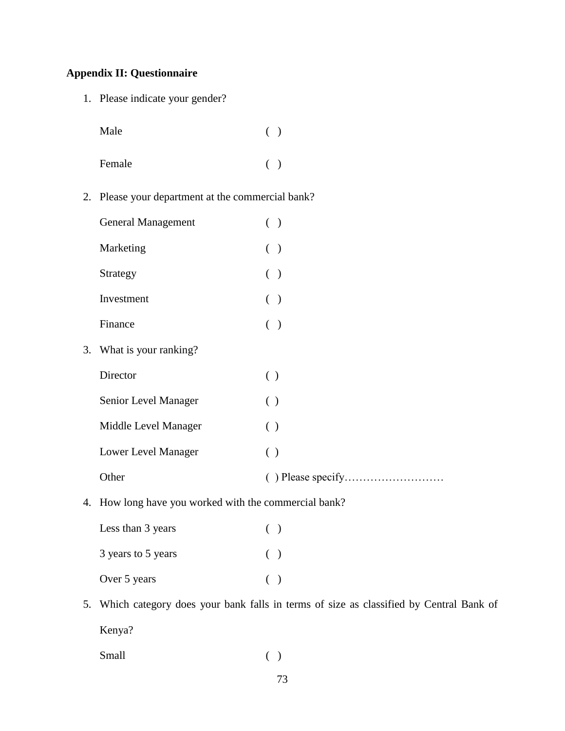# **Appendix II: Questionnaire**

1. Please indicate your gender?

| Male   | ( ) |
|--------|-----|
| Female | ( ) |

2. Please your department at the commercial bank?

| <b>General Management</b>                                     |     | $($ )     |
|---------------------------------------------------------------|-----|-----------|
| Marketing                                                     | €   | $\lambda$ |
| Strategy                                                      | €   | $\big)$   |
| Investment                                                    | €   | $\big)$   |
| Finance                                                       |     | ( )       |
| 3. What is your ranking?                                      |     |           |
| Director                                                      | ( ) |           |
| Senior Level Manager                                          | ( ) |           |
| Middle Level Manager                                          | ( ) |           |
| Lower Level Manager                                           | ( ) |           |
| Other                                                         |     |           |
| $\Lambda$ U aw lang have you worked with the commercial hank? |     |           |

4. How long have you worked with the commercial bank?

| Less than 3 years  |       | $\lambda$ |
|--------------------|-------|-----------|
| 3 years to 5 years | $($ ) |           |
| Over 5 years       | $($ ) |           |

5. Which category does your bank falls in terms of size as classified by Central Bank of Kenya?

Small ( )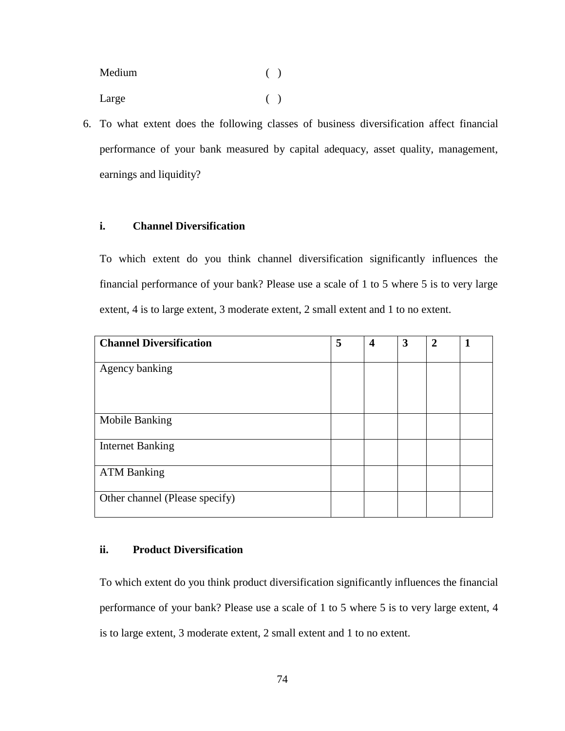| Medium | ( ) |  |
|--------|-----|--|
| Large  | ( ) |  |

6. To what extent does the following classes of business diversification affect financial performance of your bank measured by capital adequacy, asset quality, management, earnings and liquidity?

## **i. Channel Diversification**

To which extent do you think channel diversification significantly influences the financial performance of your bank? Please use a scale of 1 to 5 where 5 is to very large extent, 4 is to large extent, 3 moderate extent, 2 small extent and 1 to no extent.

| <b>Channel Diversification</b> | 5 | $\overline{\mathbf{4}}$ | 3 | $\mathbf{2}$ | 1 |
|--------------------------------|---|-------------------------|---|--------------|---|
| Agency banking                 |   |                         |   |              |   |
| Mobile Banking                 |   |                         |   |              |   |
| <b>Internet Banking</b>        |   |                         |   |              |   |
| <b>ATM Banking</b>             |   |                         |   |              |   |
| Other channel (Please specify) |   |                         |   |              |   |

### **ii. Product Diversification**

To which extent do you think product diversification significantly influences the financial performance of your bank? Please use a scale of 1 to 5 where 5 is to very large extent, 4 is to large extent, 3 moderate extent, 2 small extent and 1 to no extent.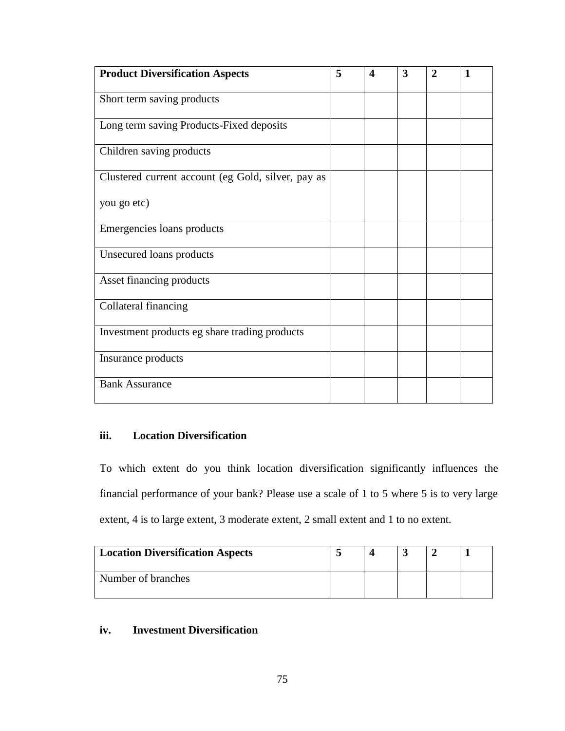| <b>Product Diversification Aspects</b>             | 5 | 4 | 3 | $\overline{2}$ | $\mathbf{1}$ |
|----------------------------------------------------|---|---|---|----------------|--------------|
| Short term saving products                         |   |   |   |                |              |
| Long term saving Products-Fixed deposits           |   |   |   |                |              |
| Children saving products                           |   |   |   |                |              |
| Clustered current account (eg Gold, silver, pay as |   |   |   |                |              |
| you go etc)                                        |   |   |   |                |              |
| Emergencies loans products                         |   |   |   |                |              |
| Unsecured loans products                           |   |   |   |                |              |
| Asset financing products                           |   |   |   |                |              |
| Collateral financing                               |   |   |   |                |              |
| Investment products eg share trading products      |   |   |   |                |              |
| Insurance products                                 |   |   |   |                |              |
| <b>Bank Assurance</b>                              |   |   |   |                |              |

# **iii. Location Diversification**

To which extent do you think location diversification significantly influences the financial performance of your bank? Please use a scale of 1 to 5 where 5 is to very large extent, 4 is to large extent, 3 moderate extent, 2 small extent and 1 to no extent.

| <b>Location Diversification Aspects</b> |  |  |  |
|-----------------------------------------|--|--|--|
| Number of branches                      |  |  |  |

# **iv. Investment Diversification**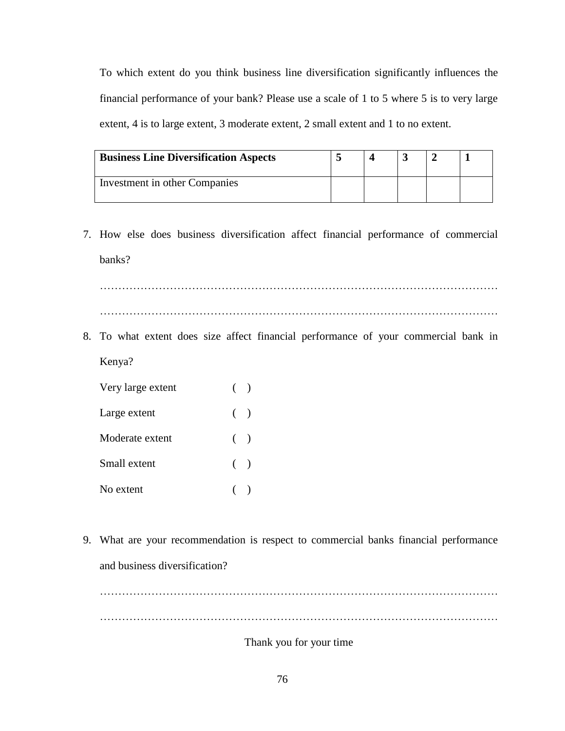To which extent do you think business line diversification significantly influences the financial performance of your bank? Please use a scale of 1 to 5 where 5 is to very large extent, 4 is to large extent, 3 moderate extent, 2 small extent and 1 to no extent.

| <b>Business Line Diversification Aspects</b> |  |  |  |
|----------------------------------------------|--|--|--|
| Investment in other Companies                |  |  |  |

7. How else does business diversification affect financial performance of commercial banks?

……………………………………………………………………………………………… ………………………………………………………………………………………………

8. To what extent does size affect financial performance of your commercial bank in Kenya?

| Very large extent | $($ ) |  |
|-------------------|-------|--|
| Large extent      | $($ ) |  |
| Moderate extent   | $($ ) |  |
| Small extent      | $($ ) |  |
| No extent         |       |  |

9. What are your recommendation is respect to commercial banks financial performance and business diversification?

………………………………………………………………………………………………

Thank you for your time